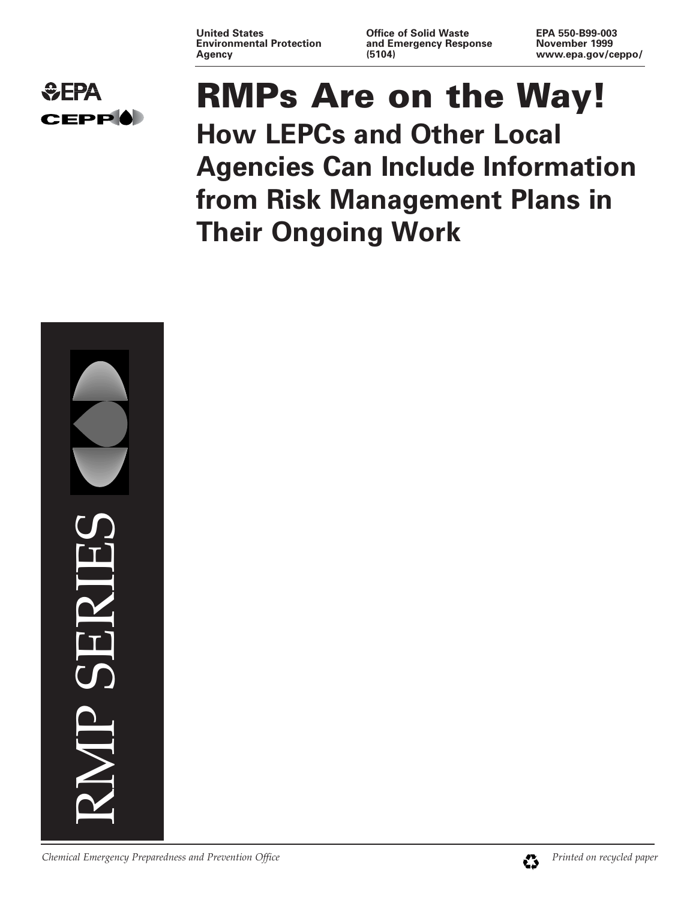**United States Office of Solid Waste EPA 550-B99-003 Environmental Protection Agency** 

**and Emergency Response (5104)** 

**November 1999 www.epa.gov/ceppo/** 



# **RMPs Are on the Way! How LEPCs and Other Local Agencies Can Include Information from Risk Management Plans in Their Ongoing Work**



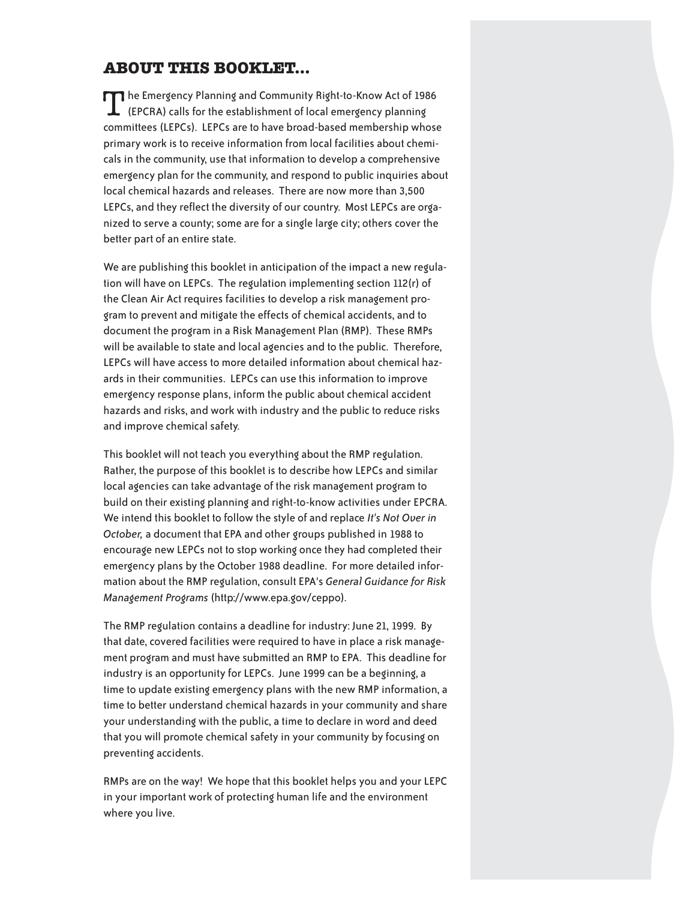## **ABOUT THIS BOOKLET...**

The Emergency Planning and Community Right-to-Know Act of 1986 **L** (EPCRA) calls for the establishment of local emergency planning committees (LEPCs). LEPCs are to have broad-based membership whose primary work is to receive information from local facilities about chemicals in the community, use that information to develop a comprehensive emergency plan for the community, and respond to public inquiries about local chemical hazards and releases. There are now more than 3,500 LEPCs, and they reflect the diversity of our country. Most LEPCs are organized to serve a county; some are for a single large city; others cover the better part of an entire state.

We are publishing this booklet in anticipation of the impact a new regulation will have on LEPCs. The regulation implementing section 112(r) of the Clean Air Act requires facilities to develop a risk management program to prevent and mitigate the effects of chemical accidents, and to document the program in a Risk Management Plan (RMP). These RMPs will be available to state and local agencies and to the public. Therefore, LEPCs will have access to more detailed information about chemical hazards in their communities. LEPCs can use this information to improve emergency response plans, inform the public about chemical accident hazards and risks, and work with industry and the public to reduce risks and improve chemical safety.

This booklet will not teach you everything about the RMP regulation. Rather, the purpose of this booklet is to describe how LEPCs and similar local agencies can take advantage of the risk management program to build on their existing planning and right-to-know activities under EPCRA. We intend this booklet to follow the style of and replace *It's Not Over in October,* a document that EPA and other groups published in 1988 to encourage new LEPCs not to stop working once they had completed their emergency plans by the October 1988 deadline. For more detailed information about the RMP regulation, consult EPA's *General Guidance for Risk Management Programs* (http://www.epa.gov/ceppo).

The RMP regulation contains a deadline for industry: June 21, 1999. By that date, covered facilities were required to have in place a risk management program and must have submitted an RMP to EPA. This deadline for industry is an opportunity for LEPCs. June 1999 can be a beginning, a time to update existing emergency plans with the new RMP information, a time to better understand chemical hazards in your community and share your understanding with the public, a time to declare in word and deed that you will promote chemical safety in your community by focusing on preventing accidents.

RMPs are on the way! We hope that this booklet helps you and your LEPC in your important work of protecting human life and the environment where you live.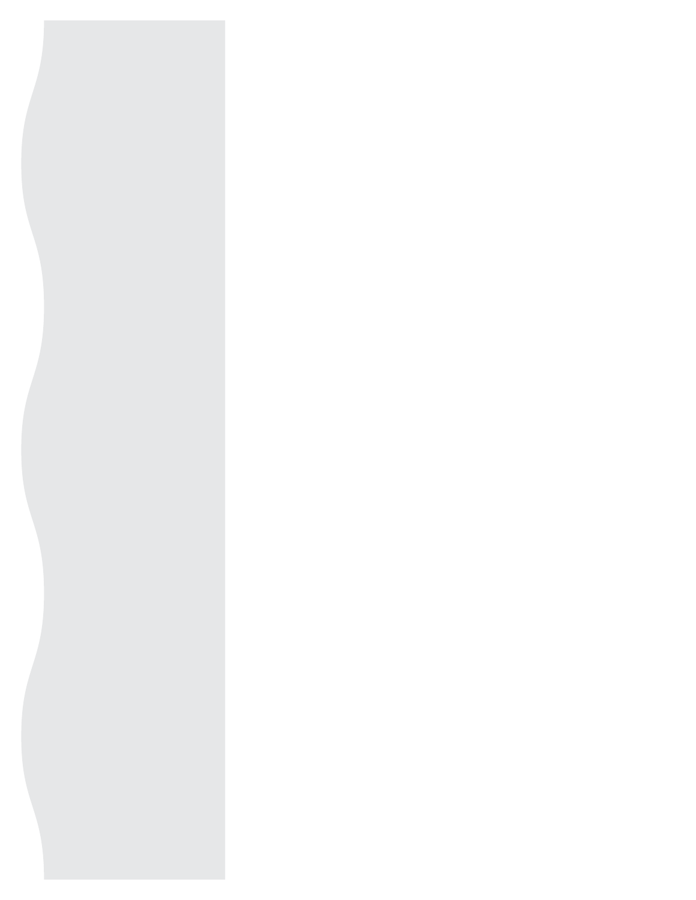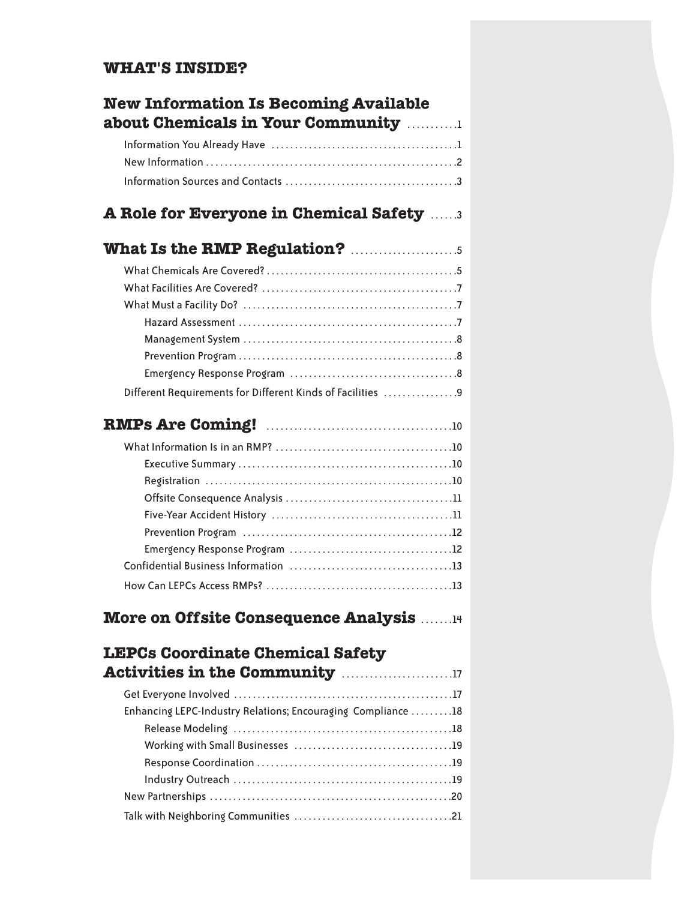## **WHAT'S INSIDE?**

| <b>New Information Is Becoming Available</b><br>about Chemicals in Your Community |
|-----------------------------------------------------------------------------------|
|                                                                                   |
|                                                                                   |
|                                                                                   |
| A Role for Everyone in Chemical Safety 3                                          |
|                                                                                   |
|                                                                                   |
|                                                                                   |
|                                                                                   |
|                                                                                   |
|                                                                                   |
|                                                                                   |
|                                                                                   |
| Different Requirements for Different Kinds of Facilities  9                       |
|                                                                                   |
|                                                                                   |
|                                                                                   |
|                                                                                   |
|                                                                                   |
|                                                                                   |
|                                                                                   |
|                                                                                   |
|                                                                                   |
|                                                                                   |
| <b>More on Offsite Consequence Analysis 14</b>                                    |
| <b>LEPCs Coordinate Chemical Safety</b>                                           |
|                                                                                   |
|                                                                                   |
| Enhancing LEPC-Industry Relations; Encouraging Compliance 18                      |
|                                                                                   |
|                                                                                   |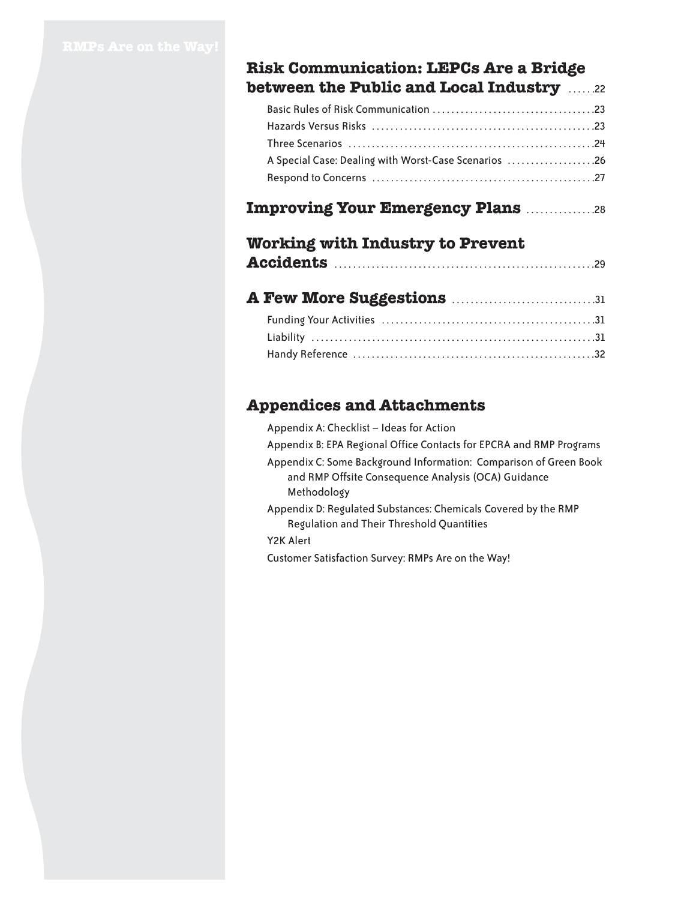## **Risk Communication: LEPCs Are a Bridge between the Public and Local Industry**  $\ldots$  **.22**

| A Special Case: Dealing with Worst-Case Scenarios 26 |  |
|------------------------------------------------------|--|
|                                                      |  |
|                                                      |  |

## **Improving Your Emergency Plans** . . . . . . . . . . . . . . .28

## **Working with Industry to Prevent**

|--|--|--|

## **Appendices and Attachments**

Appendix A: Checklist – Ideas for Action

Appendix B: EPA Regional Office Contacts for EPCRA and RMP Programs

Appendix C: Some Background Information: Comparison of Green Book and RMP Offsite Consequence Analysis (OCA) Guidance Methodology

Appendix D: Regulated Substances: Chemicals Covered by the RMP Regulation and Their Threshold Quantities

Y2K Alert

Customer Satisfaction Survey: RMPs Are on the Way!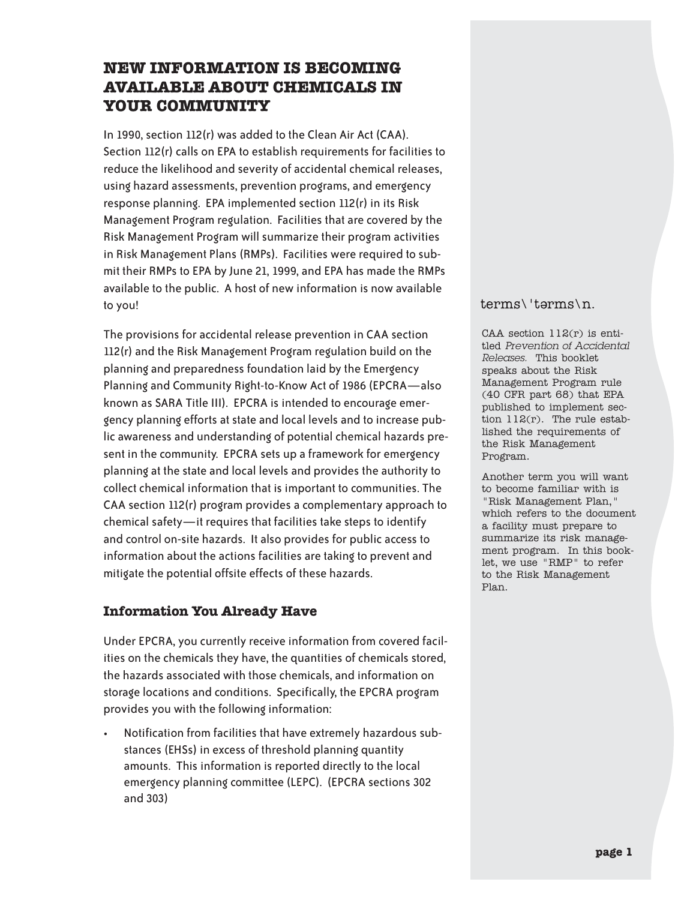## **NEW INFORMATION IS BECOMING AVAILABLE ABOUT CHEMICALS IN YOUR COMMUNITY**

In 1990, section 112(r) was added to the Clean Air Act (CAA). Section 112(r) calls on EPA to establish requirements for facilities to reduce the likelihood and severity of accidental chemical releases, using hazard assessments, prevention programs, and emergency response planning. EPA implemented section 112(r) in its Risk Management Program regulation. Facilities that are covered by the Risk Management Program will summarize their program activities in Risk Management Plans (RMPs). Facilities were required to submit their RMPs to EPA by June 21, 1999, and EPA has made the RMPs available to the public. A host of new information is now available to you!

The provisions for accidental release prevention in CAA section 112(r) and the Risk Management Program regulation build on the planning and preparedness foundation laid by the Emergency Planning and Community Right-to-Know Act of 1986 (EPCRA—also known as SARA Title III). EPCRA is intended to encourage emergency planning efforts at state and local levels and to increase public awareness and understanding of potential chemical hazards present in the community. EPCRA sets up a framework for emergency planning at the state and local levels and provides the authority to collect chemical information that is important to communities. The CAA section 112(r) program provides a complementary approach to chemical safety—it requires that facilities take steps to identify and control on-site hazards. It also provides for public access to information about the actions facilities are taking to prevent and mitigate the potential offsite effects of these hazards.

## **Information You Already Have**

Under EPCRA, you currently receive information from covered facilities on the chemicals they have, the quantities of chemicals stored, the hazards associated with those chemicals, and information on storage locations and conditions. Specifically, the EPCRA program provides you with the following information:

• Notification from facilities that have extremely hazardous substances (EHSs) in excess of threshold planning quantity amounts. This information is reported directly to the local emergency planning committee (LEPC). (EPCRA sections 302 and 303)

#### terms\'tarms\n.

CAA section 112(r) is entitled Prevention of Accidental Releases. This booklet speaks about the Risk Management Program rule (40 CFR part 68) that EPA published to implement section 112(r). The rule established the requirements of the Risk Management Program.

Another term you will want to become familiar with is "Risk Management Plan," which refers to the document a facility must prepare to summarize its risk management program. In this booklet, we use "RMP" to refer to the Risk Management Plan.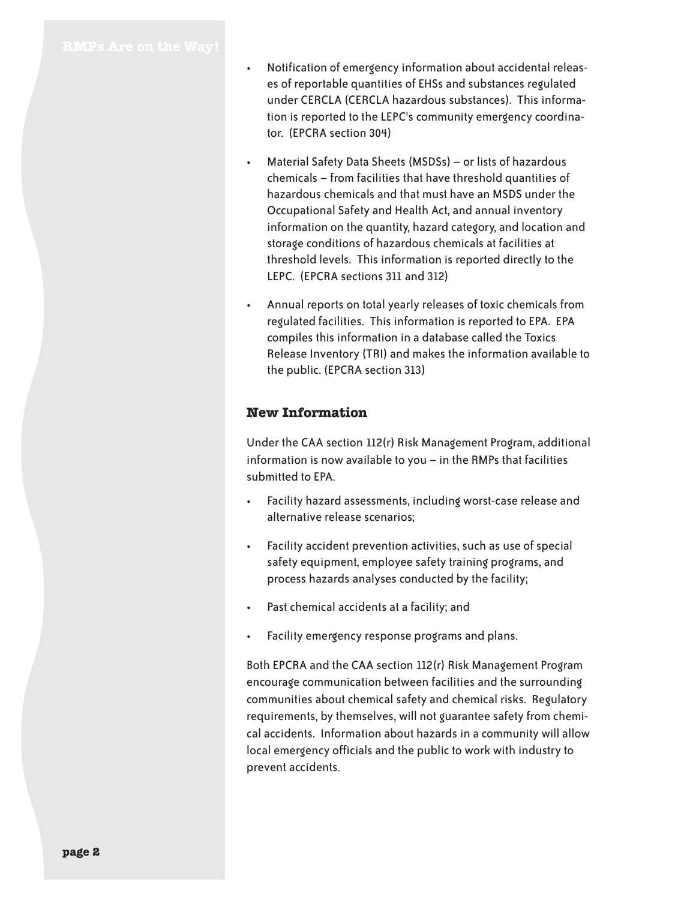- Notification of emergency information about accidental releases of reportable quantities of EHSs and substances regulated under CERCLA (CERCLA hazardous substances). This information is reported to the LEPC's community emergency coordinator. (EPCRA section 304)
- Material Safety Data Sheets (MSDSs) or lists of hazardous chemicals – from facilities that have threshold quantities of hazardous chemicals and that must have an MSDS under the Occupational Safety and Health Act, and annual inventory information on the quantity, hazard category, and location and storage conditions of hazardous chemicals at facilities at threshold levels. This information is reported directly to the LEPC. (EPCRA sections 311 and 312)
- Annual reports on total yearly releases of toxic chemicals from regulated facilities. This information is reported to EPA. EPA compiles this information in a database called the Toxics Release Inventory (TRI) and makes the information available to the public. (EPCRA section 313)

#### **New Information**

Under the CAA section 112(r) Risk Management Program, additional information is now available to you – in the RMPs that facilities submitted to EPA.

- Facility hazard assessments, including worst-case release and alternative release scenarios;
- Facility accident prevention activities, such as use of special safety equipment, employee safety training programs, and process hazards analyses conducted by the facility;
- Past chemical accidents at a facility; and
- Facility emergency response programs and plans.

Both EPCRA and the CAA section 112(r) Risk Management Program encourage communication between facilities and the surrounding communities about chemical safety and chemical risks. Regulatory requirements, by themselves, will not guarantee safety from chemical accidents. Information about hazards in a community will allow local emergency officials and the public to work with industry to prevent accidents.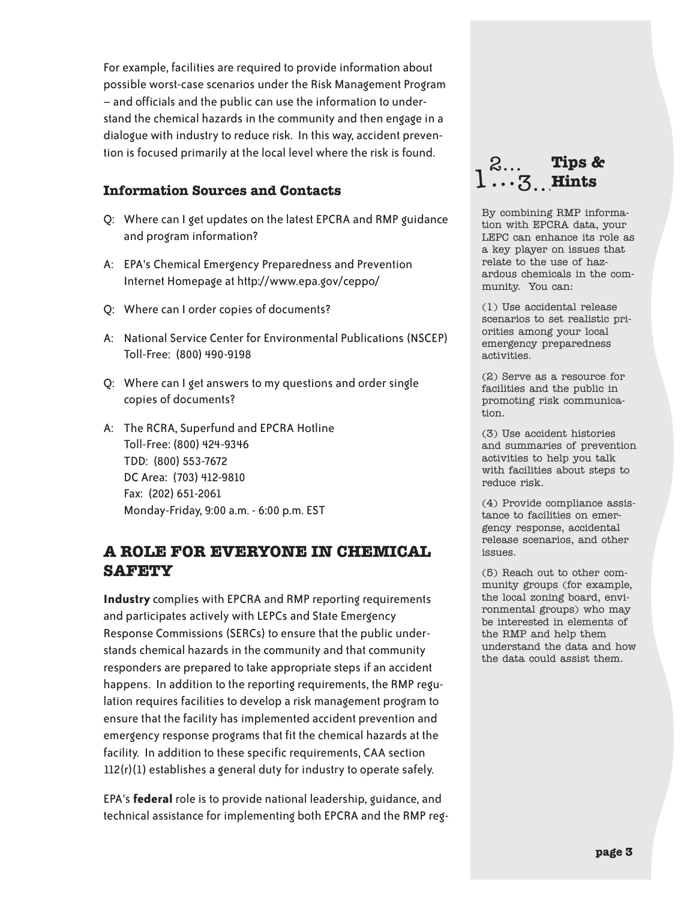For example, facilities are required to provide information about possible worst-case scenarios under the Risk Management Program – and officials and the public can use the information to understand the chemical hazards in the community and then engage in a dialogue with industry to reduce risk. In this way, accident prevention is focused primarily at the local level where the risk is found.

#### **Information Sources and Contacts**

- Q: Where can I get updates on the latest EPCRA and RMP guidance and program information?
- A: EPA's Chemical Emergency Preparedness and Prevention Internet Homepage at http://www.epa.gov/ceppo/
- Q: Where can I order copies of documents?
- A: National Service Center for Environmental Publications (NSCEP) Toll-Free: (800) 490-9198
- Q: Where can I get answers to my questions and order single copies of documents?
- A: The RCRA, Superfund and EPCRA Hotline Toll-Free: (800) 424-9346 TDD: (800) 553-7672 DC Area: (703) 412-9810 Fax: (202) 651-2061 Monday-Friday, 9:00 a.m. - 6:00 p.m. EST

## **A ROLE FOR EVERYONE IN CHEMICAL SAFETY**

**Industry** complies with EPCRA and RMP reporting requirements and participates actively with LEPCs and State Emergency Response Commissions (SERCs) to ensure that the public understands chemical hazards in the community and that community responders are prepared to take appropriate steps if an accident happens. In addition to the reporting requirements, the RMP regulation requires facilities to develop a risk management program to ensure that the facility has implemented accident prevention and emergency response programs that fit the chemical hazards at the facility. In addition to these specific requirements, CAA section 112(r)(1) establishes a general duty for industry to operate safely.

EPA's **federal** role is to provide national leadership, guidance, and technical assistance for implementing both EPCRA and the RMP reg-

## **Tips & Hints**

By combining RMP information with EPCRA data, your LEPC can enhance its role as a key player on issues that relate to the use of hazardous chemicals in the community. You can:

(1) Use accidental release scenarios to set realistic priorities among your local emergency preparedness activities.

(2) Serve as a resource for facilities and the public in promoting risk communication.

(3) Use accident histories and summaries of prevention activities to help you talk with facilities about steps to reduce risk.

(4) Provide compliance assistance to facilities on emergency response, accidental release scenarios, and other issues.

(5) Reach out to other community groups (for example, the local zoning board, environmental groups) who may be interested in elements of the RMP and help them understand the data and how the data could assist them.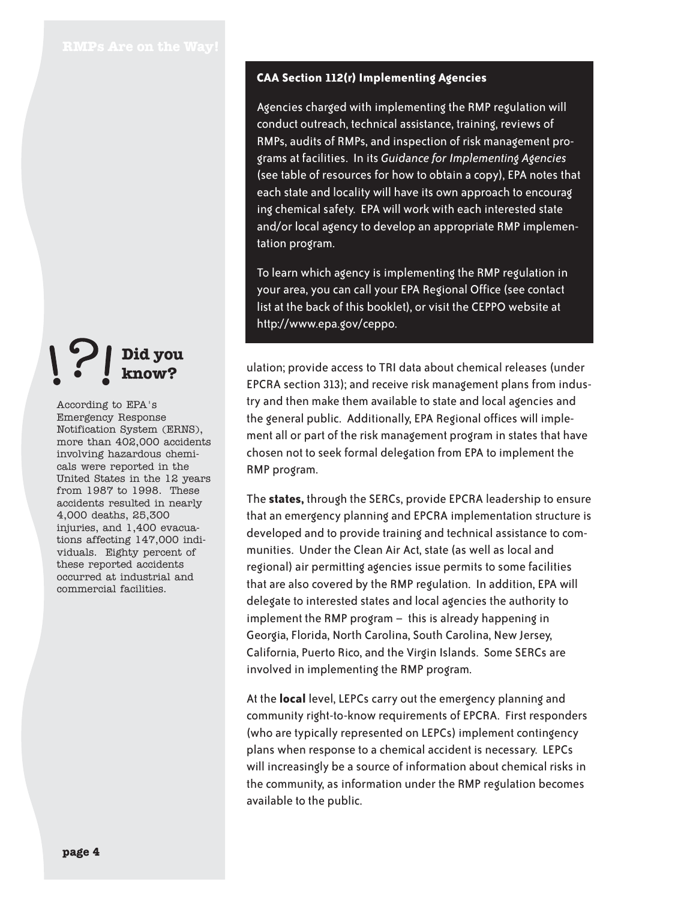# **Did you know?**

According to EPA's Emergency Response Notification System (ERNS), more than 402,000 accidents involving hazardous chemicals were reported in the United States in the 12 years from 1987 to 1998. These accidents resulted in nearly 4,000 deaths, 25,300 injuries, and 1,400 evacuations affecting 147,000 individuals. Eighty percent of these reported accidents occurred at industrial and commercial facilities.

#### **CAA Section 112(r) Implementing Agencies**

Agencies charged with implementing the RMP regulation will conduct outreach, technical assistance, training, reviews of RMPs, audits of RMPs, and inspection of risk management programs at facilities. In its *Guidance for Implementing Agencies*  (see table of resources for how to obtain a copy), EPA notes that each state and locality will have its own approach to encourag ing chemical safety. EPA will work with each interested state and/or local agency to develop an appropriate RMP implementation program.

To learn which agency is implementing the RMP regulation in your area, you can call your EPA Regional Office (see contact list at the back of this booklet), or visit the CEPPO website at http://www.epa.gov/ceppo.

ulation; provide access to TRI data about chemical releases (under EPCRA section 313); and receive risk management plans from industry and then make them available to state and local agencies and the general public. Additionally, EPA Regional offices will implement all or part of the risk management program in states that have chosen not to seek formal delegation from EPA to implement the RMP program.

The **states,** through the SERCs, provide EPCRA leadership to ensure that an emergency planning and EPCRA implementation structure is developed and to provide training and technical assistance to communities. Under the Clean Air Act, state (as well as local and regional) air permitting agencies issue permits to some facilities that are also covered by the RMP regulation. In addition, EPA will delegate to interested states and local agencies the authority to implement the RMP program – this is already happening in Georgia, Florida, North Carolina, South Carolina, New Jersey, California, Puerto Rico, and the Virgin Islands. Some SERCs are involved in implementing the RMP program.

At the **local** level, LEPCs carry out the emergency planning and community right-to-know requirements of EPCRA. First responders (who are typically represented on LEPCs) implement contingency plans when response to a chemical accident is necessary. LEPCs will increasingly be a source of information about chemical risks in the community, as information under the RMP regulation becomes available to the public.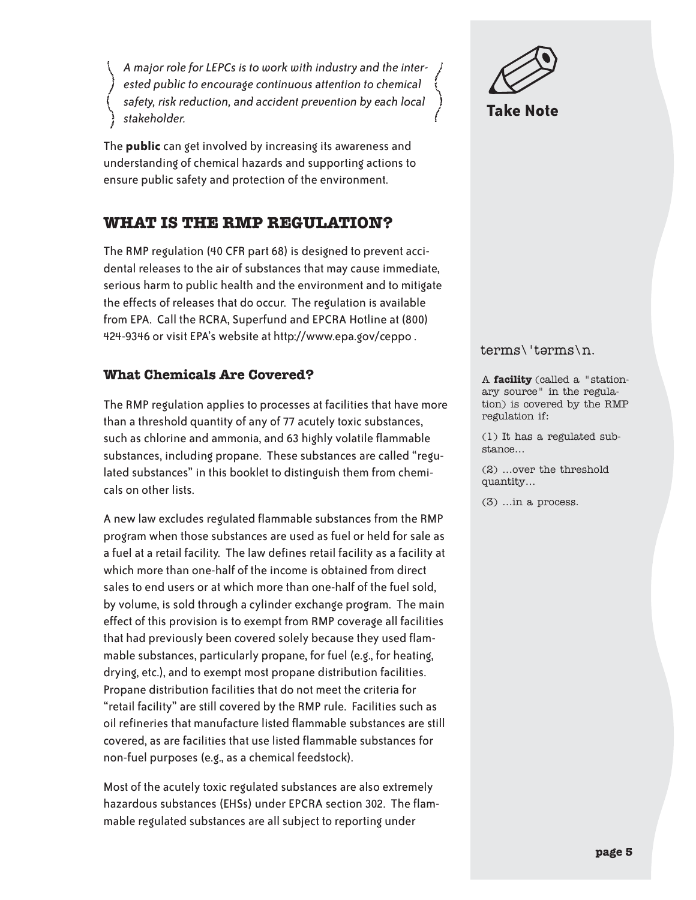*A major role for LEPCs is to work with industry and the interested public to encourage continuous attention to chemical safety, risk reduction, and accident prevention by each local stakeholder.* 

The **public** can get involved by increasing its awareness and understanding of chemical hazards and supporting actions to ensure public safety and protection of the environment.

## **WHAT IS THE RMP REGULATION?**

The RMP regulation (40 CFR part 68) is designed to prevent accidental releases to the air of substances that may cause immediate, serious harm to public health and the environment and to mitigate the effects of releases that do occur. The regulation is available from EPA. Call the RCRA, Superfund and EPCRA Hotline at (800) 424-9346 or visit EPA's website at http://www.epa.gov/ceppo .

## **What Chemicals Are Covered?**

The RMP regulation applies to processes at facilities that have more than a threshold quantity of any of 77 acutely toxic substances, such as chlorine and ammonia, and 63 highly volatile flammable substances, including propane. These substances are called "regulated substances" in this booklet to distinguish them from chemicals on other lists.

A new law excludes regulated flammable substances from the RMP program when those substances are used as fuel or held for sale as a fuel at a retail facility. The law defines retail facility as a facility at which more than one-half of the income is obtained from direct sales to end users or at which more than one-half of the fuel sold, by volume, is sold through a cylinder exchange program. The main effect of this provision is to exempt from RMP coverage all facilities that had previously been covered solely because they used flammable substances, particularly propane, for fuel (e.g., for heating, drying, etc.), and to exempt most propane distribution facilities. Propane distribution facilities that do not meet the criteria for "retail facility" are still covered by the RMP rule. Facilities such as oil refineries that manufacture listed flammable substances are still covered, as are facilities that use listed flammable substances for non-fuel purposes (e.g., as a chemical feedstock).

Most of the acutely toxic regulated substances are also extremely hazardous substances (EHSs) under EPCRA section 302. The flammable regulated substances are all subject to reporting under



#### terms\'terms\n.

A **facility** (called a "stationary source" in the regulation) is covered by the RMP regulation if:

(1) It has a regulated substance…

(2) …over the threshold quantity…

(3) …in a process.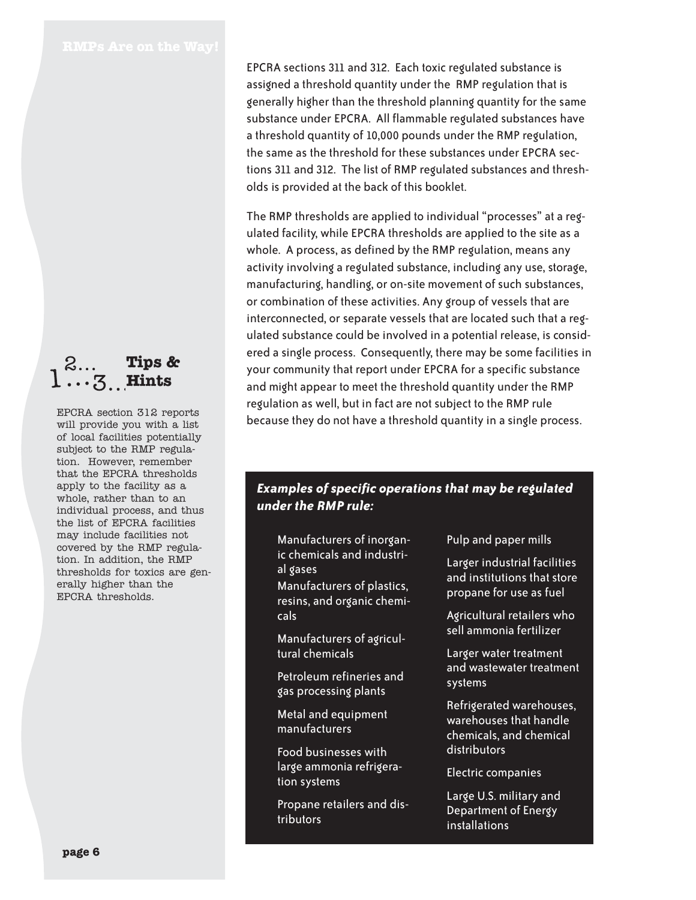## **Tips & Hints**

EPCRA section 312 reports will provide you with a list of local facilities potentially subject to the RMP regulation. However, remember that the EPCRA thresholds apply to the facility as a whole, rather than to an individual process, and thus the list of EPCRA facilities may include facilities not covered by the RMP regulation. In addition, the RMP thresholds for toxics are generally higher than the EPCRA thresholds.

EPCRA sections 311 and 312. Each toxic regulated substance is assigned a threshold quantity under the RMP regulation that is generally higher than the threshold planning quantity for the same substance under EPCRA. All flammable regulated substances have a threshold quantity of 10,000 pounds under the RMP regulation, the same as the threshold for these substances under EPCRA sections 311 and 312. The list of RMP regulated substances and thresholds is provided at the back of this booklet.

The RMP thresholds are applied to individual "processes" at a regulated facility, while EPCRA thresholds are applied to the site as a whole. A process, as defined by the RMP regulation, means any activity involving a regulated substance, including any use, storage, manufacturing, handling, or on-site movement of such substances, or combination of these activities. Any group of vessels that are interconnected, or separate vessels that are located such that a regulated substance could be involved in a potential release, is considered a single process. Consequently, there may be some facilities in your community that report under EPCRA for a specific substance and might appear to meet the threshold quantity under the RMP regulation as well, but in fact are not subject to the RMP rule because they do not have a threshold quantity in a single process.

#### *Examples of specific operations that may be regulated under the RMP rule:*

Manufacturers of inorganic chemicals and industrial gases

Manufacturers of plastics, resins, and organic chemicals

Manufacturers of agricultural chemicals

Petroleum refineries and gas processing plants

Metal and equipment manufacturers

Food businesses with large ammonia refrigeration systems

Propane retailers and distributors

Pulp and paper mills

Larger industrial facilities and institutions that store propane for use as fuel

Agricultural retailers who sell ammonia fertilizer

Larger water treatment and wastewater treatment systems

Refrigerated warehouses, warehouses that handle chemicals, and chemical distributors

Electric companies

Large U.S. military and Department of Energy installations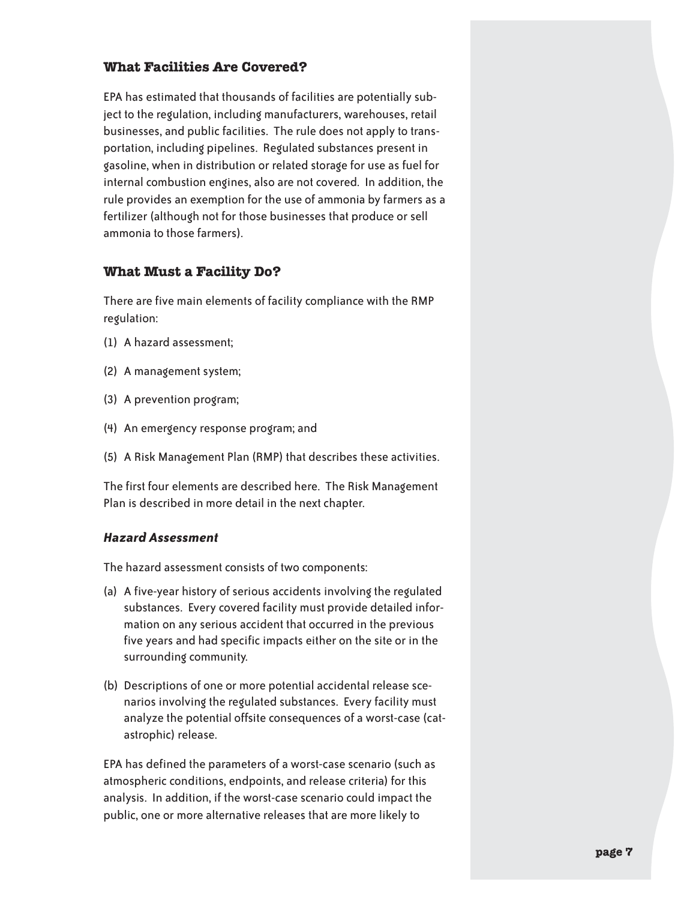#### **What Facilities Are Covered?**

EPA has estimated that thousands of facilities are potentially subject to the regulation, including manufacturers, warehouses, retail businesses, and public facilities. The rule does not apply to transportation, including pipelines. Regulated substances present in gasoline, when in distribution or related storage for use as fuel for internal combustion engines, also are not covered. In addition, the rule provides an exemption for the use of ammonia by farmers as a fertilizer (although not for those businesses that produce or sell ammonia to those farmers).

#### **What Must a Facility Do?**

There are five main elements of facility compliance with the RMP regulation:

- (1) A hazard assessment;
- (2) A management system;
- (3) A prevention program;
- (4) An emergency response program; and
- (5) A Risk Management Plan (RMP) that describes these activities.

The first four elements are described here. The Risk Management Plan is described in more detail in the next chapter.

#### *Hazard Assessment*

The hazard assessment consists of two components:

- (a) A five-year history of serious accidents involving the regulated substances. Every covered facility must provide detailed information on any serious accident that occurred in the previous five years and had specific impacts either on the site or in the surrounding community.
- (b) Descriptions of one or more potential accidental release scenarios involving the regulated substances. Every facility must analyze the potential offsite consequences of a worst-case (catastrophic) release.

EPA has defined the parameters of a worst-case scenario (such as atmospheric conditions, endpoints, and release criteria) for this analysis. In addition, if the worst-case scenario could impact the public, one or more alternative releases that are more likely to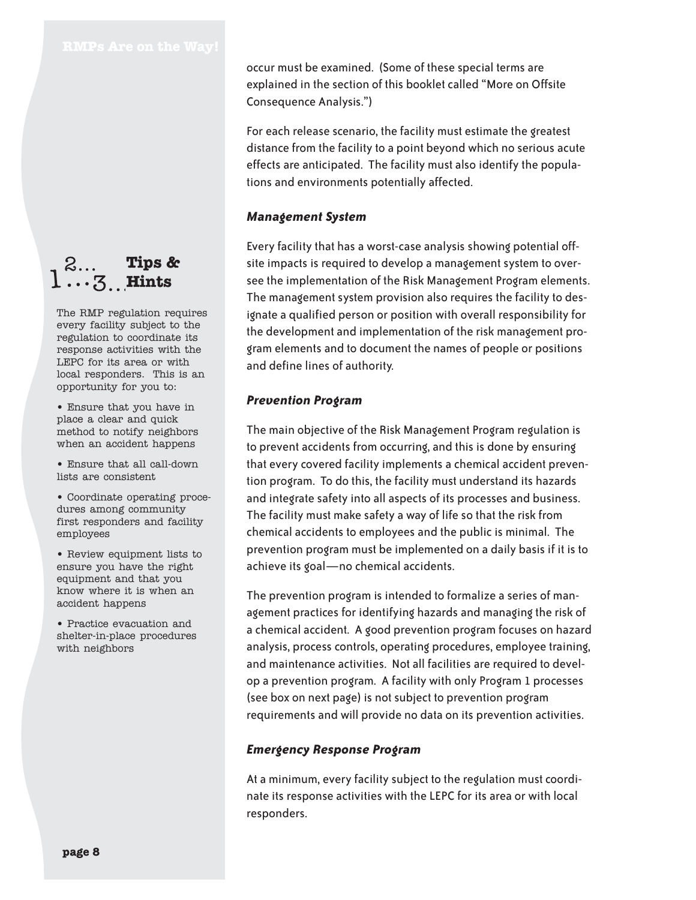#### $2...$ **Tips & Hints**

The RMP regulation requires every facility subject to the regulation to coordinate its response activities with the LEPC for its area or with local responders. This is an opportunity for you to:

- Ensure that you have in place a clear and quick method to notify neighbors when an accident happens
- Ensure that all call-down lists are consistent
- Coordinate operating procedures among community first responders and facility employees
- Review equipment lists to ensure you have the right equipment and that you know where it is when an accident happens
- Practice evacuation and shelter-in-place procedures with neighbors

occur must be examined. (Some of these special terms are explained in the section of this booklet called "More on Offsite Consequence Analysis.")

For each release scenario, the facility must estimate the greatest distance from the facility to a point beyond which no serious acute effects are anticipated. The facility must also identify the populations and environments potentially affected.

#### *Management System*

Every facility that has a worst-case analysis showing potential offsite impacts is required to develop a management system to oversee the implementation of the Risk Management Program elements. The management system provision also requires the facility to designate a qualified person or position with overall responsibility for the development and implementation of the risk management program elements and to document the names of people or positions and define lines of authority.

#### *Prevention Program*

The main objective of the Risk Management Program regulation is to prevent accidents from occurring, and this is done by ensuring that every covered facility implements a chemical accident prevention program. To do this, the facility must understand its hazards and integrate safety into all aspects of its processes and business. The facility must make safety a way of life so that the risk from chemical accidents to employees and the public is minimal. The prevention program must be implemented on a daily basis if it is to achieve its goal—no chemical accidents.

The prevention program is intended to formalize a series of management practices for identifying hazards and managing the risk of a chemical accident. A good prevention program focuses on hazard analysis, process controls, operating procedures, employee training, and maintenance activities. Not all facilities are required to develop a prevention program. A facility with only Program 1 processes (see box on next page) is not subject to prevention program requirements and will provide no data on its prevention activities.

#### *Emergency Response Program*

At a minimum, every facility subject to the regulation must coordinate its response activities with the LEPC for its area or with local responders.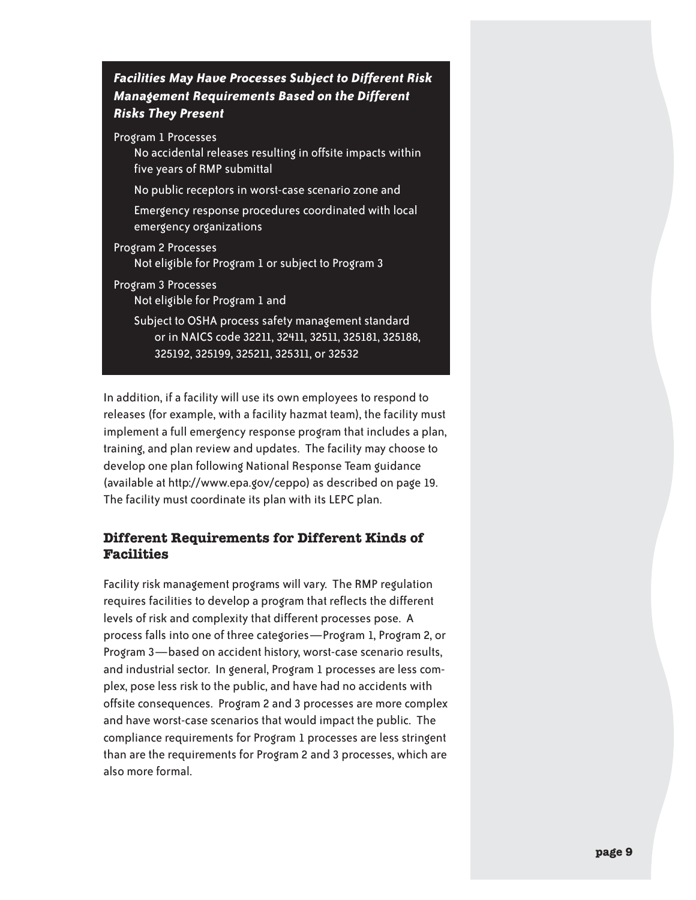## *Facilities May Have Processes Subject to Different Risk Management Requirements Based on the Different Risks They Present*  Program 1 Processes No accidental releases resulting in offsite impacts within five years of RMP submittal No public receptors in worst-case scenario zone and Emergency response procedures coordinated with local emergency organizations Program 2 Processes Not eligible for Program 1 or subject to Program 3 Program 3 Processes Not eligible for Program 1 and Subject to OSHA process safety management standard or in NAICS code 32211, 32411, 32511, 325181, 325188, 325192, 325199, 325211, 325311, or 32532

In addition, if a facility will use its own employees to respond to releases (for example, with a facility hazmat team), the facility must implement a full emergency response program that includes a plan, training, and plan review and updates. The facility may choose to develop one plan following National Response Team guidance (available at http://www.epa.gov/ceppo) as described on page 19. The facility must coordinate its plan with its LEPC plan.

## **Different Requirements for Different Kinds of Facilities**

Facility risk management programs will vary. The RMP regulation requires facilities to develop a program that reflects the different levels of risk and complexity that different processes pose. A process falls into one of three categories—Program 1, Program 2, or Program 3—based on accident history, worst-case scenario results, and industrial sector. In general, Program 1 processes are less complex, pose less risk to the public, and have had no accidents with offsite consequences. Program 2 and 3 processes are more complex and have worst-case scenarios that would impact the public. The compliance requirements for Program 1 processes are less stringent than are the requirements for Program 2 and 3 processes, which are also more formal.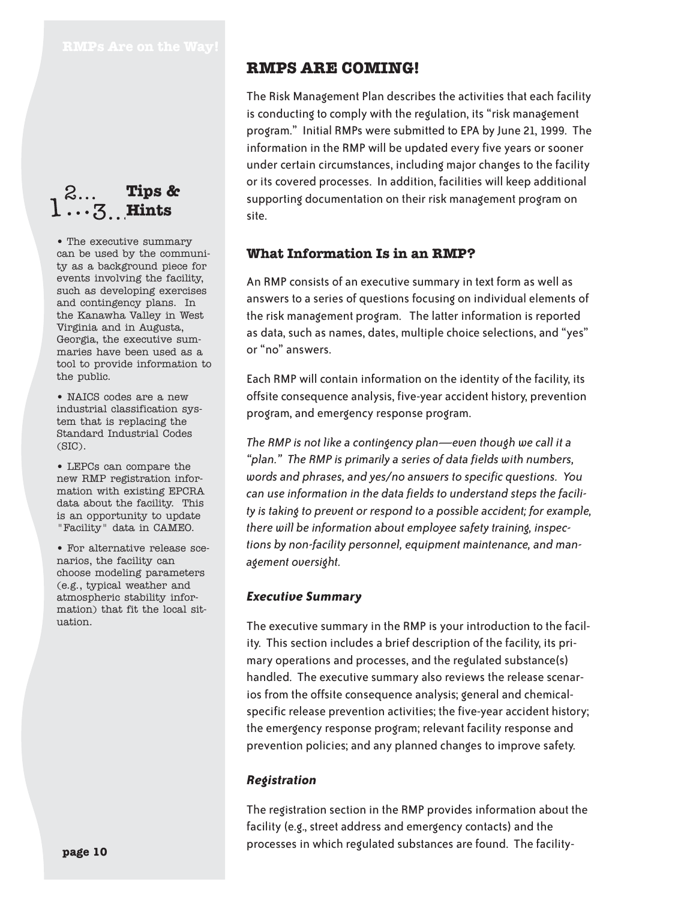#### $2...$ **Tips &**   $1...5$ . **Hints**

• The executive summary can be used by the community as a background piece for events involving the facility, such as developing exercises and contingency plans. In the Kanawha Valley in West Virginia and in Augusta, Georgia, the executive summaries have been used as a tool to provide information to the public.

• NAICS codes are a new industrial classification system that is replacing the Standard Industrial Codes (SIC).

• LEPCs can compare the new RMP registration information with existing EPCRA data about the facility. This is an opportunity to update "Facility" data in CAMEO.

• For alternative release scenarios, the facility can choose modeling parameters (e.g., typical weather and atmospheric stability information) that fit the local situation.

## **RMPS ARE COMING!**

The Risk Management Plan describes the activities that each facility is conducting to comply with the regulation, its "risk management program." Initial RMPs were submitted to EPA by June 21, 1999. The information in the RMP will be updated every five years or sooner under certain circumstances, including major changes to the facility or its covered processes. In addition, facilities will keep additional supporting documentation on their risk management program on site.

#### **What Information Is in an RMP?**

An RMP consists of an executive summary in text form as well as answers to a series of questions focusing on individual elements of the risk management program. The latter information is reported as data, such as names, dates, multiple choice selections, and "yes" or "no" answers.

Each RMP will contain information on the identity of the facility, its offsite consequence analysis, five-year accident history, prevention program, and emergency response program.

*The RMP is not like a contingency plan—even though we call it a "plan." The RMP is primarily a series of data fields with numbers, words and phrases, and yes/no answers to specific questions. You can use information in the data fields to understand steps the facility is taking to prevent or respond to a possible accident; for example, there will be information about employee safety training, inspections by non-facility personnel, equipment maintenance, and management oversight.* 

#### *Executive Summary*

The executive summary in the RMP is your introduction to the facility. This section includes a brief description of the facility, its primary operations and processes, and the regulated substance(s) handled. The executive summary also reviews the release scenarios from the offsite consequence analysis; general and chemicalspecific release prevention activities; the five-year accident history; the emergency response program; relevant facility response and prevention policies; and any planned changes to improve safety.

#### *Registration*

The registration section in the RMP provides information about the facility (e.g., street address and emergency contacts) and the processes in which regulated substances are found. The facility-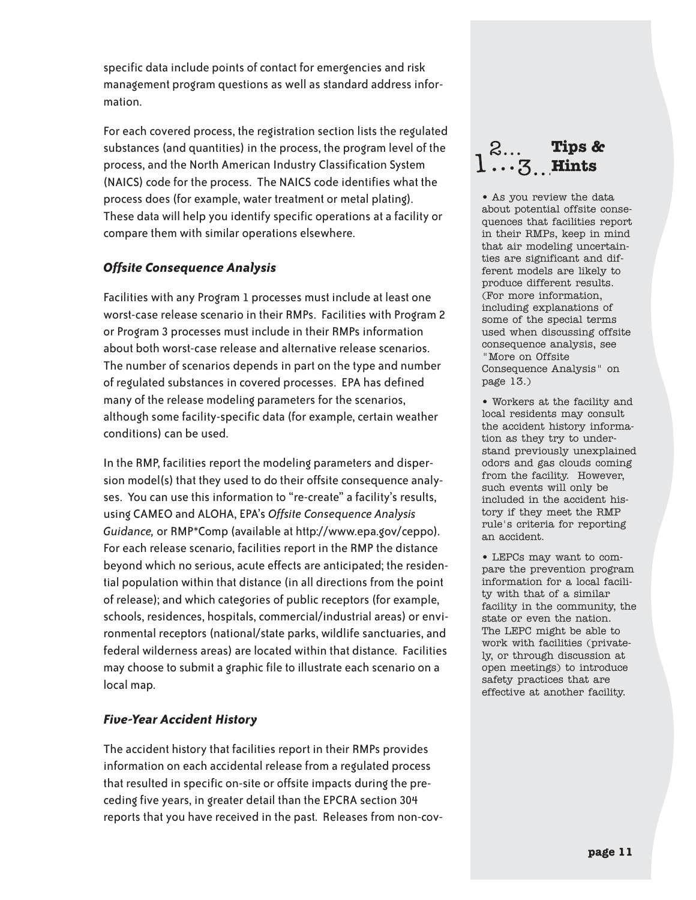specific data include points of contact for emergencies and risk management program questions as well as standard address information.

For each covered process, the registration section lists the regulated substances (and quantities) in the process, the program level of the process, and the North American Industry Classification System (NAICS) code for the process. The NAICS code identifies what the process does (for example, water treatment or metal plating). These data will help you identify specific operations at a facility or compare them with similar operations elsewhere.

#### *Offsite Consequence Analysis*

Facilities with any Program 1 processes must include at least one worst-case release scenario in their RMPs. Facilities with Program 2 or Program 3 processes must include in their RMPs information about both worst-case release and alternative release scenarios. The number of scenarios depends in part on the type and number of regulated substances in covered processes. EPA has defined many of the release modeling parameters for the scenarios, although some facility-specific data (for example, certain weather conditions) can be used.

In the RMP, facilities report the modeling parameters and dispersion model(s) that they used to do their offsite consequence analyses. You can use this information to "re-create" a facility's results, using CAMEO and ALOHA, EPA's *Offsite Consequence Analysis Guidance,* or RMP\*Comp (available at http://www.epa.gov/ceppo). For each release scenario, facilities report in the RMP the distance beyond which no serious, acute effects are anticipated; the residential population within that distance (in all directions from the point of release); and which categories of public receptors (for example, schools, residences, hospitals, commercial/industrial areas) or environmental receptors (national/state parks, wildlife sanctuaries, and federal wilderness areas) are located within that distance. Facilities may choose to submit a graphic file to illustrate each scenario on a local map.

#### *Five-Year Accident History*

The accident history that facilities report in their RMPs provides information on each accidental release from a regulated process that resulted in specific on-site or offsite impacts during the preceding five years, in greater detail than the EPCRA section 304 reports that you have received in the past. Releases from non-cov-

## **Tips & Hints**

• As you review the data about potential offsite consequences that facilities report in their RMPs, keep in mind that air modeling uncertainties are significant and different models are likely to produce different results. (For more information, including explanations of some of the special terms used when discussing offsite consequence analysis, see "More on Offsite Consequence Analysis" on page 13.)

• Workers at the facility and local residents may consult the accident history information as they try to understand previously unexplained odors and gas clouds coming from the facility. However, such events will only be included in the accident history if they meet the RMP rule's criteria for reporting an accident.

• LEPCs may want to compare the prevention program information for a local facility with that of a similar facility in the community, the state or even the nation. The LEPC might be able to work with facilities (privately, or through discussion at open meetings) to introduce safety practices that are effective at another facility.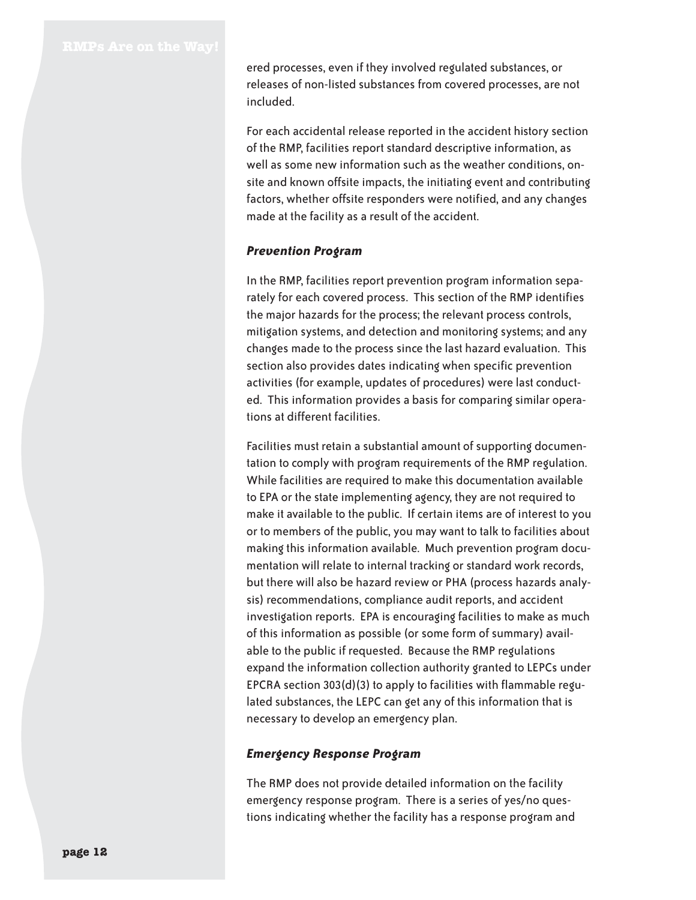ered processes, even if they involved regulated substances, or releases of non-listed substances from covered processes, are not included.

For each accidental release reported in the accident history section of the RMP, facilities report standard descriptive information, as well as some new information such as the weather conditions, onsite and known offsite impacts, the initiating event and contributing factors, whether offsite responders were notified, and any changes made at the facility as a result of the accident.

#### *Prevention Program*

In the RMP, facilities report prevention program information separately for each covered process. This section of the RMP identifies the major hazards for the process; the relevant process controls, mitigation systems, and detection and monitoring systems; and any changes made to the process since the last hazard evaluation. This section also provides dates indicating when specific prevention activities (for example, updates of procedures) were last conducted. This information provides a basis for comparing similar operations at different facilities.

Facilities must retain a substantial amount of supporting documentation to comply with program requirements of the RMP regulation. While facilities are required to make this documentation available to EPA or the state implementing agency, they are not required to make it available to the public. If certain items are of interest to you or to members of the public, you may want to talk to facilities about making this information available. Much prevention program documentation will relate to internal tracking or standard work records, but there will also be hazard review or PHA (process hazards analysis) recommendations, compliance audit reports, and accident investigation reports. EPA is encouraging facilities to make as much of this information as possible (or some form of summary) available to the public if requested. Because the RMP regulations expand the information collection authority granted to LEPCs under EPCRA section 303(d)(3) to apply to facilities with flammable regulated substances, the LEPC can get any of this information that is necessary to develop an emergency plan.

#### *Emergency Response Program*

The RMP does not provide detailed information on the facility emergency response program. There is a series of yes/no questions indicating whether the facility has a response program and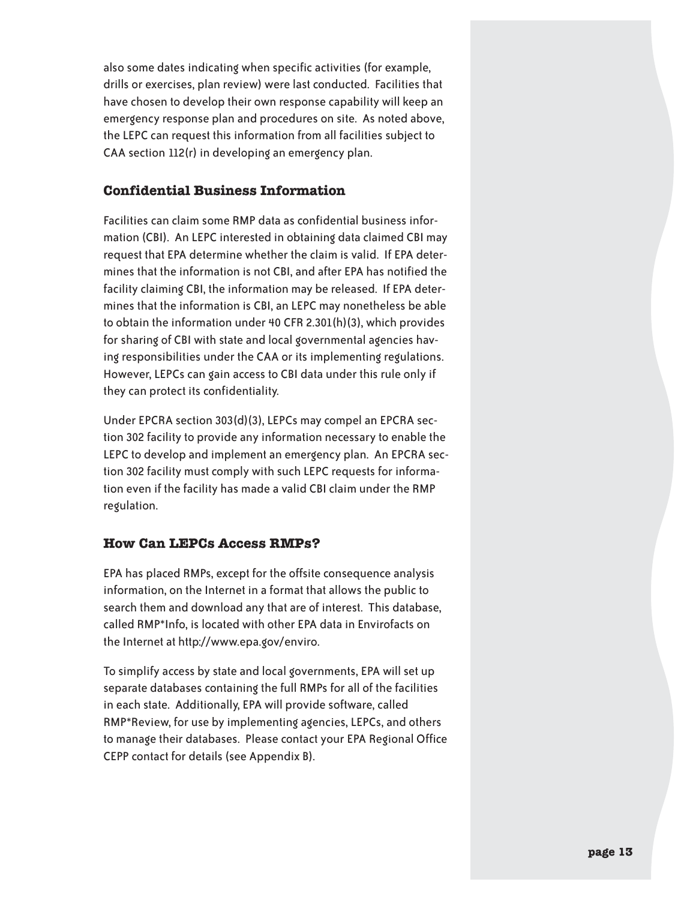also some dates indicating when specific activities (for example, drills or exercises, plan review) were last conducted. Facilities that have chosen to develop their own response capability will keep an emergency response plan and procedures on site. As noted above, the LEPC can request this information from all facilities subject to CAA section 112(r) in developing an emergency plan.

#### **Confidential Business Information**

Facilities can claim some RMP data as confidential business information (CBI). An LEPC interested in obtaining data claimed CBI may request that EPA determine whether the claim is valid. If EPA determines that the information is not CBI, and after EPA has notified the facility claiming CBI, the information may be released. If EPA determines that the information is CBI, an LEPC may nonetheless be able to obtain the information under 40 CFR 2.301(h)(3), which provides for sharing of CBI with state and local governmental agencies having responsibilities under the CAA or its implementing regulations. However, LEPCs can gain access to CBI data under this rule only if they can protect its confidentiality.

Under EPCRA section 303(d)(3), LEPCs may compel an EPCRA section 302 facility to provide any information necessary to enable the LEPC to develop and implement an emergency plan. An EPCRA section 302 facility must comply with such LEPC requests for information even if the facility has made a valid CBI claim under the RMP regulation.

#### **How Can LEPCs Access RMPs?**

EPA has placed RMPs, except for the offsite consequence analysis information, on the Internet in a format that allows the public to search them and download any that are of interest. This database, called RMP\*Info, is located with other EPA data in Envirofacts on the Internet at http://www.epa.gov/enviro.

To simplify access by state and local governments, EPA will set up separate databases containing the full RMPs for all of the facilities in each state. Additionally, EPA will provide software, called RMP\*Review, for use by implementing agencies, LEPCs, and others to manage their databases. Please contact your EPA Regional Office CEPP contact for details (see Appendix B).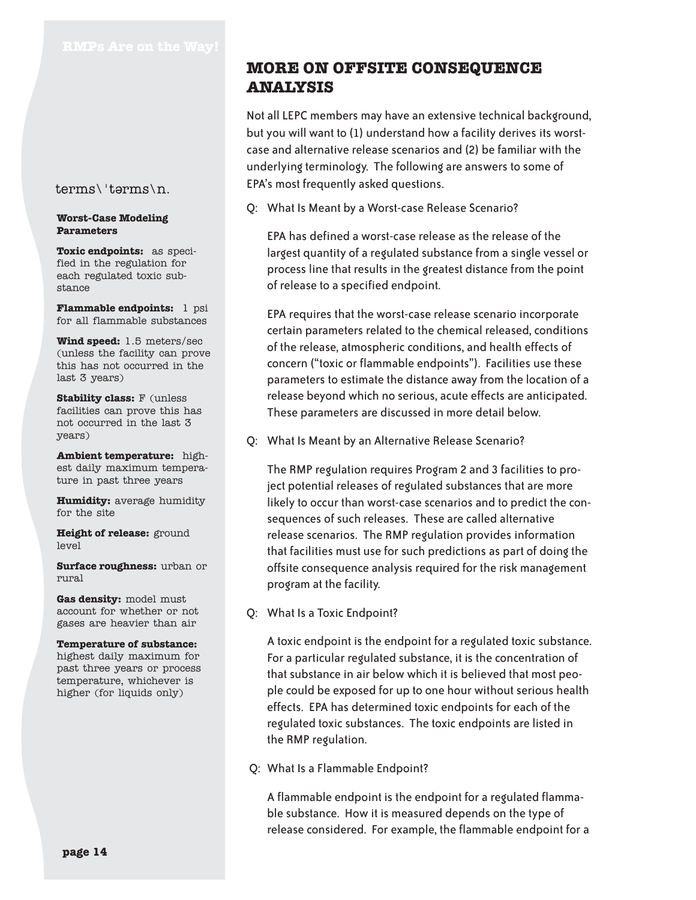#### terms\'terms\n.

#### **Worst-Case Modeling Parameters**

**Toxic endpoints:** as specified in the regulation for each regulated toxic substance

**Flammable endpoints:** 1 psi for all flammable substances

**Wind speed:** 1.5 meters/sec (unless the facility can prove this has not occurred in the last 3 years)

**Stability class:** F (unless facilities can prove this has not occurred in the last 3 years)

**Ambient temperature:** highest daily maximum temperature in past three years

**Humidity:** average humidity for the site

**Height of release:** ground level

**Surface roughness:** urban or rural

**Gas density:** model must account for whether or not gases are heavier than air

#### **Temperature of substance:**

highest daily maximum for past three years or process temperature, whichever is higher (for liquids only)

## **MORE ON OFFSITE CONSEQUENCE ANALYSIS**

Not all LEPC members may have an extensive technical background, but you will want to (1) understand how a facility derives its worstcase and alternative release scenarios and (2) be familiar with the underlying terminology. The following are answers to some of EPA's most frequently asked questions.

Q: What Is Meant by a Worst-case Release Scenario?

EPA has defined a worst-case release as the release of the largest quantity of a regulated substance from a single vessel or process line that results in the greatest distance from the point of release to a specified endpoint.

EPA requires that the worst-case release scenario incorporate certain parameters related to the chemical released, conditions of the release, atmospheric conditions, and health effects of concern ("toxic or flammable endpoints"). Facilities use these parameters to estimate the distance away from the location of a release beyond which no serious, acute effects are anticipated. These parameters are discussed in more detail below.

Q: What Is Meant by an Alternative Release Scenario?

The RMP regulation requires Program 2 and 3 facilities to project potential releases of regulated substances that are more likely to occur than worst-case scenarios and to predict the consequences of such releases. These are called alternative release scenarios. The RMP regulation provides information that facilities must use for such predictions as part of doing the offsite consequence analysis required for the risk management program at the facility.

Q: What Is a Toxic Endpoint?

A toxic endpoint is the endpoint for a regulated toxic substance. For a particular regulated substance, it is the concentration of that substance in air below which it is believed that most people could be exposed for up to one hour without serious health effects. EPA has determined toxic endpoints for each of the regulated toxic substances. The toxic endpoints are listed in the RMP regulation.

Q: What Is a Flammable Endpoint?

A flammable endpoint is the endpoint for a regulated flammable substance. How it is measured depends on the type of release considered. For example, the flammable endpoint for a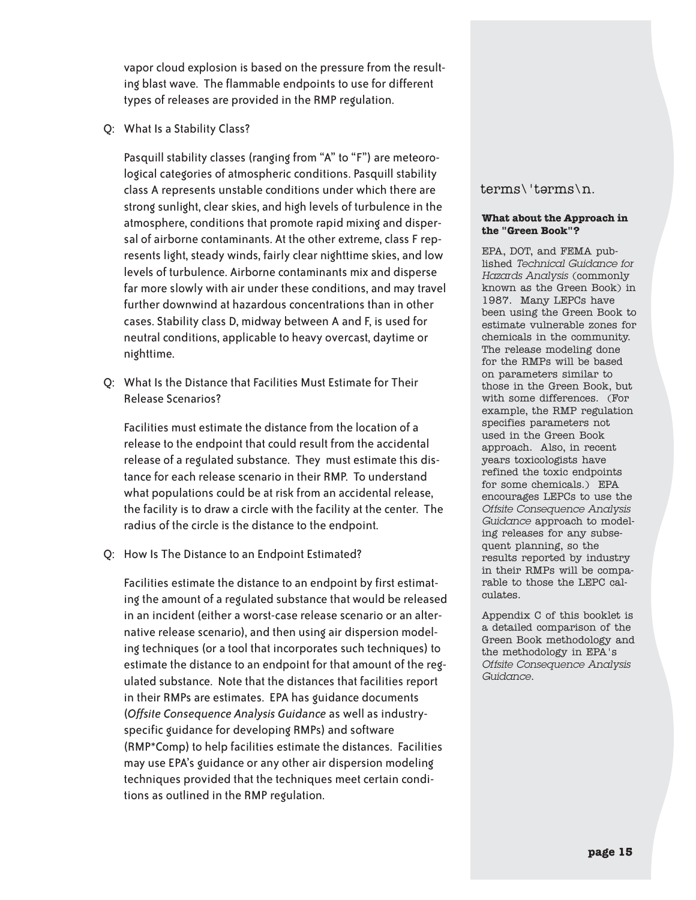vapor cloud explosion is based on the pressure from the resulting blast wave. The flammable endpoints to use for different types of releases are provided in the RMP regulation.

Q: What Is a Stability Class?

Pasquill stability classes (ranging from "A" to "F") are meteorological categories of atmospheric conditions. Pasquill stability class A represents unstable conditions under which there are strong sunlight, clear skies, and high levels of turbulence in the atmosphere, conditions that promote rapid mixing and dispersal of airborne contaminants. At the other extreme, class F represents light, steady winds, fairly clear nighttime skies, and low levels of turbulence. Airborne contaminants mix and disperse far more slowly with air under these conditions, and may travel further downwind at hazardous concentrations than in other cases. Stability class D, midway between A and F, is used for neutral conditions, applicable to heavy overcast, daytime or nighttime.

Q: What Is the Distance that Facilities Must Estimate for Their Release Scenarios?

Facilities must estimate the distance from the location of a release to the endpoint that could result from the accidental release of a regulated substance. They must estimate this distance for each release scenario in their RMP. To understand what populations could be at risk from an accidental release, the facility is to draw a circle with the facility at the center. The radius of the circle is the distance to the endpoint.

Q: How Is The Distance to an Endpoint Estimated?

Facilities estimate the distance to an endpoint by first estimating the amount of a regulated substance that would be released in an incident (either a worst-case release scenario or an alternative release scenario), and then using air dispersion modeling techniques (or a tool that incorporates such techniques) to estimate the distance to an endpoint for that amount of the regulated substance. Note that the distances that facilities report in their RMPs are estimates. EPA has guidance documents (*Offsite Consequence Analysis Guidance* as well as industryspecific guidance for developing RMPs) and software (RMP\*Comp) to help facilities estimate the distances. Facilities may use EPA's guidance or any other air dispersion modeling techniques provided that the techniques meet certain conditions as outlined in the RMP regulation.

#### terms\'terms\n.

#### **What about the Approach in the "Green Book"?**

EPA, DOT, and FEMA published Technical Guidance for Hazards Analysis (commonly known as the Green Book) in 1987. Many LEPCs have been using the Green Book to estimate vulnerable zones for chemicals in the community. The release modeling done for the RMPs will be based on parameters similar to those in the Green Book, but with some differences. (For example, the RMP regulation specifies parameters not used in the Green Book approach. Also, in recent years toxicologists have refined the toxic endpoints for some chemicals.) EPA encourages LEPCs to use the Offsite Consequence Analysis Guidance approach to modeling releases for any subsequent planning, so the results reported by industry in their RMPs will be comparable to those the LEPC calculates.

Appendix C of this booklet is a detailed comparison of the Green Book methodology and the methodology in EPA's Offsite Consequence Analysis Guidance.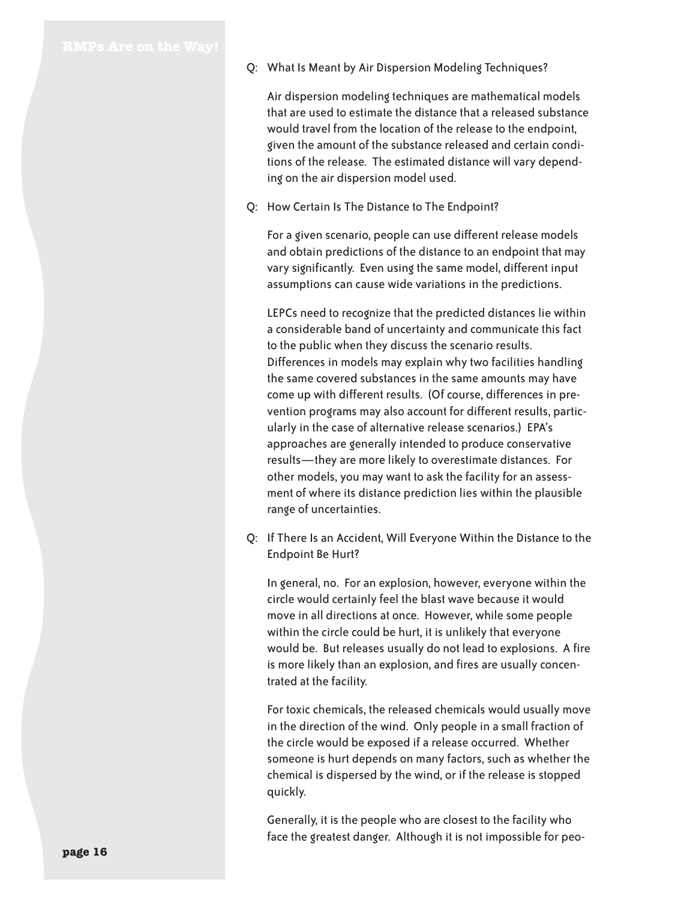Q: What Is Meant by Air Dispersion Modeling Techniques?

Air dispersion modeling techniques are mathematical models that are used to estimate the distance that a released substance would travel from the location of the release to the endpoint, given the amount of the substance released and certain conditions of the release. The estimated distance will vary depending on the air dispersion model used.

Q: How Certain Is The Distance to The Endpoint?

For a given scenario, people can use different release models and obtain predictions of the distance to an endpoint that may vary significantly. Even using the same model, different input assumptions can cause wide variations in the predictions.

LEPCs need to recognize that the predicted distances lie within a considerable band of uncertainty and communicate this fact to the public when they discuss the scenario results. Differences in models may explain why two facilities handling the same covered substances in the same amounts may have come up with different results. (Of course, differences in prevention programs may also account for different results, particularly in the case of alternative release scenarios.) EPA's approaches are generally intended to produce conservative results—they are more likely to overestimate distances. For other models, you may want to ask the facility for an assessment of where its distance prediction lies within the plausible range of uncertainties.

Q: If There Is an Accident, Will Everyone Within the Distance to the Endpoint Be Hurt?

In general, no. For an explosion, however, everyone within the circle would certainly feel the blast wave because it would move in all directions at once. However, while some people within the circle could be hurt, it is unlikely that everyone would be. But releases usually do not lead to explosions. A fire is more likely than an explosion, and fires are usually concentrated at the facility.

For toxic chemicals, the released chemicals would usually move in the direction of the wind. Only people in a small fraction of the circle would be exposed if a release occurred. Whether someone is hurt depends on many factors, such as whether the chemical is dispersed by the wind, or if the release is stopped quickly.

Generally, it is the people who are closest to the facility who face the greatest danger. Although it is not impossible for peo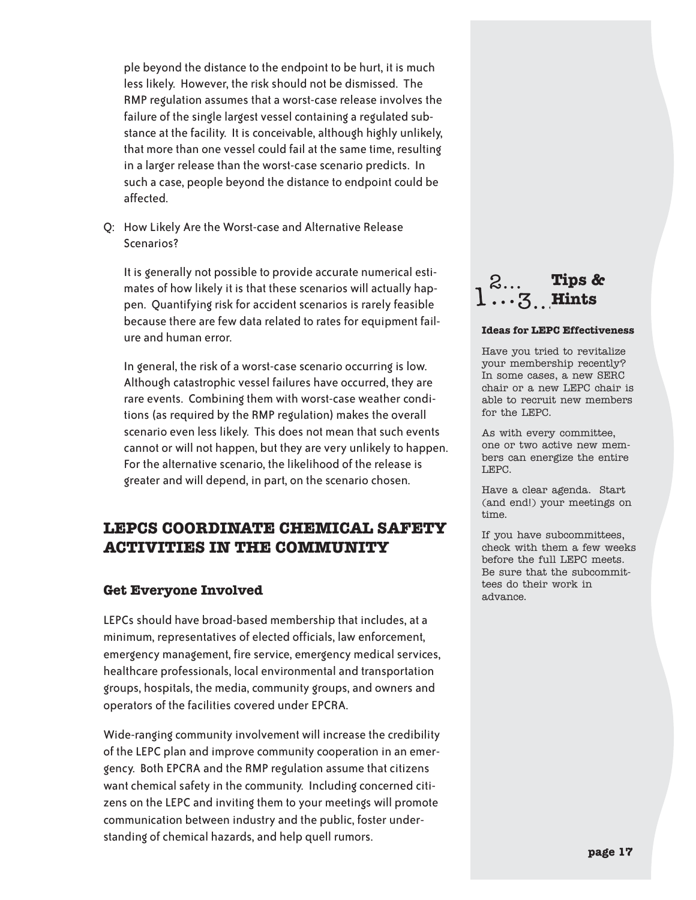ple beyond the distance to the endpoint to be hurt, it is much less likely. However, the risk should not be dismissed. The RMP regulation assumes that a worst-case release involves the failure of the single largest vessel containing a regulated substance at the facility. It is conceivable, although highly unlikely, that more than one vessel could fail at the same time, resulting in a larger release than the worst-case scenario predicts. In such a case, people beyond the distance to endpoint could be affected.

Q: How Likely Are the Worst-case and Alternative Release Scenarios?

It is generally not possible to provide accurate numerical estimates of how likely it is that these scenarios will actually happen. Quantifying risk for accident scenarios is rarely feasible because there are few data related to rates for equipment failure and human error.

In general, the risk of a worst-case scenario occurring is low. Although catastrophic vessel failures have occurred, they are rare events. Combining them with worst-case weather conditions (as required by the RMP regulation) makes the overall scenario even less likely. This does not mean that such events cannot or will not happen, but they are very unlikely to happen. For the alternative scenario, the likelihood of the release is greater and will depend, in part, on the scenario chosen.

## **LEPCS COORDINATE CHEMICAL SAFETY ACTIVITIES IN THE COMMUNITY**

#### **Get Everyone Involved**

LEPCs should have broad-based membership that includes, at a minimum, representatives of elected officials, law enforcement, emergency management, fire service, emergency medical services, healthcare professionals, local environmental and transportation groups, hospitals, the media, community groups, and owners and operators of the facilities covered under EPCRA.

Wide-ranging community involvement will increase the credibility of the LEPC plan and improve community cooperation in an emergency. Both EPCRA and the RMP regulation assume that citizens want chemical safety in the community. Including concerned citizens on the LEPC and inviting them to your meetings will promote communication between industry and the public, foster understanding of chemical hazards, and help quell rumors.

## **Tips &**   $1 \n\n $\dots \n3$  . Hints$

#### **Ideas for LEPC Effectiveness**

Have you tried to revitalize your membership recently? In some cases, a new SERC chair or a new LEPC chair is able to recruit new members for the LEPC.

As with every committee, one or two active new members can energize the entire LEPC.

Have a clear agenda. Start (and end!) your meetings on time.

If you have subcommittees, check with them a few weeks before the full LEPC meets. Be sure that the subcommittees do their work in advance.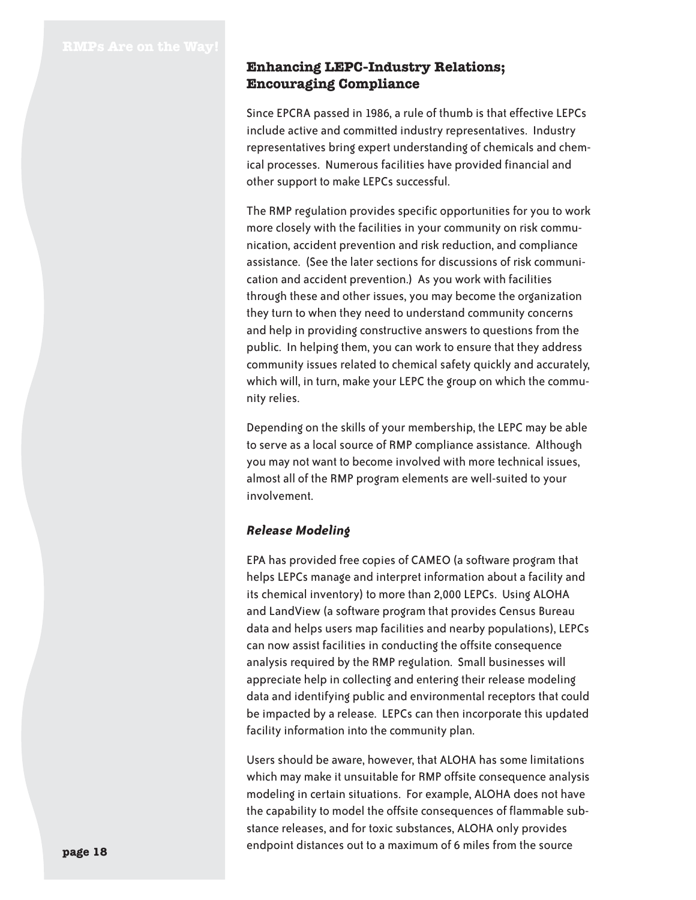#### **Enhancing LEPC-Industry Relations; Encouraging Compliance**

Since EPCRA passed in 1986, a rule of thumb is that effective LEPCs include active and committed industry representatives. Industry representatives bring expert understanding of chemicals and chemical processes. Numerous facilities have provided financial and other support to make LEPCs successful.

The RMP regulation provides specific opportunities for you to work more closely with the facilities in your community on risk communication, accident prevention and risk reduction, and compliance assistance. (See the later sections for discussions of risk communication and accident prevention.) As you work with facilities through these and other issues, you may become the organization they turn to when they need to understand community concerns and help in providing constructive answers to questions from the public. In helping them, you can work to ensure that they address community issues related to chemical safety quickly and accurately, which will, in turn, make your LEPC the group on which the community relies.

Depending on the skills of your membership, the LEPC may be able to serve as a local source of RMP compliance assistance. Although you may not want to become involved with more technical issues, almost all of the RMP program elements are well-suited to your involvement.

#### *Release Modeling*

EPA has provided free copies of CAMEO (a software program that helps LEPCs manage and interpret information about a facility and its chemical inventory) to more than 2,000 LEPCs. Using ALOHA and LandView (a software program that provides Census Bureau data and helps users map facilities and nearby populations), LEPCs can now assist facilities in conducting the offsite consequence analysis required by the RMP regulation. Small businesses will appreciate help in collecting and entering their release modeling data and identifying public and environmental receptors that could be impacted by a release. LEPCs can then incorporate this updated facility information into the community plan.

Users should be aware, however, that ALOHA has some limitations which may make it unsuitable for RMP offsite consequence analysis modeling in certain situations. For example, ALOHA does not have the capability to model the offsite consequences of flammable substance releases, and for toxic substances, ALOHA only provides endpoint distances out to a maximum of 6 miles from the source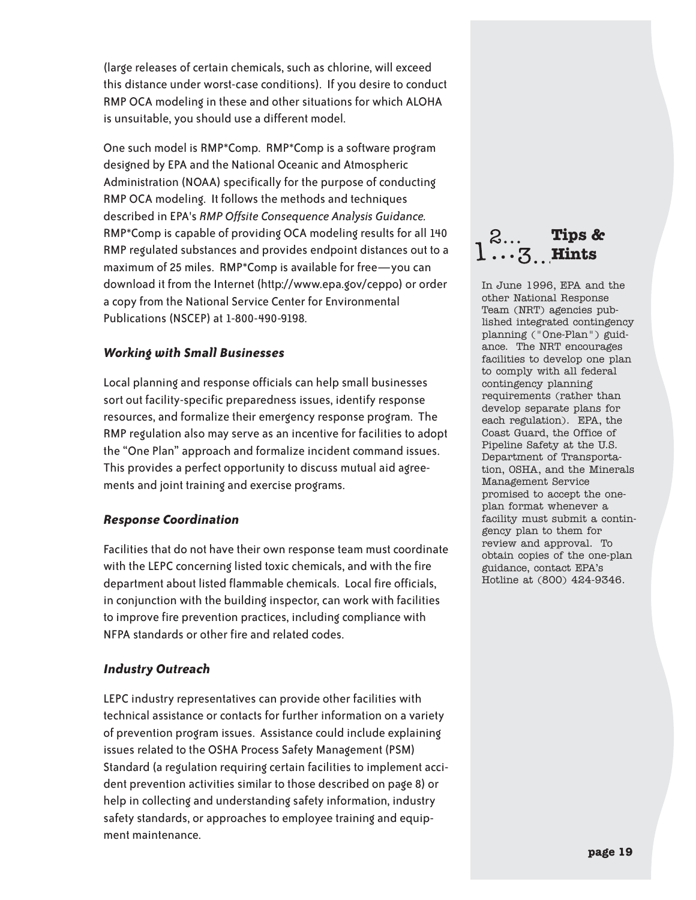(large releases of certain chemicals, such as chlorine, will exceed this distance under worst-case conditions). If you desire to conduct RMP OCA modeling in these and other situations for which ALOHA is unsuitable, you should use a different model.

One such model is RMP\*Comp. RMP\*Comp is a software program designed by EPA and the National Oceanic and Atmospheric Administration (NOAA) specifically for the purpose of conducting RMP OCA modeling. It follows the methods and techniques described in EPA's *RMP Offsite Consequence Analysis Guidance.*  RMP\*Comp is capable of providing OCA modeling results for all 140 RMP regulated substances and provides endpoint distances out to a maximum of 25 miles. RMP\*Comp is available for free—you can download it from the Internet (http://www.epa.gov/ceppo) or order a copy from the National Service Center for Environmental Publications (NSCEP) at 1-800-490-9198.

#### *Working with Small Businesses*

Local planning and response officials can help small businesses sort out facility-specific preparedness issues, identify response resources, and formalize their emergency response program. The RMP regulation also may serve as an incentive for facilities to adopt the "One Plan" approach and formalize incident command issues. This provides a perfect opportunity to discuss mutual aid agreements and joint training and exercise programs.

#### *Response Coordination*

Facilities that do not have their own response team must coordinate with the LEPC concerning listed toxic chemicals, and with the fire department about listed flammable chemicals. Local fire officials, in conjunction with the building inspector, can work with facilities to improve fire prevention practices, including compliance with NFPA standards or other fire and related codes.

#### *Industry Outreach*

LEPC industry representatives can provide other facilities with technical assistance or contacts for further information on a variety of prevention program issues. Assistance could include explaining issues related to the OSHA Process Safety Management (PSM) Standard (a regulation requiring certain facilities to implement accident prevention activities similar to those described on page 8) or help in collecting and understanding safety information, industry safety standards, or approaches to employee training and equipment maintenance.

## **Tips & Hints**

In June 1996, EPA and the other National Response Team (NRT) agencies published integrated contingency planning ("One-Plan") guidance. The NRT encourages facilities to develop one plan to comply with all federal contingency planning requirements (rather than develop separate plans for each regulation). EPA, the Coast Guard, the Office of Pipeline Safety at the U.S. Department of Transportation, OSHA, and the Minerals Management Service promised to accept the oneplan format whenever a facility must submit a contingency plan to them for review and approval. To obtain copies of the one-plan guidance, contact EPA's Hotline at (800) 424-9346.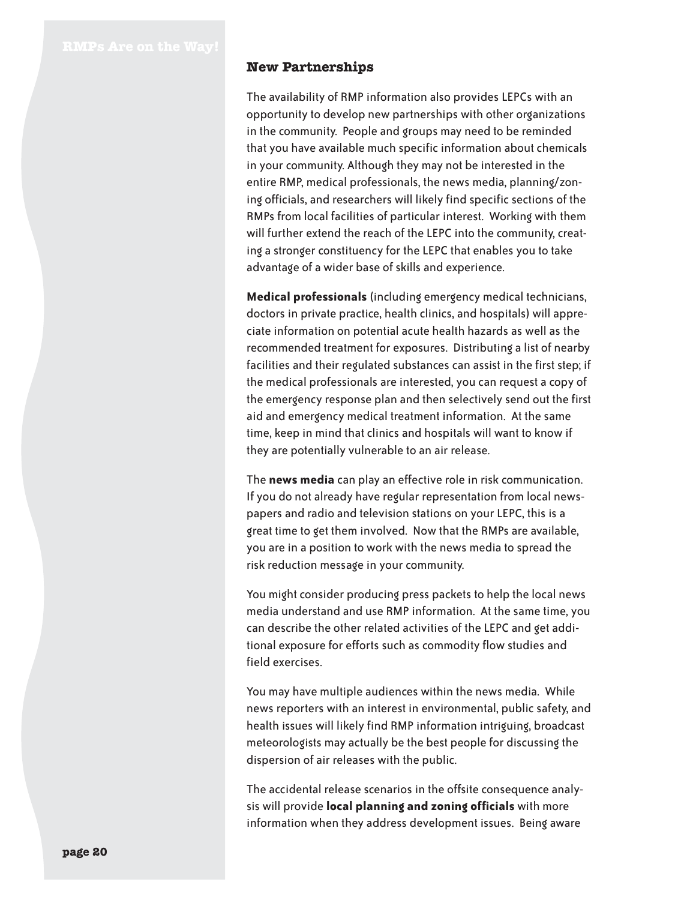#### **New Partnerships**

The availability of RMP information also provides LEPCs with an opportunity to develop new partnerships with other organizations in the community. People and groups may need to be reminded that you have available much specific information about chemicals in your community. Although they may not be interested in the entire RMP, medical professionals, the news media, planning/zoning officials, and researchers will likely find specific sections of the RMPs from local facilities of particular interest. Working with them will further extend the reach of the LEPC into the community, creating a stronger constituency for the LEPC that enables you to take advantage of a wider base of skills and experience.

**Medical professionals** (including emergency medical technicians, doctors in private practice, health clinics, and hospitals) will appreciate information on potential acute health hazards as well as the recommended treatment for exposures. Distributing a list of nearby facilities and their regulated substances can assist in the first step; if the medical professionals are interested, you can request a copy of the emergency response plan and then selectively send out the first aid and emergency medical treatment information. At the same time, keep in mind that clinics and hospitals will want to know if they are potentially vulnerable to an air release.

The **news media** can play an effective role in risk communication. If you do not already have regular representation from local newspapers and radio and television stations on your LEPC, this is a great time to get them involved. Now that the RMPs are available, you are in a position to work with the news media to spread the risk reduction message in your community.

You might consider producing press packets to help the local news media understand and use RMP information. At the same time, you can describe the other related activities of the LEPC and get additional exposure for efforts such as commodity flow studies and field exercises.

You may have multiple audiences within the news media. While news reporters with an interest in environmental, public safety, and health issues will likely find RMP information intriguing, broadcast meteorologists may actually be the best people for discussing the dispersion of air releases with the public.

The accidental release scenarios in the offsite consequence analysis will provide **local planning and zoning officials** with more information when they address development issues. Being aware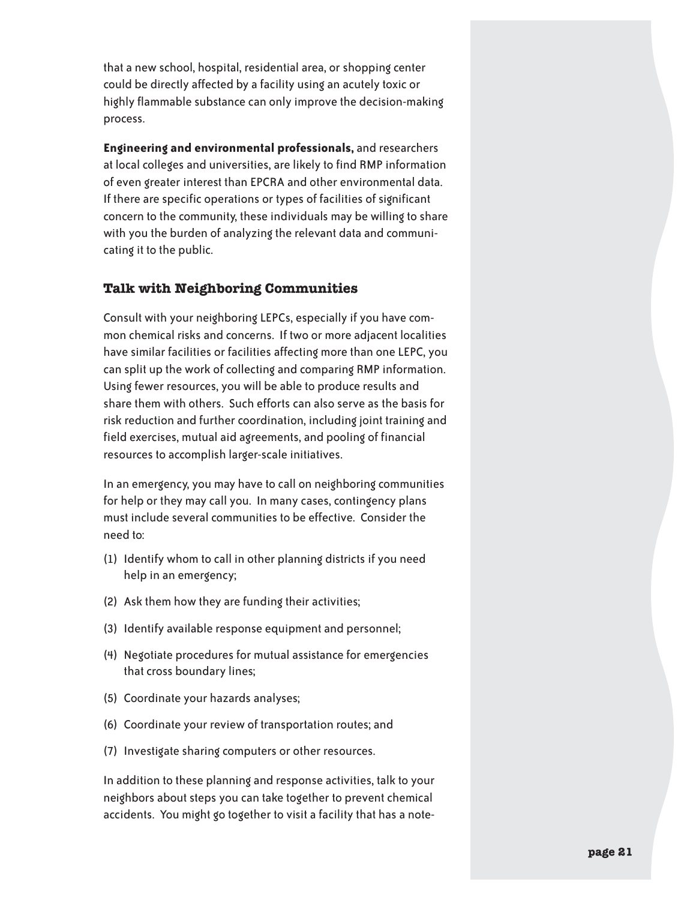that a new school, hospital, residential area, or shopping center could be directly affected by a facility using an acutely toxic or highly flammable substance can only improve the decision-making process.

**Engineering and environmental professionals,** and researchers at local colleges and universities, are likely to find RMP information of even greater interest than EPCRA and other environmental data. If there are specific operations or types of facilities of significant concern to the community, these individuals may be willing to share with you the burden of analyzing the relevant data and communicating it to the public.

#### **Talk with Neighboring Communities**

Consult with your neighboring LEPCs, especially if you have common chemical risks and concerns. If two or more adjacent localities have similar facilities or facilities affecting more than one LEPC, you can split up the work of collecting and comparing RMP information. Using fewer resources, you will be able to produce results and share them with others. Such efforts can also serve as the basis for risk reduction and further coordination, including joint training and field exercises, mutual aid agreements, and pooling of financial resources to accomplish larger-scale initiatives.

In an emergency, you may have to call on neighboring communities for help or they may call you. In many cases, contingency plans must include several communities to be effective. Consider the need to:

- (1) Identify whom to call in other planning districts if you need help in an emergency;
- (2) Ask them how they are funding their activities;
- (3) Identify available response equipment and personnel;
- (4) Negotiate procedures for mutual assistance for emergencies that cross boundary lines;
- (5) Coordinate your hazards analyses;
- (6) Coordinate your review of transportation routes; and
- (7) Investigate sharing computers or other resources.

In addition to these planning and response activities, talk to your neighbors about steps you can take together to prevent chemical accidents. You might go together to visit a facility that has a note-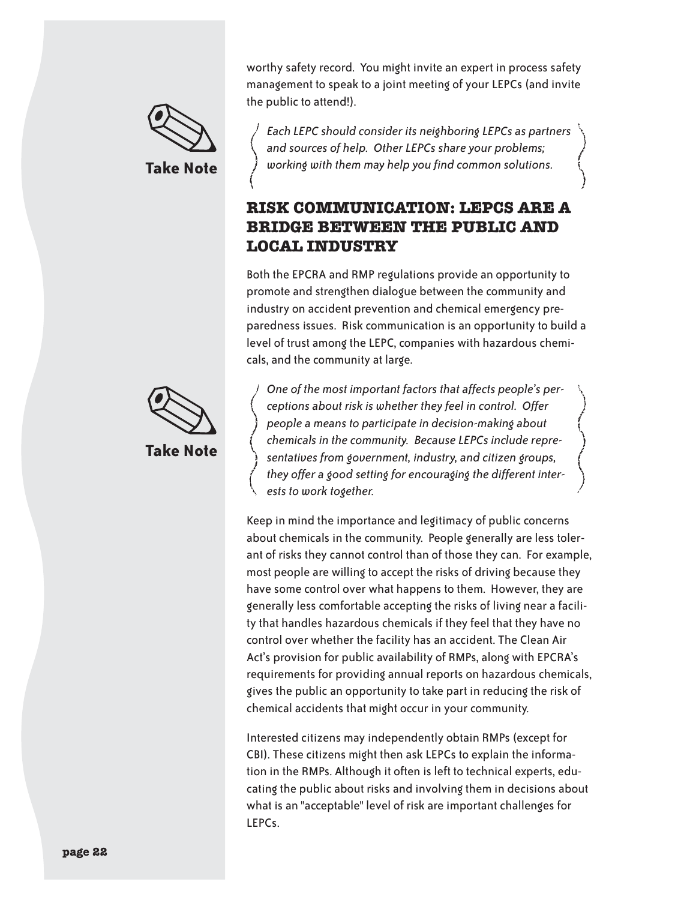

worthy safety record. You might invite an expert in process safety management to speak to a joint meeting of your LEPCs (and invite the public to attend!).

*Each LEPC should consider its neighboring LEPCs as partners and sources of help. Other LEPCs share your problems; working with them may help you find common solutions.* 

## **RISK COMMUNICATION: LEPCS ARE A BRIDGE BETWEEN THE PUBLIC AND LOCAL INDUSTRY**

Both the EPCRA and RMP regulations provide an opportunity to promote and strengthen dialogue between the community and industry on accident prevention and chemical emergency preparedness issues. Risk communication is an opportunity to build a level of trust among the LEPC, companies with hazardous chemicals, and the community at large.



*One of the most important factors that affects people's perceptions about risk is whether they feel in control. Offer people a means to participate in decision-making about chemicals in the community. Because LEPCs include representatives from government, industry, and citizen groups, they offer a good setting for encouraging the different interests to work together.* 

Keep in mind the importance and legitimacy of public concerns about chemicals in the community. People generally are less tolerant of risks they cannot control than of those they can. For example, most people are willing to accept the risks of driving because they have some control over what happens to them. However, they are generally less comfortable accepting the risks of living near a facility that handles hazardous chemicals if they feel that they have no control over whether the facility has an accident. The Clean Air Act's provision for public availability of RMPs, along with EPCRA's requirements for providing annual reports on hazardous chemicals, gives the public an opportunity to take part in reducing the risk of chemical accidents that might occur in your community.

Interested citizens may independently obtain RMPs (except for CBI). These citizens might then ask LEPCs to explain the information in the RMPs. Although it often is left to technical experts, educating the public about risks and involving them in decisions about what is an "acceptable" level of risk are important challenges for LEPCs.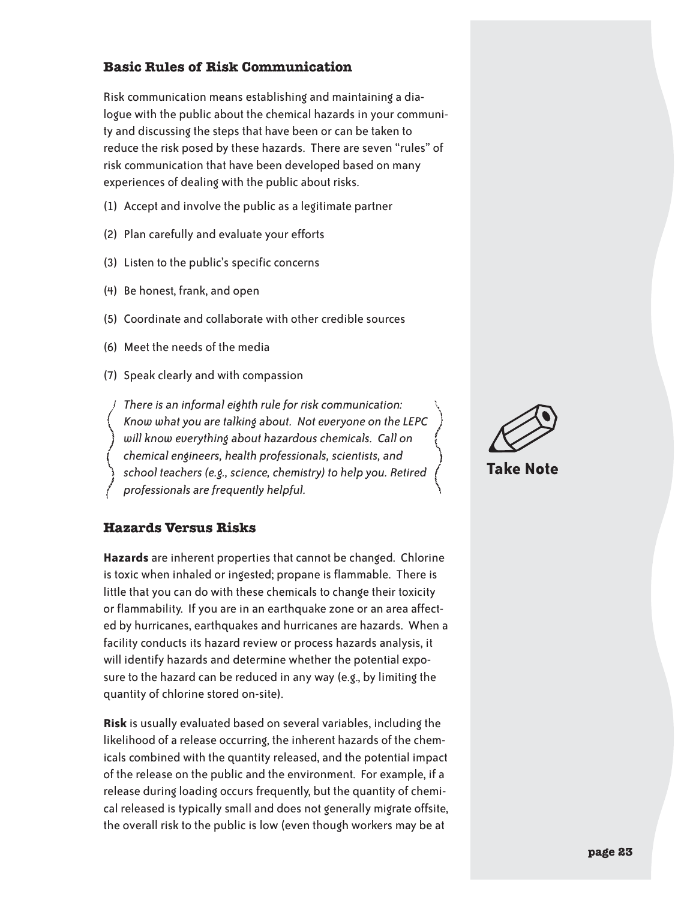#### **Basic Rules of Risk Communication**

Risk communication means establishing and maintaining a dialogue with the public about the chemical hazards in your community and discussing the steps that have been or can be taken to reduce the risk posed by these hazards. There are seven "rules" of risk communication that have been developed based on many experiences of dealing with the public about risks.

- (1) Accept and involve the public as a legitimate partner
- (2) Plan carefully and evaluate your efforts
- (3) Listen to the public's specific concerns
- (4) Be honest, frank, and open
- (5) Coordinate and collaborate with other credible sources
- (6) Meet the needs of the media
- (7) Speak clearly and with compassion

*There is an informal eighth rule for risk communication: Know what you are talking about. Not everyone on the LEPC will know everything about hazardous chemicals. Call on chemical engineers, health professionals, scientists, and school teachers (e.g., science, chemistry) to help you. Retired professionals are frequently helpful.* 

#### **Hazards Versus Risks**

**Hazards** are inherent properties that cannot be changed. Chlorine is toxic when inhaled or ingested; propane is flammable. There is little that you can do with these chemicals to change their toxicity or flammability. If you are in an earthquake zone or an area affected by hurricanes, earthquakes and hurricanes are hazards. When a facility conducts its hazard review or process hazards analysis, it will identify hazards and determine whether the potential exposure to the hazard can be reduced in any way (e.g., by limiting the quantity of chlorine stored on-site).

**Risk** is usually evaluated based on several variables, including the likelihood of a release occurring, the inherent hazards of the chemicals combined with the quantity released, and the potential impact of the release on the public and the environment. For example, if a release during loading occurs frequently, but the quantity of chemical released is typically small and does not generally migrate offsite, the overall risk to the public is low (even though workers may be at



**Take Note**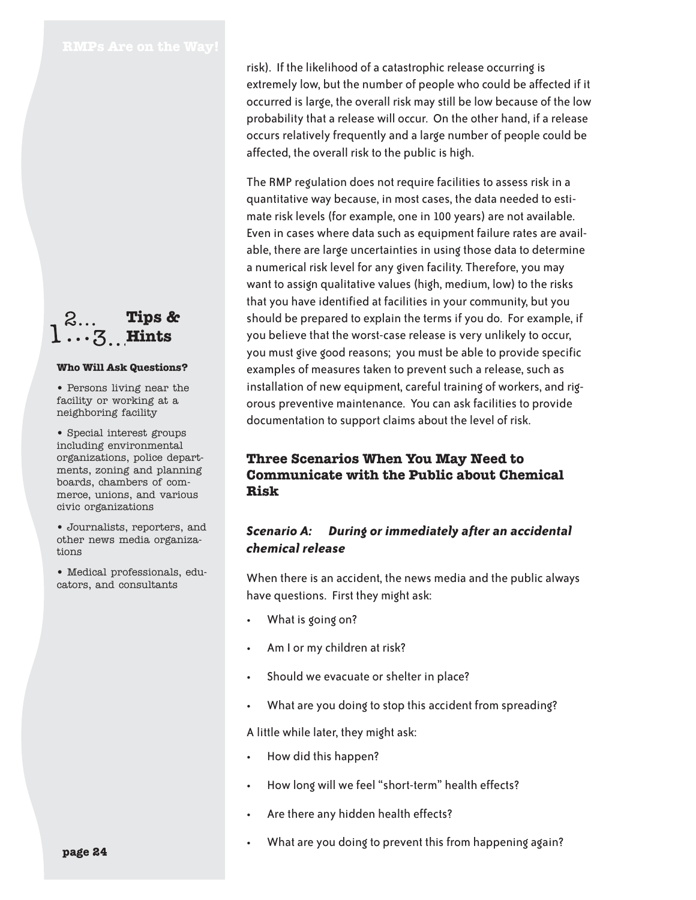#### **Tips &**  <u>2…</u>  $1 \cdots 7$  **Hints**

#### **Who Will Ask Questions?**

• Persons living near the facility or working at a neighboring facility

• Special interest groups including environmental organizations, police departments, zoning and planning boards, chambers of commerce, unions, and various civic organizations

• Journalists, reporters, and other news media organizations

• Medical professionals, educators, and consultants

risk). If the likelihood of a catastrophic release occurring is extremely low, but the number of people who could be affected if it occurred is large, the overall risk may still be low because of the low probability that a release will occur. On the other hand, if a release occurs relatively frequently and a large number of people could be affected, the overall risk to the public is high.

The RMP regulation does not require facilities to assess risk in a quantitative way because, in most cases, the data needed to estimate risk levels (for example, one in 100 years) are not available. Even in cases where data such as equipment failure rates are available, there are large uncertainties in using those data to determine a numerical risk level for any given facility. Therefore, you may want to assign qualitative values (high, medium, low) to the risks that you have identified at facilities in your community, but you should be prepared to explain the terms if you do. For example, if you believe that the worst-case release is very unlikely to occur, you must give good reasons; you must be able to provide specific examples of measures taken to prevent such a release, such as installation of new equipment, careful training of workers, and rigorous preventive maintenance. You can ask facilities to provide documentation to support claims about the level of risk.

#### **Three Scenarios When You May Need to Communicate with the Public about Chemical Risk**

#### *Scenario A: During or immediately after an accidental chemical release*

When there is an accident, the news media and the public always have questions. First they might ask:

- What is going on?
- Am I or my children at risk?
- Should we evacuate or shelter in place?
- What are you doing to stop this accident from spreading?

A little while later, they might ask:

- How did this happen?
- How long will we feel "short-term" health effects?
- Are there any hidden health effects?
- What are you doing to prevent this from happening again?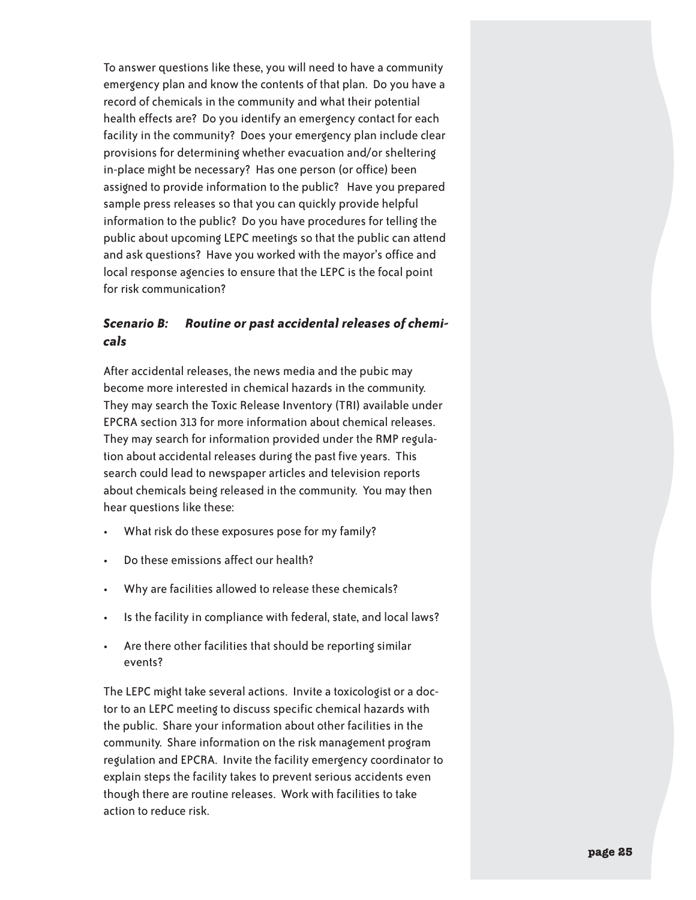To answer questions like these, you will need to have a community emergency plan and know the contents of that plan. Do you have a record of chemicals in the community and what their potential health effects are? Do you identify an emergency contact for each facility in the community? Does your emergency plan include clear provisions for determining whether evacuation and/or sheltering in-place might be necessary? Has one person (or office) been assigned to provide information to the public? Have you prepared sample press releases so that you can quickly provide helpful information to the public? Do you have procedures for telling the public about upcoming LEPC meetings so that the public can attend and ask questions? Have you worked with the mayor's office and local response agencies to ensure that the LEPC is the focal point for risk communication?

#### *Scenario B: Routine or past accidental releases of chemicals*

After accidental releases, the news media and the pubic may become more interested in chemical hazards in the community. They may search the Toxic Release Inventory (TRI) available under EPCRA section 313 for more information about chemical releases. They may search for information provided under the RMP regulation about accidental releases during the past five years. This search could lead to newspaper articles and television reports about chemicals being released in the community. You may then hear questions like these:

- What risk do these exposures pose for my family?
- Do these emissions affect our health?
- Why are facilities allowed to release these chemicals?
- Is the facility in compliance with federal, state, and local laws?
- Are there other facilities that should be reporting similar events?

The LEPC might take several actions. Invite a toxicologist or a doctor to an LEPC meeting to discuss specific chemical hazards with the public. Share your information about other facilities in the community. Share information on the risk management program regulation and EPCRA. Invite the facility emergency coordinator to explain steps the facility takes to prevent serious accidents even though there are routine releases. Work with facilities to take action to reduce risk.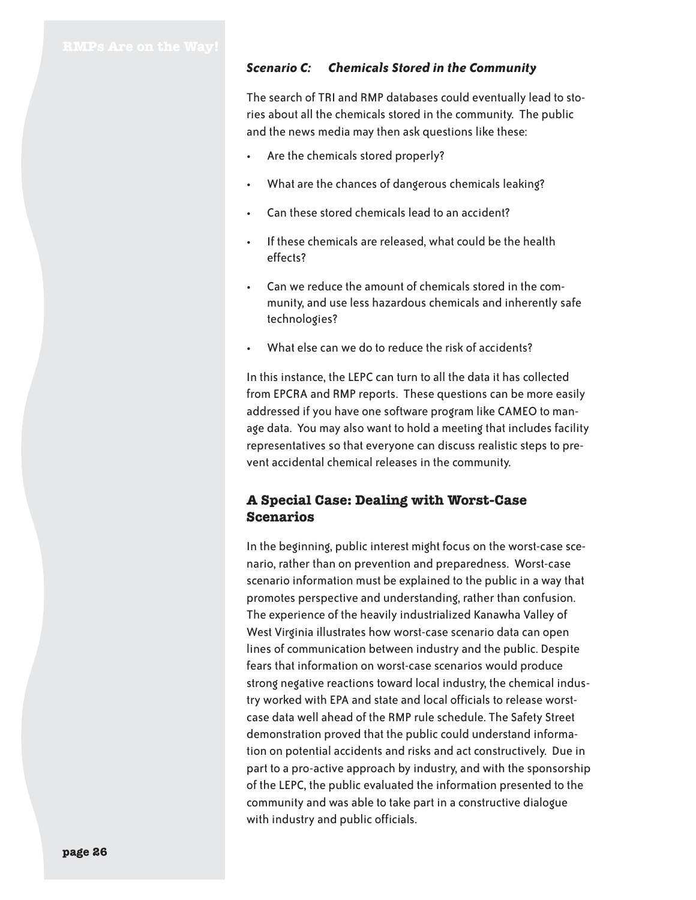#### *Scenario C: Chemicals Stored in the Community*

The search of TRI and RMP databases could eventually lead to stories about all the chemicals stored in the community. The public and the news media may then ask questions like these:

- Are the chemicals stored properly?
- What are the chances of dangerous chemicals leaking?
- Can these stored chemicals lead to an accident?
- If these chemicals are released, what could be the health effects?
- Can we reduce the amount of chemicals stored in the community, and use less hazardous chemicals and inherently safe technologies?
- What else can we do to reduce the risk of accidents?

In this instance, the LEPC can turn to all the data it has collected from EPCRA and RMP reports. These questions can be more easily addressed if you have one software program like CAMEO to manage data. You may also want to hold a meeting that includes facility representatives so that everyone can discuss realistic steps to prevent accidental chemical releases in the community.

#### **A Special Case: Dealing with Worst-Case Scenarios**

In the beginning, public interest might focus on the worst-case scenario, rather than on prevention and preparedness. Worst-case scenario information must be explained to the public in a way that promotes perspective and understanding, rather than confusion. The experience of the heavily industrialized Kanawha Valley of West Virginia illustrates how worst-case scenario data can open lines of communication between industry and the public. Despite fears that information on worst-case scenarios would produce strong negative reactions toward local industry, the chemical industry worked with EPA and state and local officials to release worstcase data well ahead of the RMP rule schedule. The Safety Street demonstration proved that the public could understand information on potential accidents and risks and act constructively. Due in part to a pro-active approach by industry, and with the sponsorship of the LEPC, the public evaluated the information presented to the community and was able to take part in a constructive dialogue with industry and public officials.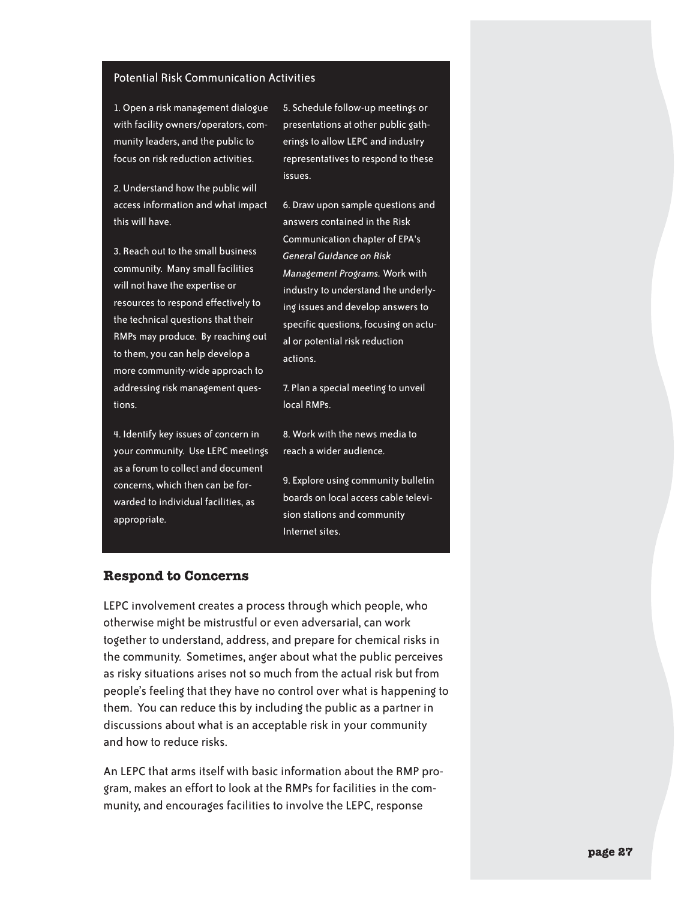#### Potential Risk Communication Activities

1. Open a risk management dialogue with facility owners/operators, community leaders, and the public to focus on risk reduction activities.

2. Understand how the public will access information and what impact this will have.

3. Reach out to the small business community. Many small facilities will not have the expertise or resources to respond effectively to the technical questions that their RMPs may produce. By reaching out to them, you can help develop a more community-wide approach to addressing risk management questions.

4. Identify key issues of concern in your community. Use LEPC meetings as a forum to collect and document concerns, which then can be forwarded to individual facilities, as appropriate.

5. Schedule follow-up meetings or presentations at other public gatherings to allow LEPC and industry representatives to respond to these issues.

6. Draw upon sample questions and answers contained in the Risk Communication chapter of EPA's *General Guidance on Risk Management Programs.* Work with industry to understand the underlying issues and develop answers to specific questions, focusing on actual or potential risk reduction actions.

7. Plan a special meeting to unveil local RMPs.

8. Work with the news media to reach a wider audience.

9. Explore using community bulletin boards on local access cable television stations and community Internet sites.

#### **Respond to Concerns**

LEPC involvement creates a process through which people, who otherwise might be mistrustful or even adversarial, can work together to understand, address, and prepare for chemical risks in the community. Sometimes, anger about what the public perceives as risky situations arises not so much from the actual risk but from people's feeling that they have no control over what is happening to them. You can reduce this by including the public as a partner in discussions about what is an acceptable risk in your community and how to reduce risks.

An LEPC that arms itself with basic information about the RMP program, makes an effort to look at the RMPs for facilities in the community, and encourages facilities to involve the LEPC, response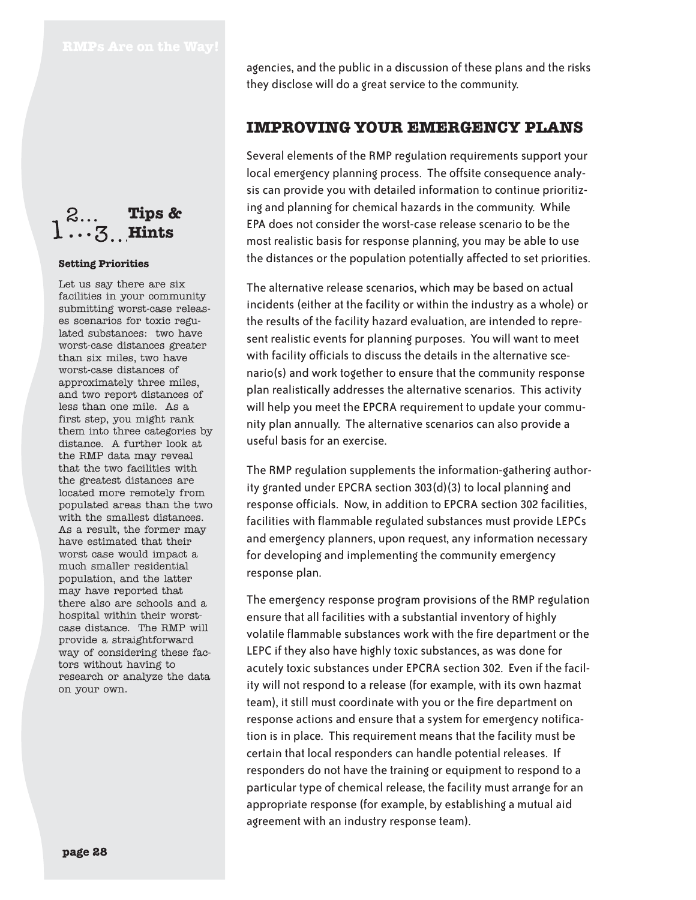**Tips &**  2. . .  $1 \cdots 5$ . **Hints** 

#### **Setting Priorities**

Let us say there are six facilities in your community submitting worst-case releases scenarios for toxic regulated substances: two have worst-case distances greater than six miles, two have worst-case distances of approximately three miles, and two report distances of less than one mile. As a first step, you might rank them into three categories by distance. A further look at the RMP data may reveal that the two facilities with the greatest distances are located more remotely from populated areas than the two with the smallest distances. As a result, the former may have estimated that their worst case would impact a much smaller residential population, and the latter may have reported that there also are schools and a hospital within their worstcase distance. The RMP will provide a straightforward way of considering these factors without having to research or analyze the data on your own.

agencies, and the public in a discussion of these plans and the risks they disclose will do a great service to the community.

#### **IMPROVING YOUR EMERGENCY PLANS**

Several elements of the RMP regulation requirements support your local emergency planning process. The offsite consequence analysis can provide you with detailed information to continue prioritizing and planning for chemical hazards in the community. While EPA does not consider the worst-case release scenario to be the most realistic basis for response planning, you may be able to use the distances or the population potentially affected to set priorities.

The alternative release scenarios, which may be based on actual incidents (either at the facility or within the industry as a whole) or the results of the facility hazard evaluation, are intended to represent realistic events for planning purposes. You will want to meet with facility officials to discuss the details in the alternative scenario(s) and work together to ensure that the community response plan realistically addresses the alternative scenarios. This activity will help you meet the EPCRA requirement to update your community plan annually. The alternative scenarios can also provide a useful basis for an exercise.

The RMP regulation supplements the information-gathering authority granted under EPCRA section 303(d)(3) to local planning and response officials. Now, in addition to EPCRA section 302 facilities, facilities with flammable regulated substances must provide LEPCs and emergency planners, upon request, any information necessary for developing and implementing the community emergency response plan.

The emergency response program provisions of the RMP regulation ensure that all facilities with a substantial inventory of highly volatile flammable substances work with the fire department or the LEPC if they also have highly toxic substances, as was done for acutely toxic substances under EPCRA section 302. Even if the facility will not respond to a release (for example, with its own hazmat team), it still must coordinate with you or the fire department on response actions and ensure that a system for emergency notification is in place. This requirement means that the facility must be certain that local responders can handle potential releases. If responders do not have the training or equipment to respond to a particular type of chemical release, the facility must arrange for an appropriate response (for example, by establishing a mutual aid agreement with an industry response team).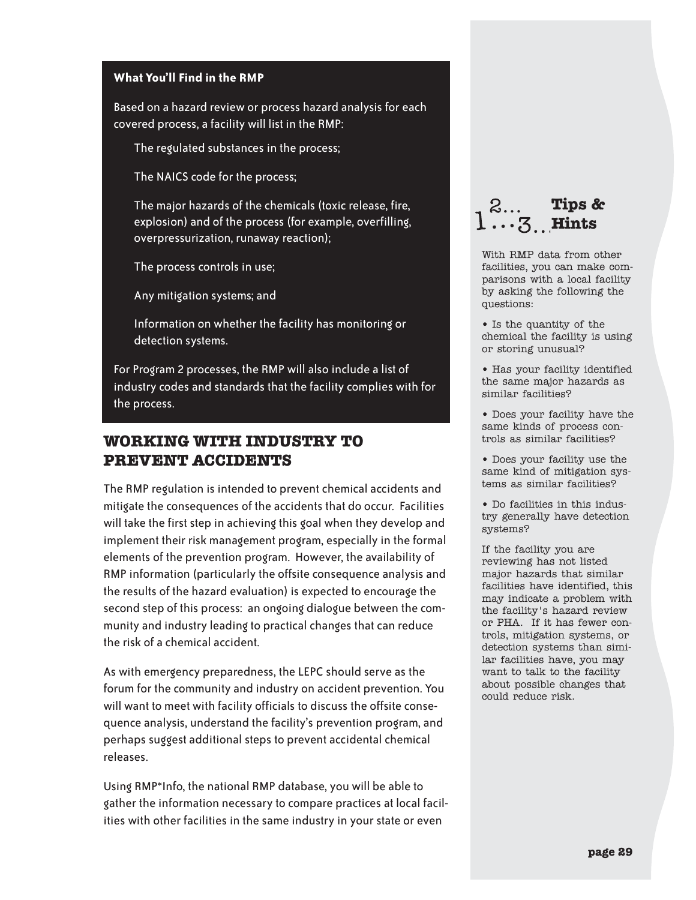#### **What You'll Find in the RMP**

Based on a hazard review or process hazard analysis for each covered process, a facility will list in the RMP:

The regulated substances in the process;

The NAICS code for the process;

The major hazards of the chemicals (toxic release, fire, explosion) and of the process (for example, overfilling, overpressurization, runaway reaction);

The process controls in use;

Any mitigation systems; and

Information on whether the facility has monitoring or detection systems.

For Program 2 processes, the RMP will also include a list of industry codes and standards that the facility complies with for the process.

## **WORKING WITH INDUSTRY TO PREVENT ACCIDENTS**

The RMP regulation is intended to prevent chemical accidents and mitigate the consequences of the accidents that do occur. Facilities will take the first step in achieving this goal when they develop and implement their risk management program, especially in the formal elements of the prevention program. However, the availability of RMP information (particularly the offsite consequence analysis and the results of the hazard evaluation) is expected to encourage the second step of this process: an ongoing dialogue between the community and industry leading to practical changes that can reduce the risk of a chemical accident.

As with emergency preparedness, the LEPC should serve as the forum for the community and industry on accident prevention. You will want to meet with facility officials to discuss the offsite consequence analysis, understand the facility's prevention program, and perhaps suggest additional steps to prevent accidental chemical releases.

Using RMP\*Info, the national RMP database, you will be able to gather the information necessary to compare practices at local facilities with other facilities in the same industry in your state or even



With RMP data from other facilities, you can make comparisons with a local facility by asking the following the questions:

• Is the quantity of the chemical the facility is using or storing unusual?

• Has your facility identified the same major hazards as similar facilities?

• Does your facility have the same kinds of process controls as similar facilities?

• Does your facility use the same kind of mitigation systems as similar facilities?

• Do facilities in this industry generally have detection systems?

If the facility you are reviewing has not listed major hazards that similar facilities have identified, this may indicate a problem with the facility's hazard review or PHA. If it has fewer controls, mitigation systems, or detection systems than similar facilities have, you may want to talk to the facility about possible changes that could reduce risk.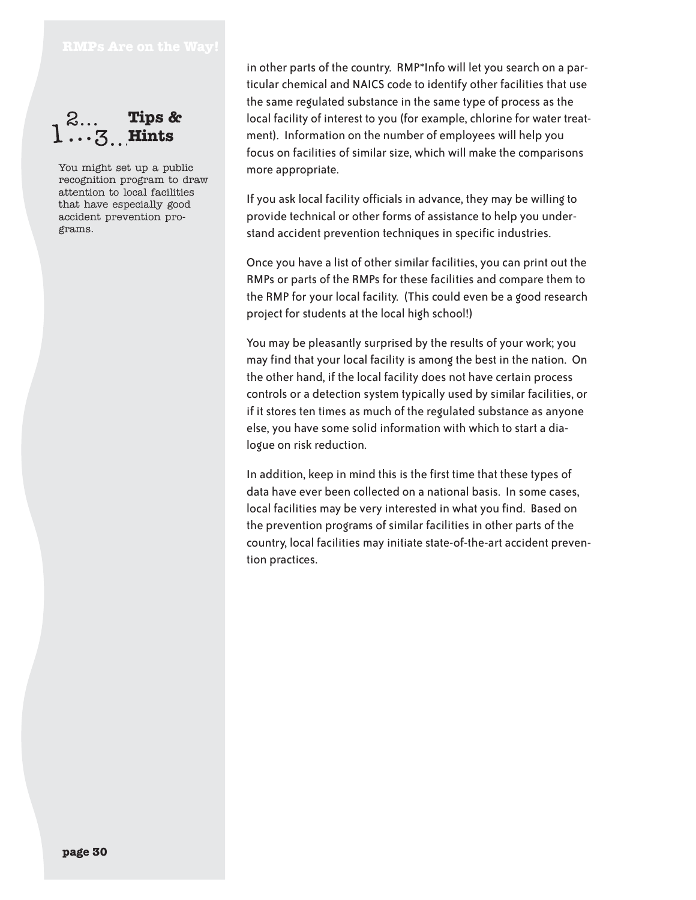#### $2...$ **Tips &**   $1 \cdots 5$ **Hints**

You might set up a public recognition program to draw attention to local facilities that have especially good accident prevention programs.

in other parts of the country. RMP\*Info will let you search on a particular chemical and NAICS code to identify other facilities that use the same regulated substance in the same type of process as the local facility of interest to you (for example, chlorine for water treatment). Information on the number of employees will help you focus on facilities of similar size, which will make the comparisons more appropriate.

If you ask local facility officials in advance, they may be willing to provide technical or other forms of assistance to help you understand accident prevention techniques in specific industries.

Once you have a list of other similar facilities, you can print out the RMPs or parts of the RMPs for these facilities and compare them to the RMP for your local facility. (This could even be a good research project for students at the local high school!)

You may be pleasantly surprised by the results of your work; you may find that your local facility is among the best in the nation. On the other hand, if the local facility does not have certain process controls or a detection system typically used by similar facilities, or if it stores ten times as much of the regulated substance as anyone else, you have some solid information with which to start a dialogue on risk reduction.

In addition, keep in mind this is the first time that these types of data have ever been collected on a national basis. In some cases, local facilities may be very interested in what you find. Based on the prevention programs of similar facilities in other parts of the country, local facilities may initiate state-of-the-art accident prevention practices.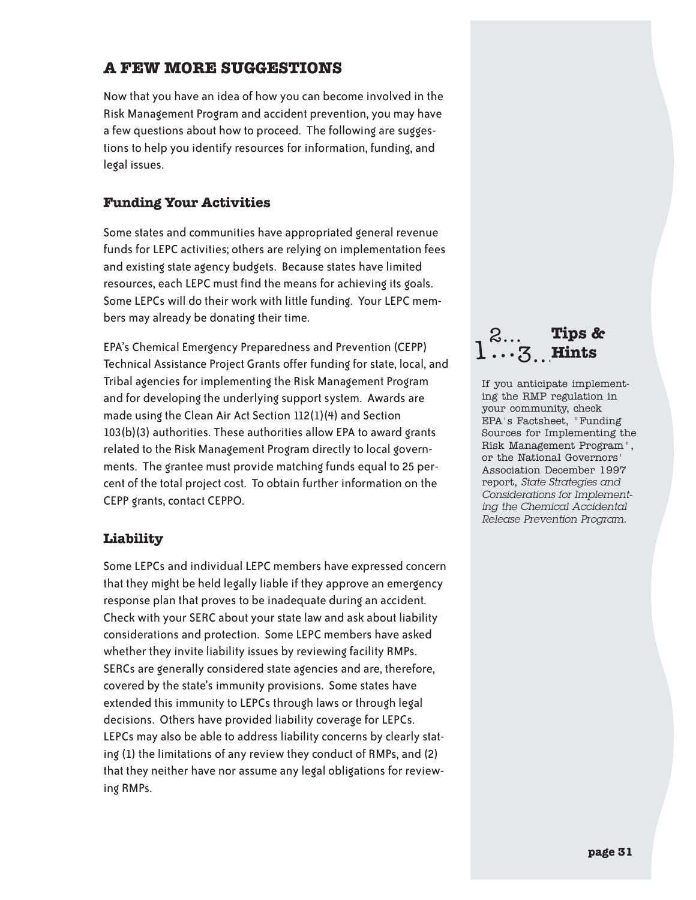## **A FEW MORE SUGGESTIONS**

Now that you have an idea of how you can become involved in the Risk Management Program and accident prevention, you may have a few questions about how to proceed. The following are suggestions to help you identify resources for information, funding, and legal issues.

#### **Funding Your Activities**

Some states and communities have appropriated general revenue funds for LEPC activities; others are relying on implementation fees and existing state agency budgets. Because states have limited resources, each LEPC must find the means for achieving its goals. Some LEPCs will do their work with little funding. Your LEPC members may already be donating their time.

EPA's Chemical Emergency Preparedness and Prevention (CEPP) Technical Assistance Project Grants offer funding for state, local, and Tribal agencies for implementing the Risk Management Program and for developing the underlying support system. Awards are made using the Clean Air Act Section 112(1)(4) and Section 103(b)(3) authorities. These authorities allow EPA to award grants related to the Risk Management Program directly to local governments. The grantee must provide matching funds equal to 25 percent of the total project cost. To obtain further information on the CEPP grants, contact CEPPO.

#### **Liability**

Some LEPCs and individual LEPC members have expressed concern that they might be held legally liable if they approve an emergency response plan that proves to be inadequate during an accident. Check with your SERC about your state law and ask about liability considerations and protection. Some LEPC members have asked whether they invite liability issues by reviewing facility RMPs. SERCs are generally considered state agencies and are, therefore, covered by the state's immunity provisions. Some states have extended this immunity to LEPCs through laws or through legal decisions. Others have provided liability coverage for LEPCs. LEPCs may also be able to address liability concerns by clearly stating (1) the limitations of any review they conduct of RMPs, and (2) that they neither have nor assume any legal obligations for reviewing RMPs.

#### 2. . . **Tips & Hints**

If you anticipate implementing the RMP regulation in your community, check EPA's Factsheet, "Funding Sources for Implementing the Risk Management Program", or the National Governors' Association December 1997 report, State Strategies and Considerations for Implementing the Chemical Accidental Release Prevention Program.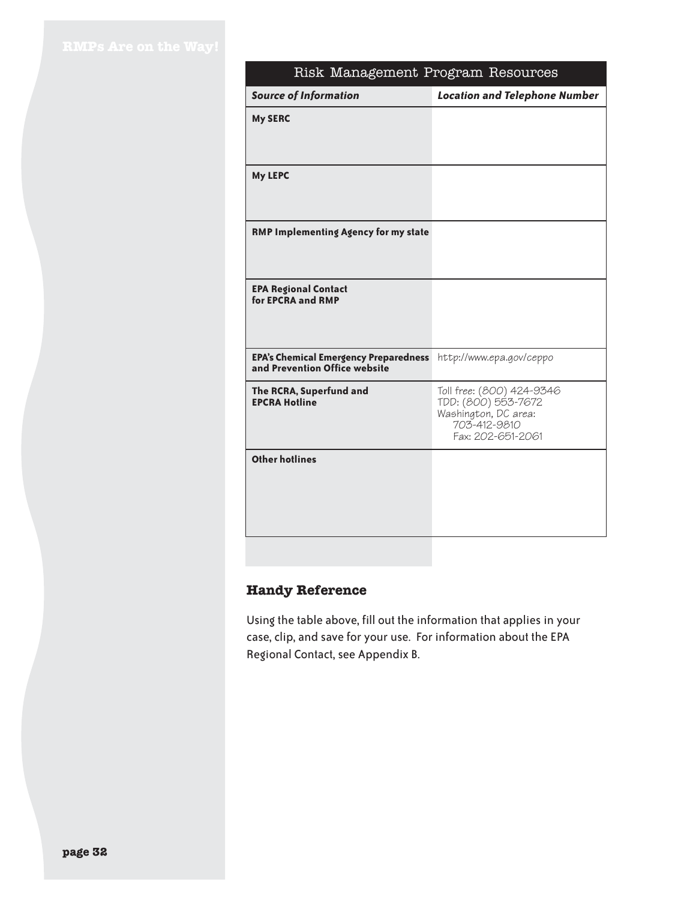| Risk Management Program Resources                                             |                                                                                                               |  |  |
|-------------------------------------------------------------------------------|---------------------------------------------------------------------------------------------------------------|--|--|
| <b>Source of Information</b>                                                  | <b>Location and Telephone Number</b>                                                                          |  |  |
| <b>My SERC</b>                                                                |                                                                                                               |  |  |
| <b>My LEPC</b>                                                                |                                                                                                               |  |  |
| <b>RMP Implementing Agency for my state</b>                                   |                                                                                                               |  |  |
| <b>EPA Regional Contact</b><br>for EPCRA and RMP                              |                                                                                                               |  |  |
| <b>EPA's Chemical Emergency Preparedness</b><br>and Prevention Office website | http://www.epa.gov/ceppo                                                                                      |  |  |
| The RCRA, Superfund and<br><b>EPCRA Hotline</b>                               | Toll free: (800) 424-9346<br>TDD: (800) 553-7672<br>Washington, DC area:<br>703-412-9810<br>Fax: 202-651-2061 |  |  |
| <b>Other hotlines</b>                                                         |                                                                                                               |  |  |

## **Handy Reference**

Using the table above, fill out the information that applies in your case, clip, and save for your use. For information about the EPA Regional Contact, see Appendix B.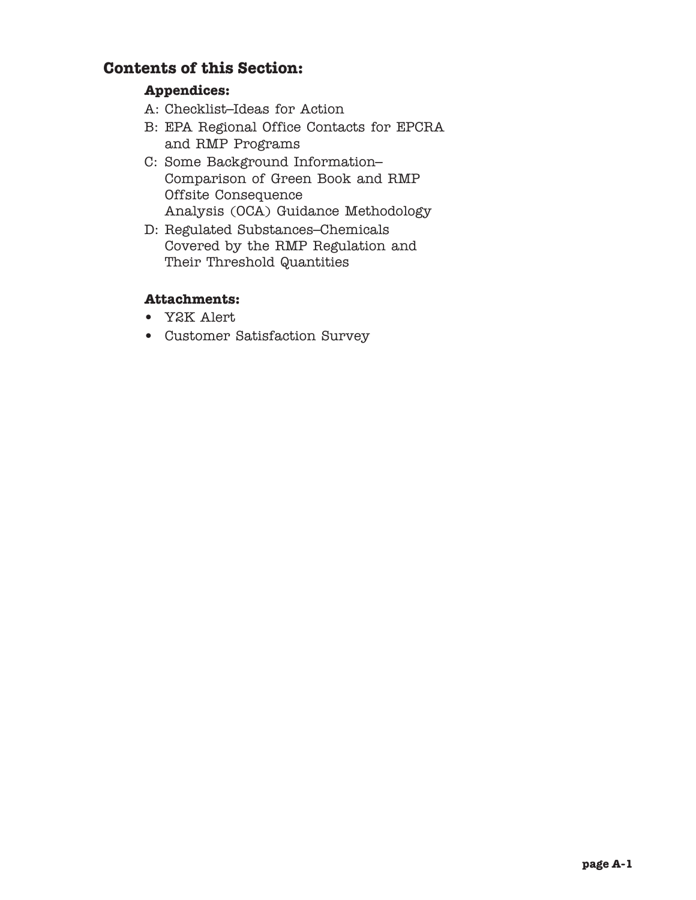## **Contents of this Section:**

#### **Appendices:**

- A: Checklist–Ideas for Action
- B: EPA Regional Office Contacts for EPCRA and RMP Programs
- C: Some Background Information– Comparison of Green Book and RMP Offsite Consequence Analysis (OCA) Guidance Methodology
- D: Regulated Substances–Chemicals Covered by the RMP Regulation and Their Threshold Quantities

#### **Attachments:**

- Y2K Alert
- Customer Satisfaction Survey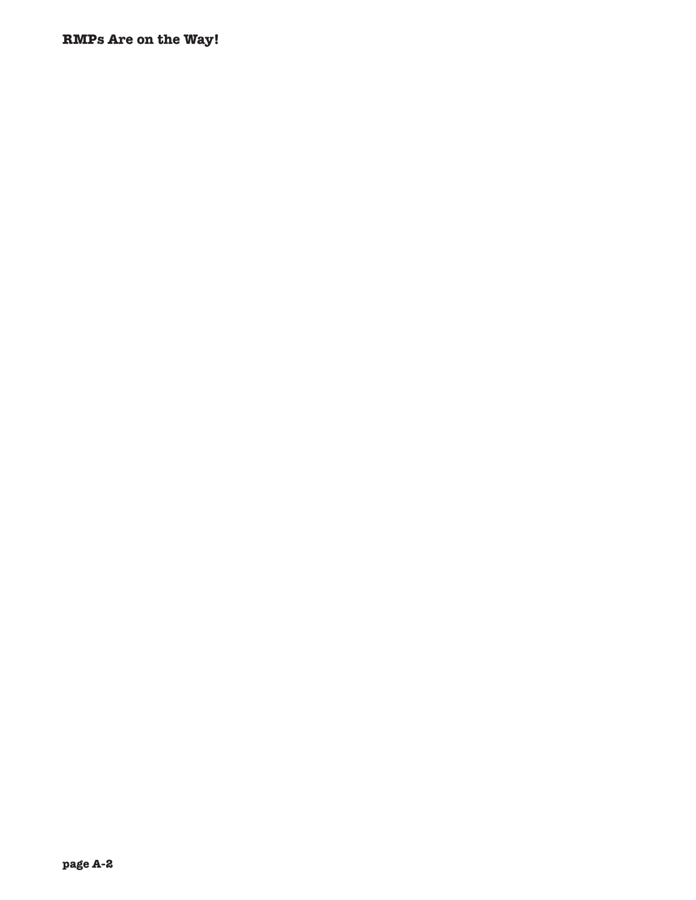**RMPs Are on the Way!**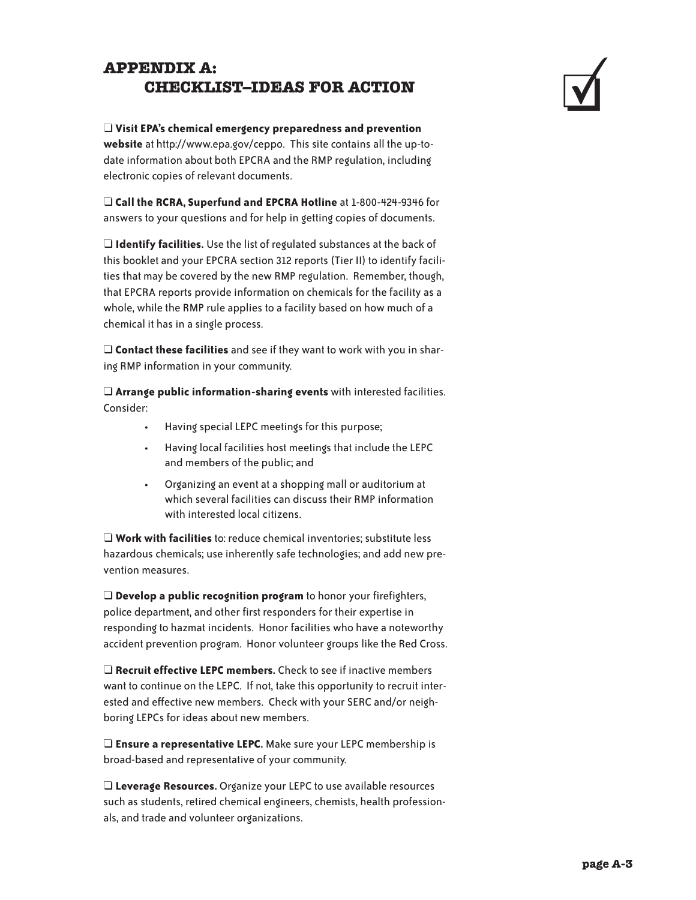# **APPENDIX A:**<br>
CHECKLIST–IDEAS FOR ACTION ◯◯

❏ **Visit EPA's chemical emergency preparedness and prevention website** at http://www.epa.gov/ceppo. This site contains all the up-todate information about both EPCRA and the RMP regulation, including electronic copies of relevant documents.

❏ **Call the RCRA, Superfund and EPCRA Hotline** at 1-800-424-9346 for answers to your questions and for help in getting copies of documents.

❏ **Identify facilities.** Use the list of regulated substances at the back of this booklet and your EPCRA section 312 reports (Tier II) to identify facilities that may be covered by the new RMP regulation. Remember, though, that EPCRA reports provide information on chemicals for the facility as a whole, while the RMP rule applies to a facility based on how much of a chemical it has in a single process.

❏ **Contact these facilities** and see if they want to work with you in sharing RMP information in your community.

❏ **Arrange public information-sharing events** with interested facilities. Consider:

- Having special LEPC meetings for this purpose;
- Having local facilities host meetings that include the LEPC and members of the public; and
- Organizing an event at a shopping mall or auditorium at which several facilities can discuss their RMP information with interested local citizens.

❏ **Work with facilities** to: reduce chemical inventories; substitute less hazardous chemicals; use inherently safe technologies; and add new prevention measures.

❏ **Develop a public recognition program** to honor your firefighters, police department, and other first responders for their expertise in responding to hazmat incidents. Honor facilities who have a noteworthy accident prevention program. Honor volunteer groups like the Red Cross.

❏ **Recruit effective LEPC members.** Check to see if inactive members want to continue on the LEPC. If not, take this opportunity to recruit interested and effective new members. Check with your SERC and/or neighboring LEPCs for ideas about new members.

❏ **Ensure a representative LEPC.** Make sure your LEPC membership is broad-based and representative of your community.

❏ **Leverage Resources.** Organize your LEPC to use available resources such as students, retired chemical engineers, chemists, health professionals, and trade and volunteer organizations.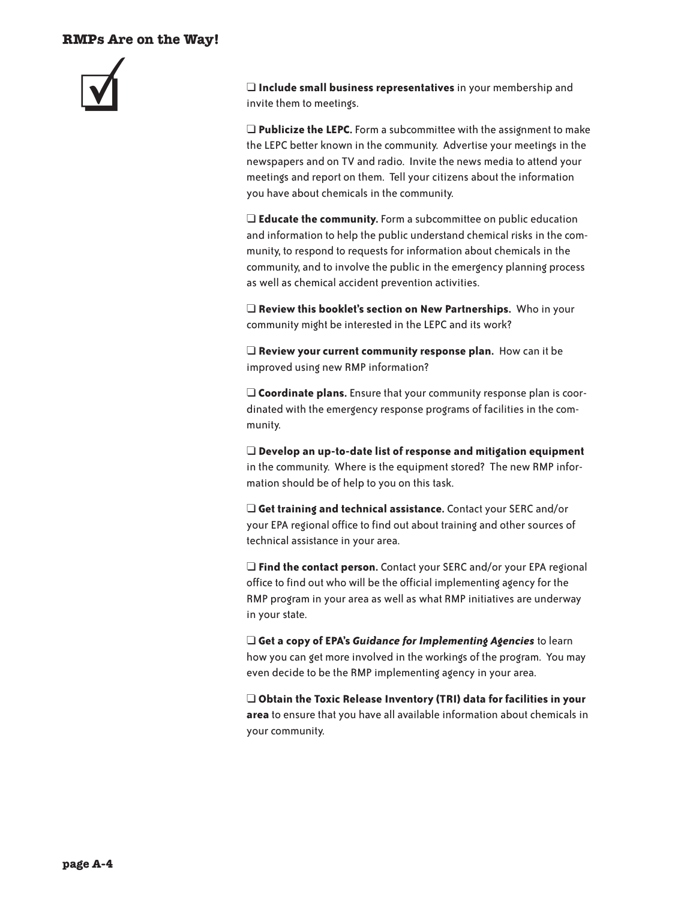#### **RMPs Are on the Way!**



❏ ❏ **Include small business representatives** in your membership and invite them to meetings.

❏ **Publicize the LEPC.** Form a subcommittee with the assignment to make the LEPC better known in the community. Advertise your meetings in the newspapers and on TV and radio. Invite the news media to attend your meetings and report on them. Tell your citizens about the information you have about chemicals in the community.

❏ **Educate the community.** Form a subcommittee on public education and information to help the public understand chemical risks in the community, to respond to requests for information about chemicals in the community, and to involve the public in the emergency planning process as well as chemical accident prevention activities.

❏ **Review this booklet's section on New Partnerships.** Who in your community might be interested in the LEPC and its work?

❏ **Review your current community response plan.** How can it be improved using new RMP information?

❏ **Coordinate plans.** Ensure that your community response plan is coordinated with the emergency response programs of facilities in the community.

❏ **Develop an up-to-date list of response and mitigation equipment**  in the community. Where is the equipment stored? The new RMP information should be of help to you on this task.

❏ **Get training and technical assistance.** Contact your SERC and/or your EPA regional office to find out about training and other sources of technical assistance in your area.

❏ **Find the contact person.** Contact your SERC and/or your EPA regional office to find out who will be the official implementing agency for the RMP program in your area as well as what RMP initiatives are underway in your state.

❏ **Get a copy of EPA's** *Guidance for Implementing Agencies* to learn how you can get more involved in the workings of the program. You may even decide to be the RMP implementing agency in your area.

❏ **Obtain the Toxic Release Inventory (TRI) data for facilities in your area** to ensure that you have all available information about chemicals in your community.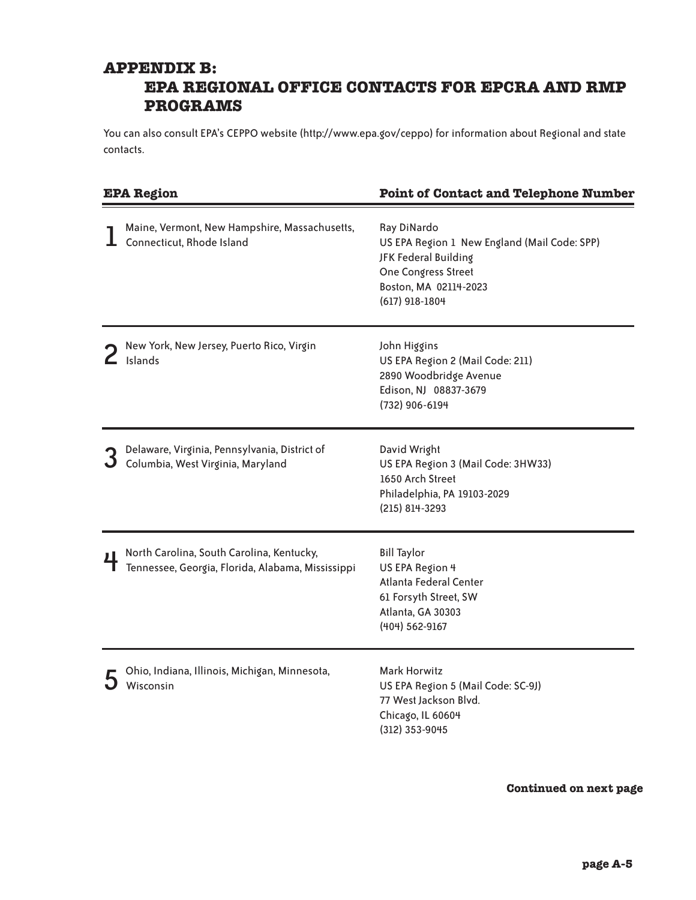## **APPENDIX B: EPA REGIONAL OFFICE CONTACTS FOR EPCRA AND RMP PROGRAMS**

You can also consult EPA's CEPPO website (http://www.epa.gov/ceppo) for information about Regional and state contacts.

| <b>EPA Region</b> |                                                                                                | <b>Point of Contact and Telephone Number</b>                                                                                                            |  |
|-------------------|------------------------------------------------------------------------------------------------|---------------------------------------------------------------------------------------------------------------------------------------------------------|--|
|                   | Maine, Vermont, New Hampshire, Massachusetts,<br>Connecticut, Rhode Island                     | Ray DiNardo<br>US EPA Region 1 New England (Mail Code: SPP)<br>JFK Federal Building<br>One Congress Street<br>Boston, MA 02114-2023<br>$(617)$ 918-1804 |  |
|                   | New York, New Jersey, Puerto Rico, Virgin<br>Islands                                           | John Higgins<br>US EPA Region 2 (Mail Code: 211)<br>2890 Woodbridge Avenue<br>Edison, NJ 08837-3679<br>(732) 906-6194                                   |  |
|                   | Delaware, Virginia, Pennsylvania, District of<br>Columbia, West Virginia, Maryland             | David Wright<br>US EPA Region 3 (Mail Code: 3HW33)<br>1650 Arch Street<br>Philadelphia, PA 19103-2029<br>$(215)$ 814-3293                               |  |
|                   | North Carolina, South Carolina, Kentucky,<br>Tennessee, Georgia, Florida, Alabama, Mississippi | <b>Bill Taylor</b><br>US EPA Region 4<br>Atlanta Federal Center<br>61 Forsyth Street, SW<br>Atlanta, GA 30303<br>(404) 562-9167                         |  |
|                   | Ohio, Indiana, Illinois, Michigan, Minnesota,<br>Wisconsin                                     | Mark Horwitz<br>US EPA Region 5 (Mail Code: SC-9J)<br>77 West Jackson Blvd.<br>Chicago, IL 60604<br>(312) 353-9045                                      |  |

**Continued on next page**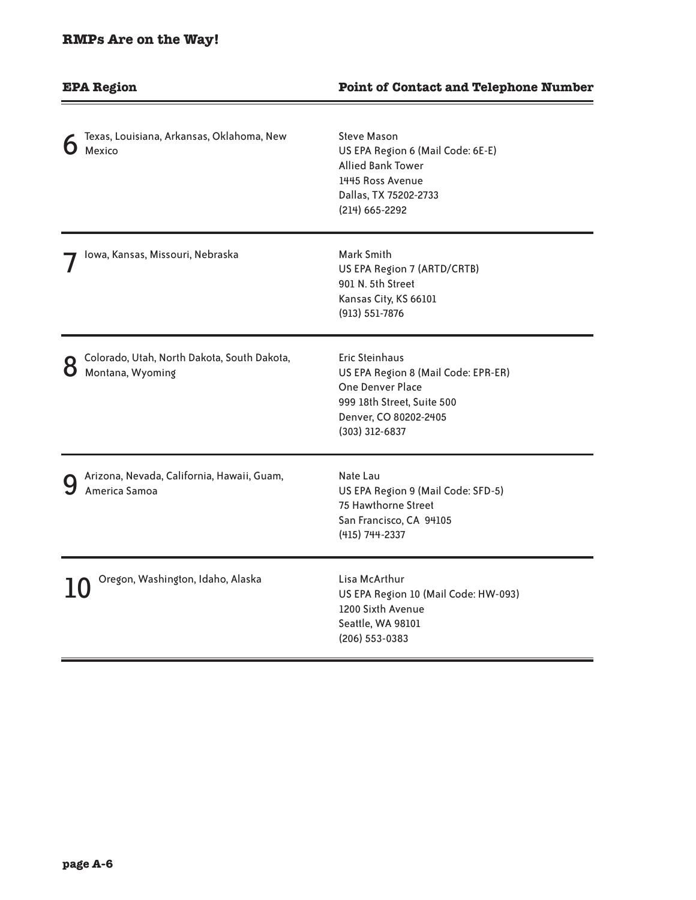#### **EPA Region Point of Contact and Telephone Number**

| Texas, Louisiana, Arkansas, Oklahoma, New<br>Mexico             | <b>Steve Mason</b><br>US EPA Region 6 (Mail Code: 6E-E)<br><b>Allied Bank Tower</b><br>1445 Ross Avenue<br>Dallas, TX 75202-2733<br>$(214)$ 665-2292      |
|-----------------------------------------------------------------|-----------------------------------------------------------------------------------------------------------------------------------------------------------|
| Iowa, Kansas, Missouri, Nebraska                                | <b>Mark Smith</b><br>US EPA Region 7 (ARTD/CRTB)<br>901 N. 5th Street<br>Kansas City, KS 66101<br>(913) 551-7876                                          |
| Colorado, Utah, North Dakota, South Dakota,<br>Montana, Wyoming | Eric Steinhaus<br>US EPA Region 8 (Mail Code: EPR-ER)<br><b>One Denver Place</b><br>999 18th Street, Suite 500<br>Denver, CO 80202-2405<br>(303) 312-6837 |
| Arizona, Nevada, California, Hawaii, Guam,<br>America Samoa     | Nate Lau<br>US EPA Region 9 (Mail Code: SFD-5)<br>75 Hawthorne Street<br>San Francisco, CA 94105<br>(415) 744-2337                                        |
| Oregon, Washington, Idaho, Alaska                               | Lisa McArthur<br>US EPA Region 10 (Mail Code: HW-093)<br>1200 Sixth Avenue<br>Seattle, WA 98101<br>(206) 553-0383                                         |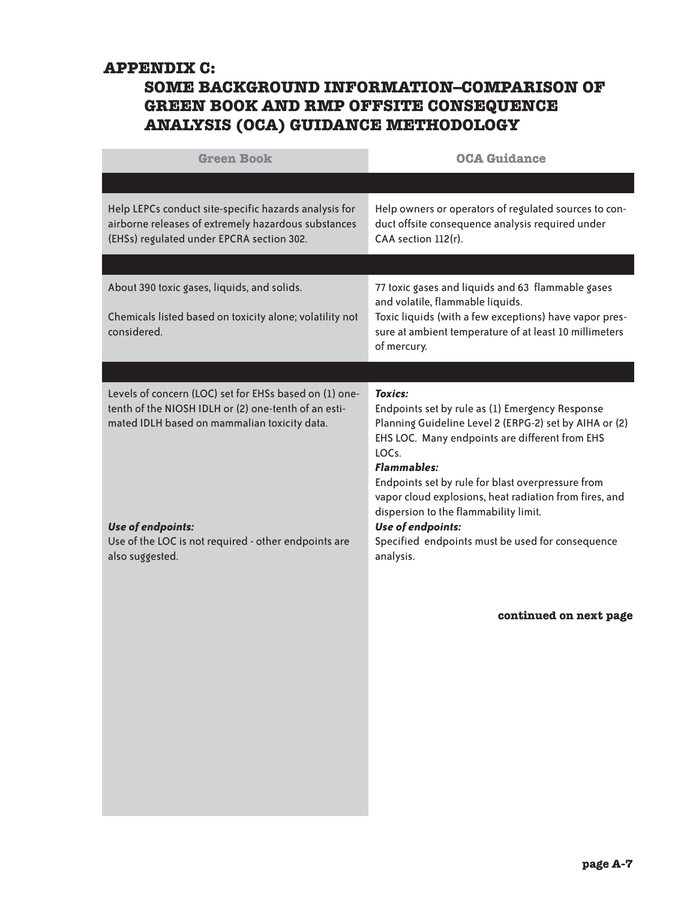## **APPENDIX C:**

## **SOME BACKGROUND INFORMATION–COMPARISON OF GREEN BOOK AND RMP OFFSITE CONSEQUENCE ANALYSIS (OCA) GUIDANCE METHODOLOGY**

| <b>Green Book</b>                                                                                                                                                                                                                                                     | <b>OCA Guidance</b>                                                                                                                                                                                                                                                                                                                                                                                                                                               |  |  |
|-----------------------------------------------------------------------------------------------------------------------------------------------------------------------------------------------------------------------------------------------------------------------|-------------------------------------------------------------------------------------------------------------------------------------------------------------------------------------------------------------------------------------------------------------------------------------------------------------------------------------------------------------------------------------------------------------------------------------------------------------------|--|--|
|                                                                                                                                                                                                                                                                       |                                                                                                                                                                                                                                                                                                                                                                                                                                                                   |  |  |
| Help LEPCs conduct site-specific hazards analysis for<br>airborne releases of extremely hazardous substances<br>(EHSs) regulated under EPCRA section 302.                                                                                                             | Help owners or operators of regulated sources to con-<br>duct offsite consequence analysis required under<br>CAA section 112(r).                                                                                                                                                                                                                                                                                                                                  |  |  |
|                                                                                                                                                                                                                                                                       |                                                                                                                                                                                                                                                                                                                                                                                                                                                                   |  |  |
| About 390 toxic gases, liquids, and solids.<br>Chemicals listed based on toxicity alone; volatility not<br>considered.                                                                                                                                                | 77 toxic gases and liquids and 63 flammable gases<br>and volatile, flammable liquids.<br>Toxic liquids (with a few exceptions) have vapor pres-<br>sure at ambient temperature of at least 10 millimeters<br>of mercury.                                                                                                                                                                                                                                          |  |  |
|                                                                                                                                                                                                                                                                       |                                                                                                                                                                                                                                                                                                                                                                                                                                                                   |  |  |
| Levels of concern (LOC) set for EHSs based on (1) one-<br>tenth of the NIOSH IDLH or (2) one-tenth of an esti-<br>mated IDLH based on mammalian toxicity data.<br><b>Use of endpoints:</b><br>Use of the LOC is not required - other endpoints are<br>also suggested. | <b>Toxics:</b><br>Endpoints set by rule as (1) Emergency Response<br>Planning Guideline Level 2 (ERPG-2) set by AIHA or (2)<br>EHS LOC. Many endpoints are different from EHS<br>LOCs.<br><b>Flammables:</b><br>Endpoints set by rule for blast overpressure from<br>vapor cloud explosions, heat radiation from fires, and<br>dispersion to the flammability limit.<br><b>Use of endpoints:</b><br>Specified endpoints must be used for consequence<br>analysis. |  |  |
|                                                                                                                                                                                                                                                                       | continued on next page                                                                                                                                                                                                                                                                                                                                                                                                                                            |  |  |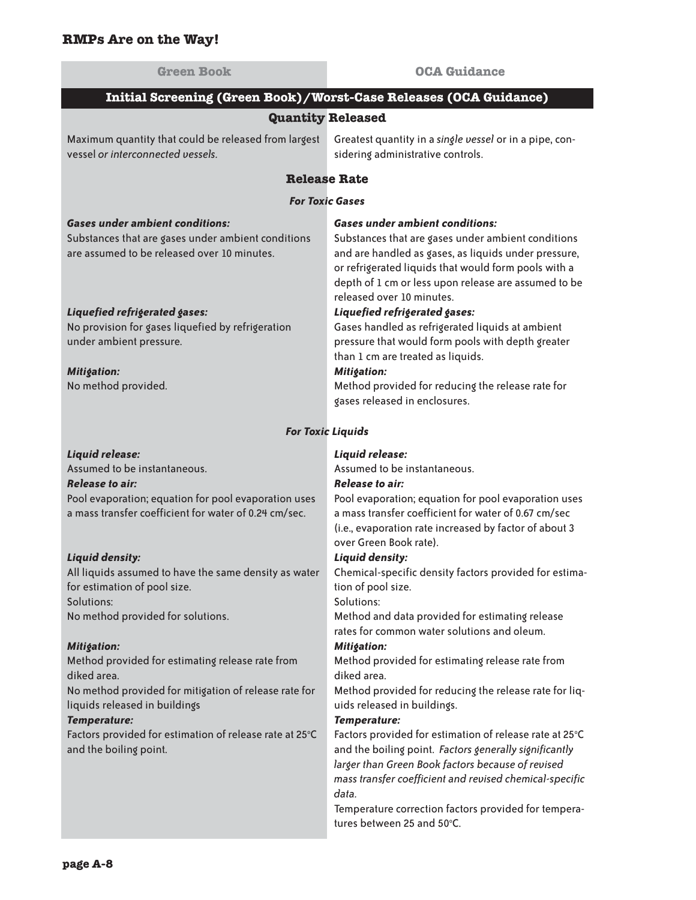| <b>Green Book</b>                                                                                                                                                                                                                                                                                                                                                                                                                                   | <b>OCA Guidance</b>                                                                                                                                                                                                                                                                                                                                                                                                                                                                                                                                                                                                                                             |
|-----------------------------------------------------------------------------------------------------------------------------------------------------------------------------------------------------------------------------------------------------------------------------------------------------------------------------------------------------------------------------------------------------------------------------------------------------|-----------------------------------------------------------------------------------------------------------------------------------------------------------------------------------------------------------------------------------------------------------------------------------------------------------------------------------------------------------------------------------------------------------------------------------------------------------------------------------------------------------------------------------------------------------------------------------------------------------------------------------------------------------------|
| Initial Screening (Green Book)/Worst-Case Releases (OCA Guidance)                                                                                                                                                                                                                                                                                                                                                                                   |                                                                                                                                                                                                                                                                                                                                                                                                                                                                                                                                                                                                                                                                 |
| <b>Quantity Released</b>                                                                                                                                                                                                                                                                                                                                                                                                                            |                                                                                                                                                                                                                                                                                                                                                                                                                                                                                                                                                                                                                                                                 |
| Maximum quantity that could be released from largest<br>vessel or interconnected vessels.                                                                                                                                                                                                                                                                                                                                                           | Greatest quantity in a single vessel or in a pipe, con-<br>sidering administrative controls.                                                                                                                                                                                                                                                                                                                                                                                                                                                                                                                                                                    |
| <b>Release Rate</b>                                                                                                                                                                                                                                                                                                                                                                                                                                 |                                                                                                                                                                                                                                                                                                                                                                                                                                                                                                                                                                                                                                                                 |
| <b>For Toxic Gases</b>                                                                                                                                                                                                                                                                                                                                                                                                                              |                                                                                                                                                                                                                                                                                                                                                                                                                                                                                                                                                                                                                                                                 |
| <b>Gases under ambient conditions:</b><br>Substances that are gases under ambient conditions<br>are assumed to be released over 10 minutes.<br>Liquefied refrigerated gases:<br>No provision for gases liquefied by refrigeration<br>under ambient pressure.<br><b>Mitigation:</b>                                                                                                                                                                  | <b>Gases under ambient conditions:</b><br>Substances that are gases under ambient conditions<br>and are handled as gases, as liquids under pressure,<br>or refrigerated liquids that would form pools with a<br>depth of 1 cm or less upon release are assumed to be<br>released over 10 minutes.<br>Liquefied refrigerated gases:<br>Gases handled as refrigerated liquids at ambient<br>pressure that would form pools with depth greater<br>than 1 cm are treated as liquids.<br>Mitigation:                                                                                                                                                                 |
| No method provided.                                                                                                                                                                                                                                                                                                                                                                                                                                 | Method provided for reducing the release rate for                                                                                                                                                                                                                                                                                                                                                                                                                                                                                                                                                                                                               |
|                                                                                                                                                                                                                                                                                                                                                                                                                                                     | gases released in enclosures.                                                                                                                                                                                                                                                                                                                                                                                                                                                                                                                                                                                                                                   |
| <b>For Toxic Liquids</b>                                                                                                                                                                                                                                                                                                                                                                                                                            |                                                                                                                                                                                                                                                                                                                                                                                                                                                                                                                                                                                                                                                                 |
| Liquid release:<br>Assumed to be instantaneous.<br><b>Release to air:</b><br>Pool evaporation; equation for pool evaporation uses<br>a mass transfer coefficient for water of 0.24 cm/sec.                                                                                                                                                                                                                                                          | Liquid release:<br>Assumed to be instantaneous.<br><b>Release to air:</b><br>Pool evaporation; equation for pool evaporation uses<br>a mass transfer coefficient for water of 0.67 cm/sec<br>(i.e., evaporation rate increased by factor of about 3<br>over Green Book rate).                                                                                                                                                                                                                                                                                                                                                                                   |
| <b>Liquid density:</b><br>All liquids assumed to have the same density as water<br>for estimation of pool size.<br>Solutions:<br>No method provided for solutions.<br>Mitigation:<br>Method provided for estimating release rate from<br>diked area.<br>No method provided for mitigation of release rate for<br>liquids released in buildings<br>Temperature:<br>Factors provided for estimation of release rate at 25°C<br>and the boiling point. | <b>Liquid density:</b><br>Chemical-specific density factors provided for estima-<br>tion of pool size.<br>Solutions:<br>Method and data provided for estimating release<br>rates for common water solutions and oleum.<br>Mitigation:<br>Method provided for estimating release rate from<br>diked area.<br>Method provided for reducing the release rate for liq-<br>uids released in buildings.<br>Temperature:<br>Factors provided for estimation of release rate at 25°C<br>and the boiling point. Factors generally significantly<br>larger than Green Book factors because of revised<br>mass transfer coefficient and revised chemical-specific<br>data. |

Temperature correction factors provided for temperatures between 25 and 50°C.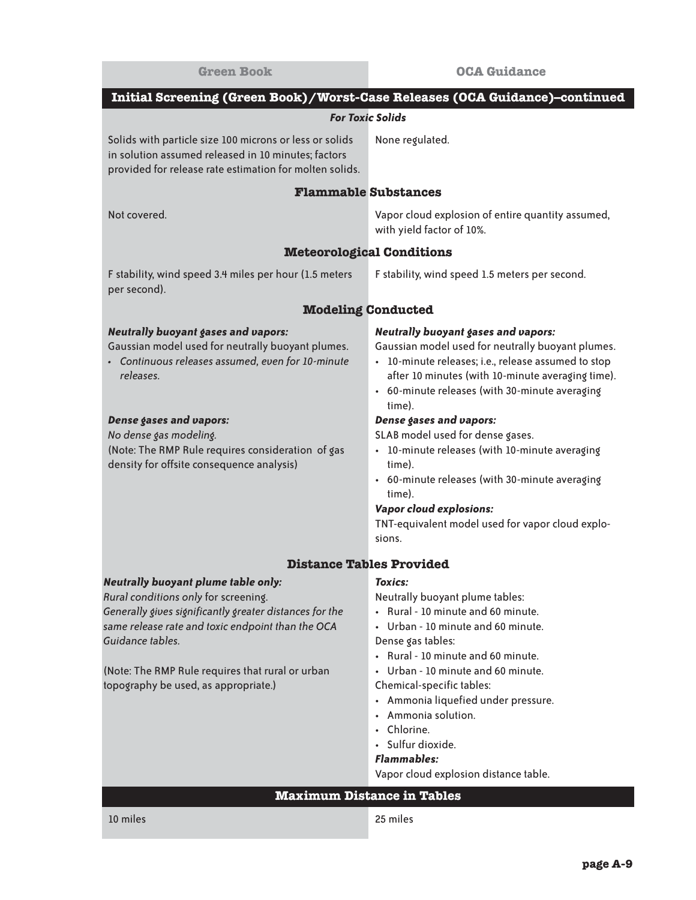**Green Book OCA Guidance** 

#### **Initial Screening (Green Book)/Worst-Case Releases (OCA Guidance)–continued**

#### *For Toxic Solids*

None regulated.

Solids with particle size 100 microns or less or solids in solution assumed released in 10 minutes; factors provided for release rate estimation for molten solids.

#### **Flammable Substances**

Not covered. Vapor cloud explosion of entire quantity assumed, with yield factor of 10%.

#### **Meteorological Conditions**

F stability, wind speed 3.4 miles per hour (1.5 meters per second).

F stability, wind speed 1.5 meters per second.

#### **Modeling Conducted**

#### *Neutrally buoyant gases and vapors:*

Gaussian model used for neutrally buoyant plumes.

*• Continuous releases assumed, even for 10-minute releases.* 

#### *Dense gases and vapors:*

*No dense gas modeling.* 

(Note: The RMP Rule requires consideration of gas density for offsite consequence analysis)

#### *Neutrally buoyant gases and vapors:*

Gaussian model used for neutrally buoyant plumes.

- 10-minute releases; i.e., release assumed to stop after 10 minutes (with 10-minute averaging time).
- 60-minute releases (with 30-minute averaging time).

#### *Dense gases and vapors:*

SLAB model used for dense gases.

- 10-minute releases (with 10-minute averaging time).
- 60-minute releases (with 30-minute averaging time).

#### *Vapor cloud explosions:*

TNT-equivalent model used for vapor cloud explosions.

#### **Distance Tables Provided**

*Toxics:* 

#### *Neutrally buoyant plume table only:*

*Rural conditions only* for screening. *Generally gives significantly greater distances for the same release rate and toxic endpoint than the OCA Guidance tables.* 

(Note: The RMP Rule requires that rural or urban topography be used, as appropriate.)

Chemical-specific tables: • Ammonia liquefied under pressure.

• Rural - 10 minute and 60 minute. • Urban - 10 minute and 60 minute.

Neutrally buoyant plume tables: • Rural - 10 minute and 60 minute. • Urban - 10 minute and 60 minute.

• Ammonia solution.

Dense gas tables:

- Chlorine.
- Sulfur dioxide.
- *Flammables:*

Vapor cloud explosion distance table.

#### **Maximum Distance in Tables**

10 miles 25 miles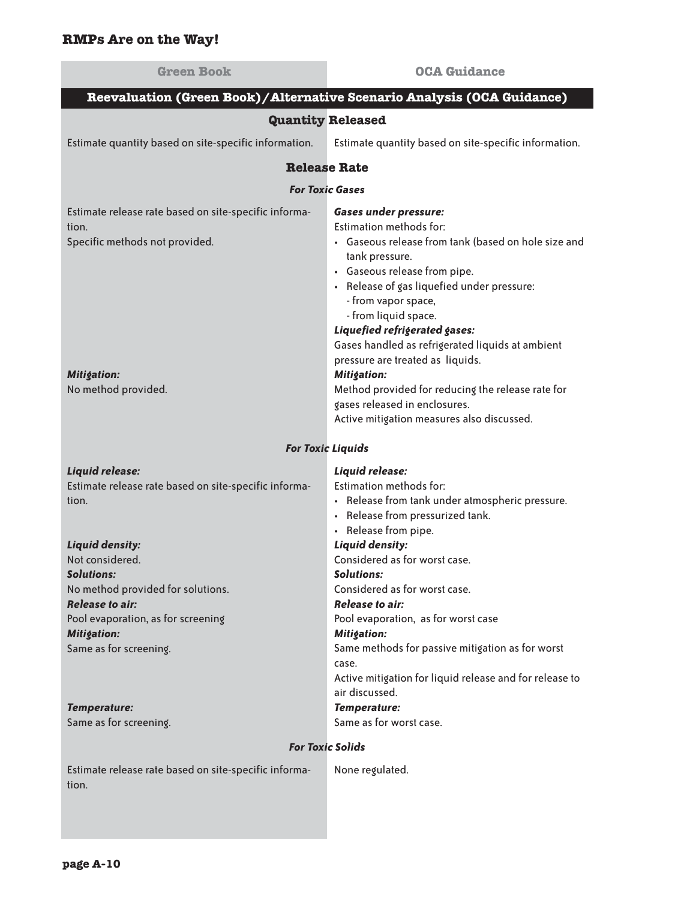| <b>Green Book</b>                                                                                                                                                                                            | <b>OCA Guidance</b>                                                                                                                                                                                                                                                                                                                                                                    |  |  |  |
|--------------------------------------------------------------------------------------------------------------------------------------------------------------------------------------------------------------|----------------------------------------------------------------------------------------------------------------------------------------------------------------------------------------------------------------------------------------------------------------------------------------------------------------------------------------------------------------------------------------|--|--|--|
| Reevaluation (Green Book)/Alternative Scenario Analysis (OCA Guidance)                                                                                                                                       |                                                                                                                                                                                                                                                                                                                                                                                        |  |  |  |
| <b>Quantity Released</b>                                                                                                                                                                                     |                                                                                                                                                                                                                                                                                                                                                                                        |  |  |  |
| Estimate quantity based on site-specific information.                                                                                                                                                        | Estimate quantity based on site-specific information.                                                                                                                                                                                                                                                                                                                                  |  |  |  |
| <b>Release Rate</b>                                                                                                                                                                                          |                                                                                                                                                                                                                                                                                                                                                                                        |  |  |  |
| <b>For Toxic Gases</b>                                                                                                                                                                                       |                                                                                                                                                                                                                                                                                                                                                                                        |  |  |  |
| Estimate release rate based on site-specific informa-<br>tion.<br>Specific methods not provided.                                                                                                             | <b>Gases under pressure:</b><br>Estimation methods for:<br>• Gaseous release from tank (based on hole size and<br>tank pressure.<br>• Gaseous release from pipe.<br>· Release of gas liquefied under pressure:<br>- from vapor space,<br>- from liquid space.<br>Liquefied refrigerated gases:<br>Gases handled as refrigerated liquids at ambient<br>pressure are treated as liquids. |  |  |  |
| Mitigation:<br>No method provided.<br><b>For Toxic Liquids</b>                                                                                                                                               | <b>Mitigation:</b><br>Method provided for reducing the release rate for<br>gases released in enclosures.<br>Active mitigation measures also discussed.                                                                                                                                                                                                                                 |  |  |  |
| Liquid release:<br>Estimate release rate based on site-specific informa-<br>tion.                                                                                                                            | Liquid release:<br>Estimation methods for:<br>• Release from tank under atmospheric pressure.<br>• Release from pressurized tank.                                                                                                                                                                                                                                                      |  |  |  |
| <b>Liquid density:</b><br>Not considered.<br><b>Solutions:</b><br>No method provided for solutions.<br><b>Release to air:</b><br>Pool evaporation, as for screening<br>Mitigation:<br>Same as for screening. | • Release from pipe.<br><b>Liquid density:</b><br>Considered as for worst case.<br><b>Solutions:</b><br>Considered as for worst case.<br>Release to air:<br>Pool evaporation, as for worst case<br>Mitigation:<br>Same methods for passive mitigation as for worst<br>case.<br>Active mitigation for liquid release and for release to<br>air discussed.                               |  |  |  |
| Temperature:                                                                                                                                                                                                 | Temperature:                                                                                                                                                                                                                                                                                                                                                                           |  |  |  |
| Same as for screening.                                                                                                                                                                                       | Same as for worst case.                                                                                                                                                                                                                                                                                                                                                                |  |  |  |
| <b>For Toxic Solids</b>                                                                                                                                                                                      |                                                                                                                                                                                                                                                                                                                                                                                        |  |  |  |
| Estimate release rate based on site-specific informa-<br>tion.                                                                                                                                               | None regulated.                                                                                                                                                                                                                                                                                                                                                                        |  |  |  |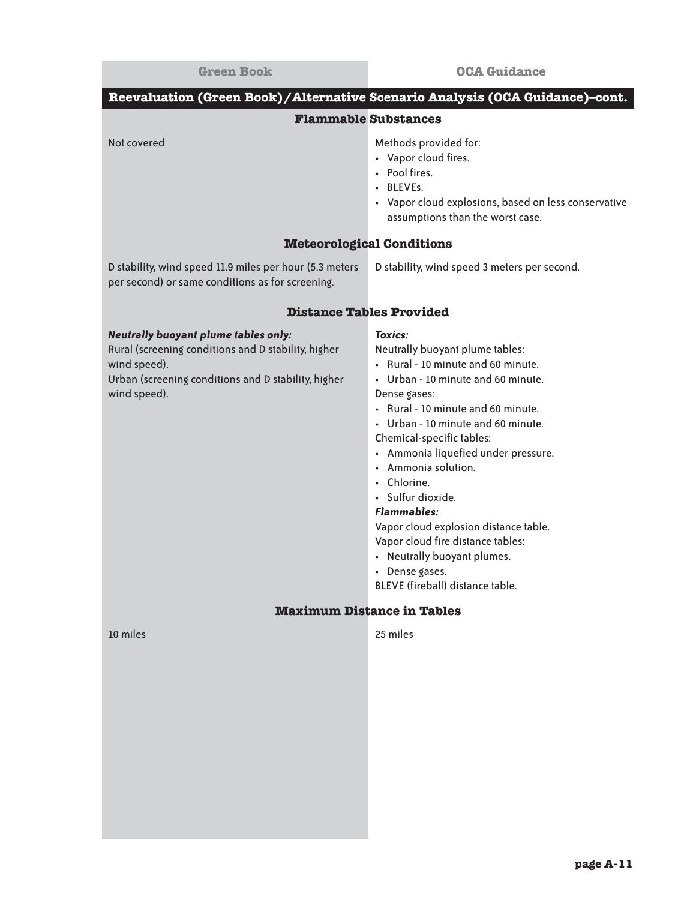#### **Reevaluation (Green Book)/Alternative Scenario Analysis (OCA Guidance)–cont.**

#### **Flammable Substances**

#### Not covered  $M$ ethods provided for:

- Vapor cloud fires.
- Pool fires.
- BLEVEs.
- Vapor cloud explosions, based on less conservative assumptions than the worst case.

#### **Meteorological Conditions**

D stability, wind speed 11.9 miles per hour (5.3 meters per second) or same conditions as for screening.

D stability, wind speed 3 meters per second.

#### **Distance Tables Provided**

#### *Neutrally buoyant plume tables only:*

Rural (screening conditions and D stability, higher wind speed).

Urban (screening conditions and D stability, higher wind speed).

#### *Toxics:*

Neutrally buoyant plume tables:

- Rural 10 minute and 60 minute.
- Urban 10 minute and 60 minute. Dense gases:
- Rural 10 minute and 60 minute.
- Urban 10 minute and 60 minute.

Chemical-specific tables:

- Ammonia liquefied under pressure.
- Ammonia solution.
- Chlorine.
- Sulfur dioxide.

#### *Flammables:*

Vapor cloud explosion distance table. Vapor cloud fire distance tables:

- Neutrally buoyant plumes.
- Dense gases.

BLEVE (fireball) distance table.

#### **Maximum Distance in Tables**

10 miles 25 miles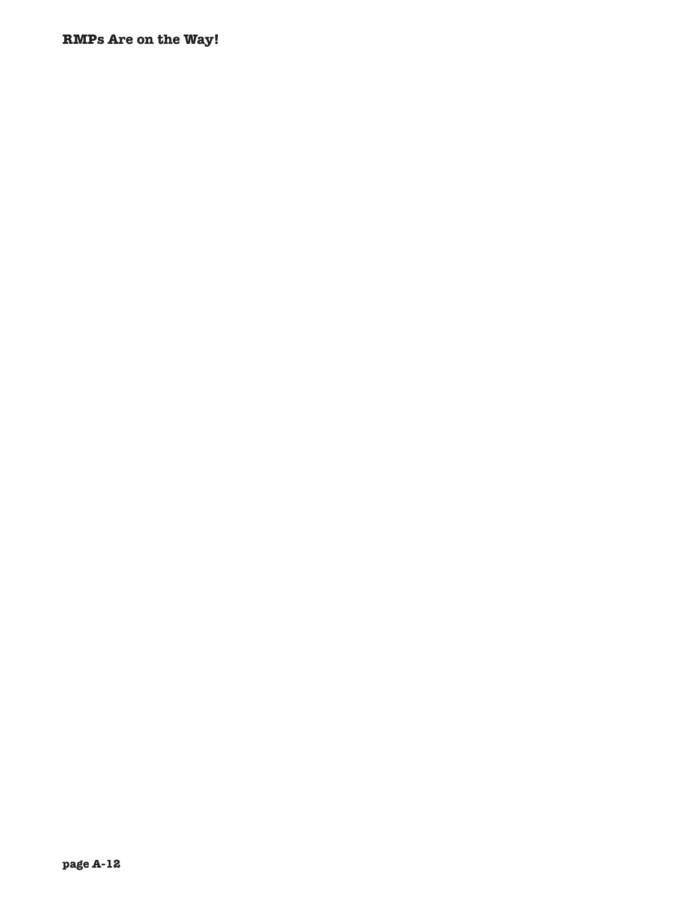**RMPs Are on the Way!**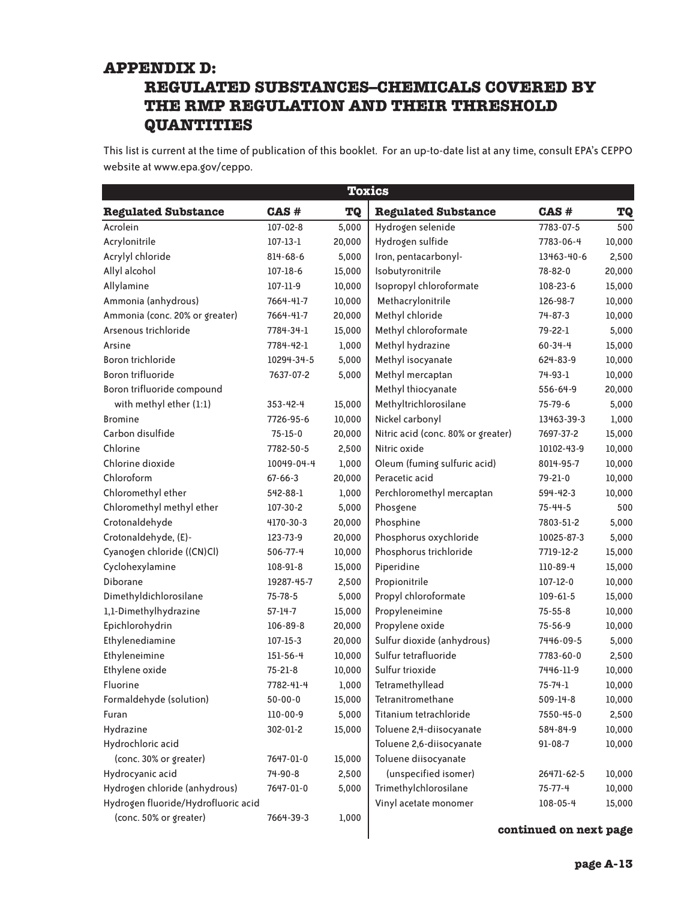## **APPENDIX D: REGULATED SUBSTANCES–CHEMICALS COVERED BY THE RMP REGULATION AND THEIR THRESHOLD QUANTITIES**

This list is current at the time of publication of this booklet. For an up-to-date list at any time, consult EPA's CEPPO website at www.epa.gov/ceppo.

| <b>Toxics</b>                       |                |           |                                    |                |           |
|-------------------------------------|----------------|-----------|------------------------------------|----------------|-----------|
| <b>Regulated Substance</b>          | CAS #          | <b>TQ</b> | <b>Regulated Substance</b>         | CAS #          | <b>TQ</b> |
| Acrolein                            | $107 - 02 - 8$ | 5,000     | Hydrogen selenide                  | 7783-07-5      | 500       |
| Acrylonitrile                       | $107 - 13 - 1$ | 20,000    | Hydrogen sulfide                   | 7783-06-4      | 10,000    |
| Acrylyl chloride                    | 814-68-6       | 5,000     | Iron, pentacarbonyl-               | 13463-40-6     | 2,500     |
| Allyl alcohol                       | $107 - 18 - 6$ | 15,000    | Isobutyronitrile                   | 78-82-0        | 20,000    |
| Allylamine                          | 107-11-9       | 10,000    | Isopropyl chloroformate            | 108-23-6       | 15,000    |
| Ammonia (anhydrous)                 | 7664-41-7      | 10,000    | Methacrylonitrile                  | 126-98-7       | 10,000    |
| Ammonia (conc. 20% or greater)      | 7664-41-7      | 20,000    | Methyl chloride                    | 74-87-3        | 10,000    |
| Arsenous trichloride                | 7784-34-1      | 15,000    | Methyl chloroformate               | 79-22-1        | 5,000     |
| Arsine                              | 7784-42-1      | 1,000     | Methyl hydrazine                   | $60 - 34 - 4$  | 15,000    |
| Boron trichloride                   | 10294-34-5     | 5,000     | Methyl isocyanate                  | 624-83-9       | 10,000    |
| Boron trifluoride                   | 7637-07-2      | 5,000     | Methyl mercaptan                   | 74-93-1        | 10,000    |
| Boron trifluoride compound          |                |           | Methyl thiocyanate                 | 556-64-9       | 20,000    |
| with methyl ether (1:1)             | $353 - 42 - 4$ | 15,000    | Methyltrichlorosilane              | $75 - 79 - 6$  | 5,000     |
| <b>Bromine</b>                      | 7726-95-6      | 10,000    | Nickel carbonyl                    | 13463-39-3     | 1,000     |
| Carbon disulfide                    | $75 - 15 - 0$  | 20,000    | Nitric acid (conc. 80% or greater) | 7697-37-2      | 15,000    |
| Chlorine                            | 7782-50-5      | 2,500     | Nitric oxide                       | 10102-43-9     | 10,000    |
| Chlorine dioxide                    | 10049-04-4     | 1,000     | Oleum (fuming sulfuric acid)       | 8014-95-7      | 10,000    |
| Chloroform                          | $67 - 66 - 3$  | 20,000    | Peracetic acid                     | 79-21-0        | 10,000    |
| Chloromethyl ether                  | 542-88-1       | 1,000     | Perchloromethyl mercaptan          | 594-42-3       | 10,000    |
| Chloromethyl methyl ether           | 107-30-2       | 5,000     | Phosgene                           | $75 - 44 - 5$  | 500       |
| Crotonaldehyde                      | 4170-30-3      | 20,000    | Phosphine                          | 7803-51-2      | 5,000     |
| Crotonaldehyde, (E)-                | 123-73-9       | 20,000    | Phosphorus oxychloride             | 10025-87-3     | 5,000     |
| Cyanogen chloride ((CN)Cl)          | 506-77-4       | 10,000    | Phosphorus trichloride             | 7719-12-2      | 15,000    |
| Cyclohexylamine                     | 108-91-8       | 15,000    | Piperidine                         | 110-89-4       | 15,000    |
| Diborane                            | 19287-45-7     | 2,500     | Propionitrile                      | $107 - 12 - 0$ | 10,000    |
| Dimethyldichlorosilane              | $75 - 78 - 5$  | 5,000     | Propyl chloroformate               | 109-61-5       | 15,000    |
| 1,1-Dimethylhydrazine               | $57-14-7$      | 15,000    | Propyleneimine                     | $75 - 55 - 8$  | 10,000    |
| Epichlorohydrin                     | 106-89-8       | 20,000    | Propylene oxide                    | $75 - 56 - 9$  | 10,000    |
| Ethylenediamine                     | $107 - 15 - 3$ | 20,000    | Sulfur dioxide (anhydrous)         | 7446-09-5      | 5,000     |
| Ethyleneimine                       | 151-56-4       | 10,000    | Sulfur tetrafluoride               | 7783-60-0      | 2,500     |
| Ethylene oxide                      | $75 - 21 - 8$  | 10,000    | Sulfur trioxide                    | 7446-11-9      | 10,000    |
| Fluorine                            | 7782-41-4      | 1,000     | Tetramethyllead                    | $75 - 74 - 1$  | 10,000    |
| Formaldehyde (solution)             | $50 - 00 - 0$  | 15,000    | Tetranitromethane                  | 509-14-8       | 10,000    |
| Furan                               | $110 - 00 - 9$ | 5,000     | Titanium tetrachloride             | 7550-45-0      | 2,500     |
| Hydrazine                           | 302-01-2       | 15,000    | Toluene 2,4-diisocyanate           | 584-84-9       | 10,000    |
| Hydrochloric acid                   |                |           | Toluene 2,6-diisocyanate           | $91 - 08 - 7$  | 10,000    |
| (conc. 30% or greater)              | 7647-01-0      | 15,000    | Toluene diisocyanate               |                |           |
| Hydrocyanic acid                    | 74-90-8        | 2,500     | (unspecified isomer)               | 26471-62-5     | 10,000    |
| Hydrogen chloride (anhydrous)       | 7647-01-0      | 5,000     | Trimethylchlorosilane              | $75 - 77 - 4$  | 10,000    |
| Hydrogen fluoride/Hydrofluoric acid |                |           | Vinyl acetate monomer              | 108-05-4       | 15,000    |
| (conc. 50% or greater)              | 7664-39-3      | 1,000     |                                    |                |           |

**continued on next page**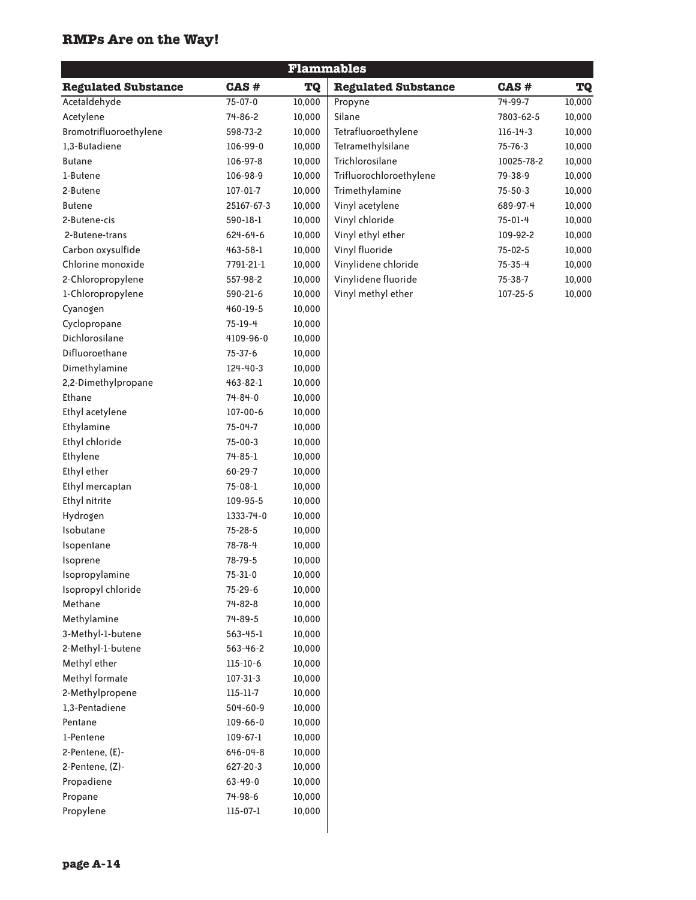#### **RMPs Are on the Way!**

|                            |                |           | <b>Flammables</b>          |                |           |
|----------------------------|----------------|-----------|----------------------------|----------------|-----------|
| <b>Regulated Substance</b> | CAS #          | <b>TQ</b> | <b>Regulated Substance</b> | CAS #          | <b>TQ</b> |
| Acetaldehyde               | $75 - 07 - 0$  | 10,000    | Propyne                    | 74-99-7        | 10,000    |
| Acetylene                  | 74-86-2        | 10,000    | Silane                     | 7803-62-5      | 10,000    |
| Bromotrifluoroethylene     | 598-73-2       | 10,000    | Tetrafluoroethylene        | $116 - 14 - 3$ | 10,000    |
| 1,3-Butadiene              | 106-99-0       | 10,000    | Tetramethylsilane          | $75 - 76 - 3$  | 10,000    |
| <b>Butane</b>              | 106-97-8       | 10,000    | Trichlorosilane            | 10025-78-2     | 10,000    |
| 1-Butene                   | 106-98-9       | 10,000    | Trifluorochloroethylene    | 79-38-9        | 10,000    |
| 2-Butene                   | 107-01-7       | 10,000    | Trimethylamine             | $75 - 50 - 3$  | 10,000    |
| <b>Butene</b>              | 25167-67-3     | 10,000    | Vinyl acetylene            | 689-97-4       | 10,000    |
| 2-Butene-cis               | 590-18-1       | 10,000    | Vinyl chloride             | 75-01-4        | 10,000    |
| 2-Butene-trans             | 624-64-6       | 10,000    | Vinyl ethyl ether          | 109-92-2       | 10,000    |
| Carbon oxysulfide          | 463-58-1       | 10,000    | Vinyl fluoride             | $75 - 02 - 5$  | 10,000    |
| Chlorine monoxide          | 7791-21-1      | 10,000    | Vinylidene chloride        | $75 - 35 - 4$  | 10,000    |
| 2-Chloropropylene          | 557-98-2       | 10,000    | Vinylidene fluoride        | 75-38-7        | 10,000    |
| 1-Chloropropylene          | 590-21-6       | 10,000    | Vinyl methyl ether         | $107 - 25 - 5$ | 10,000    |
| Cyanogen                   | 460-19-5       | 10,000    |                            |                |           |
| Cyclopropane               | 75-19-4        | 10,000    |                            |                |           |
| Dichlorosilane             | 4109-96-0      | 10,000    |                            |                |           |
| Difluoroethane             | $75 - 37 - 6$  | 10,000    |                            |                |           |
| Dimethylamine              | 124-40-3       | 10,000    |                            |                |           |
| 2,2-Dimethylpropane        | 463-82-1       | 10,000    |                            |                |           |
| Ethane                     | 74-84-0        | 10,000    |                            |                |           |
| Ethyl acetylene            | $107 - 00 - 6$ | 10,000    |                            |                |           |
| Ethylamine                 | 75-04-7        | 10,000    |                            |                |           |
| Ethyl chloride             | $75 - 00 - 3$  | 10,000    |                            |                |           |
| Ethylene                   | 74-85-1        | 10,000    |                            |                |           |
| Ethyl ether                | $60 - 29 - 7$  | 10,000    |                            |                |           |
| Ethyl mercaptan            | $75-08-1$      | 10,000    |                            |                |           |
| Ethyl nitrite              | 109-95-5       | 10,000    |                            |                |           |
| Hydrogen                   | 1333-74-0      | 10,000    |                            |                |           |
| Isobutane                  | $75 - 28 - 5$  | 10,000    |                            |                |           |
| Isopentane                 | 78-78-4        | 10,000    |                            |                |           |
| Isoprene                   | 78-79-5        | 10,000    |                            |                |           |
| Isopropylamine             | $75 - 31 - 0$  | 10,000    |                            |                |           |
| Isopropyl chloride         | 75-29-6        | 10,000    |                            |                |           |
| Methane                    | 74-82-8        | 10,000    |                            |                |           |
| Methylamine                | 74-89-5        | 10,000    |                            |                |           |
| 3-Methyl-1-butene          | $563 - 45 - 1$ | 10,000    |                            |                |           |
| 2-Methyl-1-butene          | 563-46-2       | 10,000    |                            |                |           |
| Methyl ether               | $115 - 10 - 6$ | 10,000    |                            |                |           |
| Methyl formate             | 107-31-3       | 10,000    |                            |                |           |
| 2-Methylpropene            | $115 - 11 - 7$ | 10,000    |                            |                |           |
| 1,3-Pentadiene             | 504-60-9       | 10,000    |                            |                |           |
| Pentane                    | $109 - 66 - 0$ | 10,000    |                            |                |           |
| 1-Pentene                  | $109 - 67 - 1$ | 10,000    |                            |                |           |
| 2-Pentene, (E)-            | 646-04-8       | 10,000    |                            |                |           |
| 2-Pentene, (Z)-            | 627-20-3       | 10,000    |                            |                |           |
| Propadiene                 | 63-49-0        | 10,000    |                            |                |           |
| Propane                    | 74-98-6        | 10,000    |                            |                |           |
| Propylene                  | $115-07-1$     | 10,000    |                            |                |           |
|                            |                |           |                            |                |           |
|                            |                |           |                            |                |           |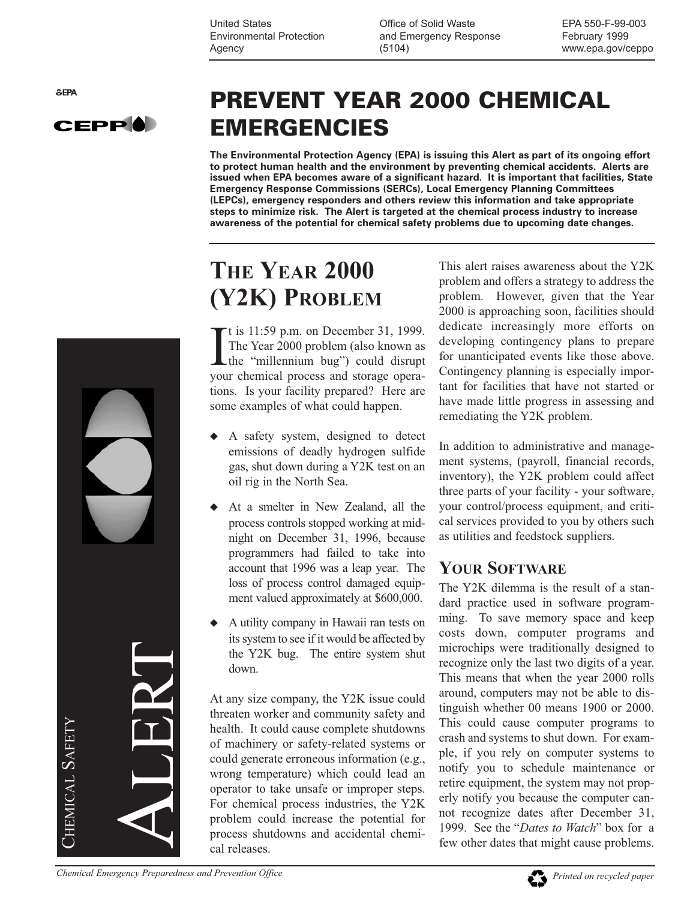United Sta Environmental Protection a

Office of Solid Waste and Emergency Response Agency (5104) www.epa.gov/ceppo

EPA 550-F-99-003 February 1999

**SEPA** 



# **PREVENT YEAR 2000 CHEMICAL EMERGENCIES**

**The Environmental Protection Agency (EPA) is issuing this Alert as part of its ongoing effort to protect human health and the environment by preventing chemical accidents. Alerts are issued when EPA becomes aware of a significant hazard. It is important that facilities, State Emergency Response Commissions (SERCs), Local Emergency Planning Committees (LEPCs), emergency responders and others review this information and take appropriate steps to minimize risk. The Alert is targeted at the chemical process industry to increase awareness of the potential for chemical safety problems due to upcoming date changes.** 

# **THE YEAR 2000 (Y2K) PROBLEM**

 $\prod$ t is 11:59 p.m. on December 31, 1999.<br>The Year 2000 problem (also known as<br>the "millennium bug") could disrupt<br>your chemical process and storage operat is 11:59 p.m. on December 31, 1999. The Year 2000 problem (also known as the "millennium bug") could disrupt tions. Is your facility prepared? Here are some examples of what could happen.

- A safety system, designed to detect emissions of deadly hydrogen sulfide gas, shut down during a Y2K test on an oil rig in the North Sea.
- At a smelter in New Zealand, all the process controls stopped working at midnight on December 31, 1996, because programmers had failed to take into account that 1996 was a leap year. The loss of process control damaged equipment valued approximately at \$600,000.
- A utility company in Hawaii ran tests on its system to see if it would be affected by the Y2K bug. The entire system shut down.

At any size company, the Y2K issue could threaten worker and community safety and health. It could cause complete shutdowns of machinery or safety-related systems or could generate erroneous information (e.g., wrong temperature) which could lead an operator to take unsafe or improper steps. For chemical process industries, the Y2K problem could increase the potential for process shutdowns and accidental chemical releases.

This alert raises awareness about the Y2K problem and offers a strategy to address the problem. However, given that the Year 2000 is approaching soon, facilities should dedicate increasingly more efforts on developing contingency plans to prepare for unanticipated events like those above. Contingency planning is especially important for facilities that have not started or have made little progress in assessing and remediating the Y2K problem.

In addition to administrative and management systems, (payroll, financial records, inventory), the Y2K problem could affect three parts of your facility - your software, your control/process equipment, and critical services provided to you by others such as utilities and feedstock suppliers.

## YOUR SOFTWARE

The Y2K dilemma is the result of a standard practice used in software programming. To save memory space and keep costs down, computer programs and microchips were traditionally designed to recognize only the last two digits of a year. This means that when the year 2000 rolls around, computers may not be able to distinguish whether  $00$  means  $1900$  or  $2000$ . This could cause computer programs to crash and systems to shut down. For example, if you rely on computer systems to notify you to schedule maintenance or retire equipment, the system may not properly notify you because the computer cannot recognize dates after December 31, 1999. See the "*Dates to Watch*" box for a few other dates that might cause problems.



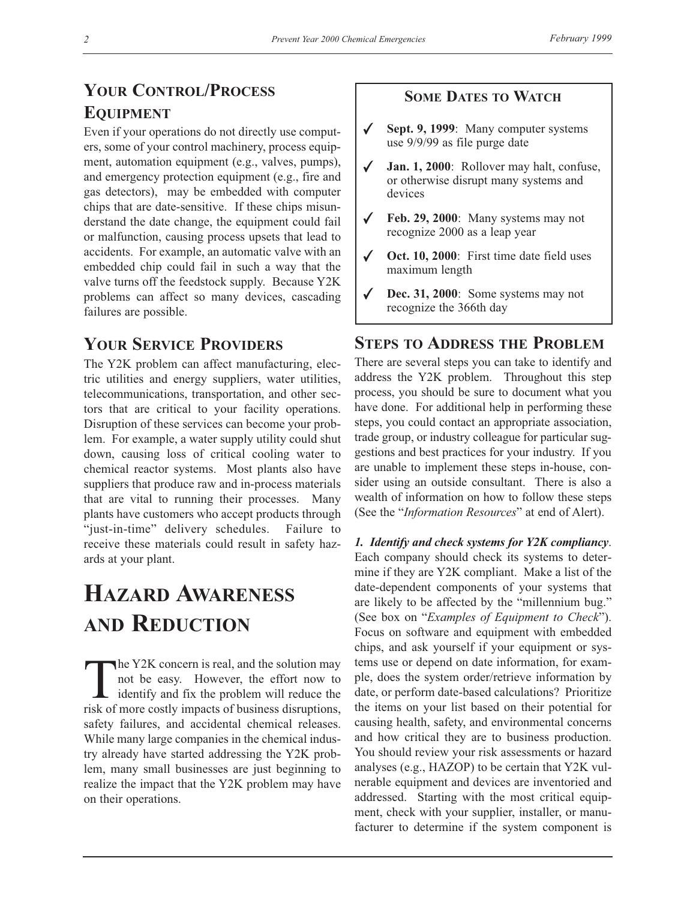## **YOUR CONTROL/PROCESS EQUIPMENT**

Even if your operations do not directly use computers, some of your control machinery, process equipment, automation equipment (e.g., valves, pumps), and emergency protection equipment (e.g., fire and gas detectors), may be embedded with computer chips that are date-sensitive. If these chips misunderstand the date change, the equipment could fail or malfunction, causing process upsets that lead to accidents. For example, an automatic valve with an embedded chip could fail in such a way that the valve turns off the feedstock supply. Because Y2K problems can affect so many devices, cascading failures are possible.

## **YOUR SERVICE PROVIDERS**

The Y2K problem can affect manufacturing, electric utilities and energy suppliers, water utilities, telecommunications, transportation, and other sectors that are critical to your facility operations. Disruption of these services can become your problem. For example, a water supply utility could shut down, causing loss of critical cooling water to chemical reactor systems. Most plants also have suppliers that produce raw and in-process materials that are vital to running their processes. Many plants have customers who accept products through "just-in-time" delivery schedules. Failure to receive these materials could result in safety hazards at your plant.

# **HAZARD AWARENESS AND REDUCTION**

The Y2K concern is real, and the solution may not be easy. However, the effort now to identify and fix the problem will reduce the risk of more costly impacts of business disruptions, safety failures, and accidental chemical releases. While many large companies in the chemical industry already have started addressing the Y2K problem, many small businesses are just beginning to realize the impact that the Y2K problem may have on their operations.

#### **SOME DATES TO WATCH**

- $\checkmark$ Sept. 9, 1999: Many computer systems use 9/9/99 as file purge date
- Jan. 1, 2000: Rollover may halt, confuse,  $\checkmark$ or otherwise disrupt many systems and devices
- $\checkmark$ Feb. 29, 2000: Many systems may not recognize 2000 as a leap year
- $\checkmark$ Oct. 10, 2000: First time date field uses maximum length
- Dec. 31, 2000: Some systems may not  $\checkmark$ recognize the 366th day

#### **STEPS TO ADDRESS THE PROBLEM**

There are several steps you can take to identify and address the Y2K problem. Throughout this step process, you should be sure to document what you have done. For additional help in performing these steps, you could contact an appropriate association, trade group, or industry colleague for particular suggestions and best practices for your industry. If you are unable to implement these steps in-house, consider using an outside consultant. There is also a wealth of information on how to follow these steps (See the "Information Resources" at end of Alert).

1. Identify and check systems for Y2K compliancy. Each company should check its systems to determine if they are Y2K compliant. Make a list of the date-dependent components of your systems that are likely to be affected by the "millennium bug." (See box on "Examples of Equipment to Check"). Focus on software and equipment with embedded chips, and ask yourself if your equipment or systems use or depend on date information, for example, does the system order/retrieve information by date, or perform date-based calculations? Prioritize the items on your list based on their potential for causing health, safety, and environmental concerns and how critical they are to business production. You should review your risk assessments or hazard analyses (e.g., HAZOP) to be certain that Y2K vulnerable equipment and devices are inventoried and addressed. Starting with the most critical equipment, check with your supplier, installer, or manufacturer to determine if the system component is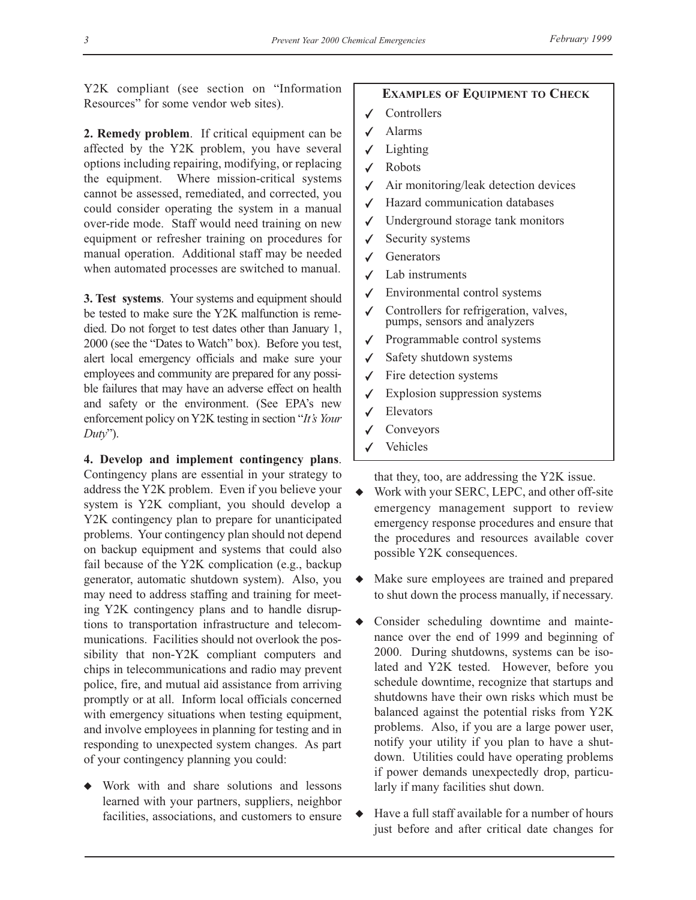Y2K compliant (see section on "Information Resources" for some vendor web sites).

2. Remedy problem. If critical equipment can be affected by the Y2K problem, you have several options including repairing, modifying, or replacing the equipment. Where mission-critical systems cannot be assessed, remediated, and corrected, you could consider operating the system in a manual over-ride mode. Staff would need training on new equipment or refresher training on procedures for manual operation. Additional staff may be needed when automated processes are switched to manual.

3. Test systems. Your systems and equipment should be tested to make sure the Y2K malfunction is remedied. Do not forget to test dates other than January 1, 2000 (see the "Dates to Watch" box). Before you test, alert local emergency officials and make sure your employees and community are prepared for any possible failures that may have an adverse effect on health and safety or the environment. (See EPA's new enforcement policy on Y2K testing in section "It's Your  $Dutv$ ").

4. Develop and implement contingency plans. Contingency plans are essential in your strategy to address the Y2K problem. Even if you believe your system is Y2K compliant, you should develop a Y2K contingency plan to prepare for unanticipated problems. Your contingency plan should not depend on backup equipment and systems that could also fail because of the Y2K complication (e.g., backup generator, automatic shutdown system). Also, you may need to address staffing and training for meeting Y2K contingency plans and to handle disruptions to transportation infrastructure and telecommunications. Facilities should not overlook the possibility that non-Y2K compliant computers and chips in telecommunications and radio may prevent police, fire, and mutual aid assistance from arriving promptly or at all. Inform local officials concerned with emergency situations when testing equipment, and involve employees in planning for testing and in responding to unexpected system changes. As part of your contingency planning you could:

• Work with and share solutions and lessons learned with your partners, suppliers, neighbor facilities, associations, and customers to ensure

#### **EXAMPLES OF EQUIPMENT TO CHECK**

- $\checkmark$  Controllers
- Alarms
- Lighting  $\checkmark$
- Robots
- Air monitoring/leak detection devices
- Hazard communication databases
- Underground storage tank monitors
- Security systems
- Generators
- Lab instruments
- Environmental control systems  $\checkmark$
- $\checkmark$ Controllers for refrigeration, valves, pumps, sensors and analyzers
- Programmable control systems  $\checkmark$
- $\checkmark$ Safety shutdown systems
- Fire detection systems  $\checkmark$
- Explosion suppression systems  $\checkmark$
- Elevators  $\checkmark$
- $\checkmark$ Conveyors
- Vehicles

that they, too, are addressing the Y2K issue.

- Work with your SERC, LEPC, and other off-site  $\bullet$ emergency management support to review emergency response procedures and ensure that the procedures and resources available cover possible Y2K consequences.
- Make sure employees are trained and prepared to shut down the process manually, if necessary.
- Consider scheduling downtime and maintenance over the end of 1999 and beginning of 2000. During shutdowns, systems can be isolated and Y2K tested. However, before you schedule downtime, recognize that startups and shutdowns have their own risks which must be balanced against the potential risks from Y2K problems. Also, if you are a large power user, notify your utility if you plan to have a shutdown. Utilities could have operating problems if power demands unexpectedly drop, particularly if many facilities shut down.
- Have a full staff available for a number of hours just before and after critical date changes for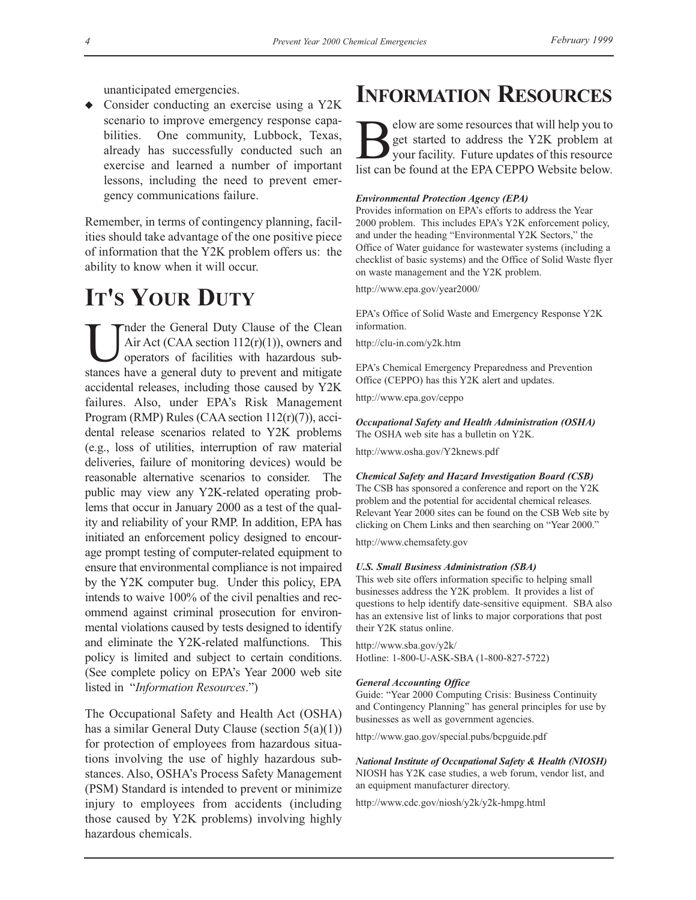unanticipated emergencies.

• Consider conducting an exercise using a Y2K scenario to improve emergency response capabilities. One community, Lubbock, Texas, already has successfully conducted such an exercise and learned a number of important lessons, including the need to prevent emergency communications failure.

Remember, in terms of contingency planning, facilities should take advantage of the one positive piece of information that the Y2K problem offers us: the ability to know when it will occur.

## **IT'S YOUR DUTY**

Inder the General Duty Clause of the Clean Air Act (CAA section  $112(r)(1)$ ), owners and operators of facilities with hazardous substances have a general duty to prevent and mitigate accidental releases, including those caused by Y2K failures. Also, under EPA's Risk Management Program (RMP) Rules (CAA section 112(r)(7)), accidental release scenarios related to Y2K problems (e.g., loss of utilities, interruption of raw material deliveries, failure of monitoring devices) would be reasonable alternative scenarios to consider. The public may view any Y2K-related operating problems that occur in January 2000 as a test of the quality and reliability of your RMP. In addition, EPA has initiated an enforcement policy designed to encourage prompt testing of computer-related equipment to ensure that environmental compliance is not impaired by the Y2K computer bug. Under this policy, EPA intends to waive 100% of the civil penalties and recommend against criminal prosecution for environmental violations caused by tests designed to identify and eliminate the Y2K-related malfunctions. This policy is limited and subject to certain conditions. (See complete policy on EPA's Year 2000 web site listed in "Information Resources.")

The Occupational Safety and Health Act (OSHA) has a similar General Duty Clause (section  $5(a)(1)$ ) for protection of employees from hazardous situations involving the use of highly hazardous substances. Also, OSHA's Process Safety Management (PSM) Standard is intended to prevent or minimize injury to employees from accidents (including those caused by Y2K problems) involving highly hazardous chemicals.

## **INFORMATION RESOURCES**

elow are some resources that will help you to get started to address the Y2K problem at your facility. Future updates of this resource list can be found at the EPA CEPPO Website below.

#### **Environmental Protection Agency (EPA)**

Provides information on EPA's efforts to address the Year 2000 problem. This includes EPA's Y2K enforcement policy, and under the heading "Environmental Y2K Sectors," the Office of Water guidance for wastewater systems (including a checklist of basic systems) and the Office of Solid Waste flyer on waste management and the Y2K problem.

http://www.epa.gov/year2000/

EPA's Office of Solid Waste and Emergency Response Y2K information.

http://clu-in.com/y2k.htm

EPA's Chemical Emergency Preparedness and Prevention Office (CEPPO) has this Y2K alert and updates.

http://www.epa.gov/ceppo

**Occupational Safety and Health Administration (OSHA)** The OSHA web site has a bulletin on Y2K.

http://www.osha.gov/Y2knews.pdf

**Chemical Safety and Hazard Investigation Board (CSB)** The CSB has sponsored a conference and report on the Y2K problem and the potential for accidental chemical releases. Relevant Year 2000 sites can be found on the CSB Web site by clicking on Chem Links and then searching on "Year 2000."

http://www.chemsafety.gov

#### **U.S. Small Business Administration (SBA)**

This web site offers information specific to helping small businesses address the Y2K problem. It provides a list of questions to help identify date-sensitive equipment. SBA also has an extensive list of links to major corporations that post their Y2K status online.

http://www.sba.gov/y2k/ Hotline: 1-800-U-ASK-SBA (1-800-827-5722)

#### **General Accounting Office**

Guide: "Year 2000 Computing Crisis: Business Continuity and Contingency Planning" has general principles for use by businesses as well as government agencies.

http://www.gao.gov/special.pubs/bcpguide.pdf

**National Institute of Occupational Safety & Health (NIOSH)** NIOSH has Y2K case studies, a web forum, vendor list, and an equipment manufacturer directory.

http://www.cdc.gov/niosh/y2k/y2k-hmpg.html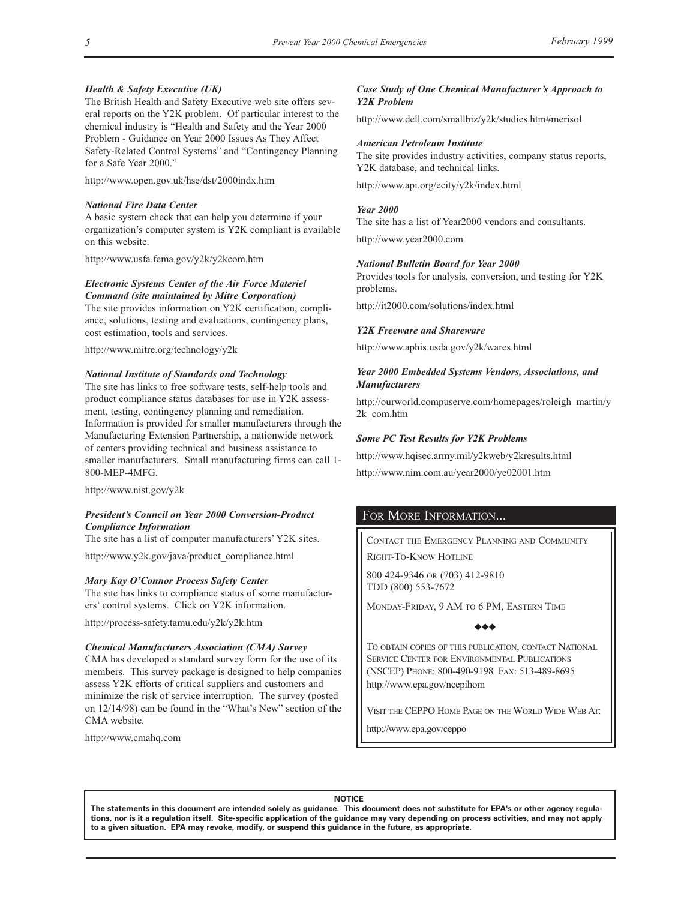#### *Health & Safety Executive (UK)*

The British Health and Safety Executive web site offers several reports on the Y2K problem. Of particular interest to the chemical industry is "Health and Safety and the Year 2000 Problem - Guidance on Year 2000 Issues As They Affect Safety-Related Control Systems" and "Contingency Planning for a Safe Year 2000."

http://www.open.gov.uk/hse/dst/2000indx.htm

#### **National Fire Data Center**

A basic system check that can help you determine if your organization's computer system is Y2K compliant is available on this website.

http://www.usfa.fema.gov/y2k/y2kcom.htm

#### *Electronic Systems Center of the Air Force Materiel*

*Command (site maintained by Mitre Corporation)* The site provides information on Y2K certification, compliance, solutions, testing and evaluations, contingency plans, cost estimation, tools and services.

http://www.mitre.org/technology/y2k

#### **National Institute of Standards and Technology**

The site has links to free software tests, self-help tools and product compliance status databases for use in Y2K assessment, testing, contingency planning and remediation. Information is provided for smaller manufacturers through the Manufacturing Extension Partnership, a nationwide network of centers providing technical and business assistance to smaller manufacturers. Small manufacturing firms can call 1-800-MEP-4MFG.

http://www.nist.gov/y2k

#### **President's Council on Year 2000 Conversion-Product Compliance Information**

The site has a list of computer manufacturers' Y2K sites.

http://www.y2k.gov/java/product\_compliance.html

#### Mary Kay O'Connor Process Safety Center

The site has links to compliance status of some manufacturers' control systems. Click on Y2K information.

http://process-safety.tamu.edu/y2k/y2k.htm

#### **Chemical Manufacturers Association (CMA) Survey**

CMA has developed a standard survey form for the use of its members. This survey package is designed to help companies assess Y2K efforts of critical suppliers and customers and minimize the risk of service interruption. The survey (posted on  $12/14/98$ ) can be found in the "What's New" section of the CMA website.

http://www.cmahq.com

#### **Case Study of One Chemical Manufacturer's Approach to Y2K** Problem

http://www.dell.com/smallbiz/y2k/studies.htm#merisol

#### *American Petroleum Institute*

The site provides industry activities, company status reports, Y2K database, and technical links.

http://www.api.org/ecity/y2k/index.html

#### **Year 2000**

The site has a list of Year2000 vendors and consultants.

http://www.year2000.com

#### *National Bulletin Board for Year 2000*

Provides tools for analysis, conversion, and testing for Y2K problems.

http://it2000.com/solutions/index.html

#### **Y2K Freeware and Shareware**

http://www.aphis.usda.gov/y2k/wares.html

#### Year 2000 Embedded Systems Vendors, Associations, and *Manufacturers*

http://ourworld.compuserve.com/homepages/roleigh martin/y 2k com.htm

#### **Some PC Test Results for Y2K Problems**

http://www.hqisec.army.mil/y2kweb/y2kresults.html

http://www.nim.com.au/year2000/ye02001.htm

#### FOR MORE INFORMATION...

CONTACT THE EMERGENCY PLANNING AND COMMUNITY RIGHT-TO-KNOW HOTLINE

800 424-9346 or (703) 412-9810 TDD (800) 553-7672

Monday-Friday, 9 AM to 6 PM, Eastern Time

#### ◆◆◆

To obtain copies of this publication, contact National SERVICE CENTER FOR ENVIRONMENTAL PUBLICATIONS (NSCEP) PHONE: 800-490-9198 FAX: 513-489-8695 http://www.epa.gov/ncepihom

VISIT THE CEPPO HOME PAGE ON THE WORLD WIDE WEB AT: http://www.epa.gov/ceppo

#### **NOTICE**

**The statements in this document are intended solely as guidance. This document does not substitute for EPA's or other agency regulations, nor is it a regulation itself. Site-specific application of the guidance may vary depending on process activities, and may not apply to a given situation. EPA may revoke, modify, or suspend this guidance in the future, as appropriate.**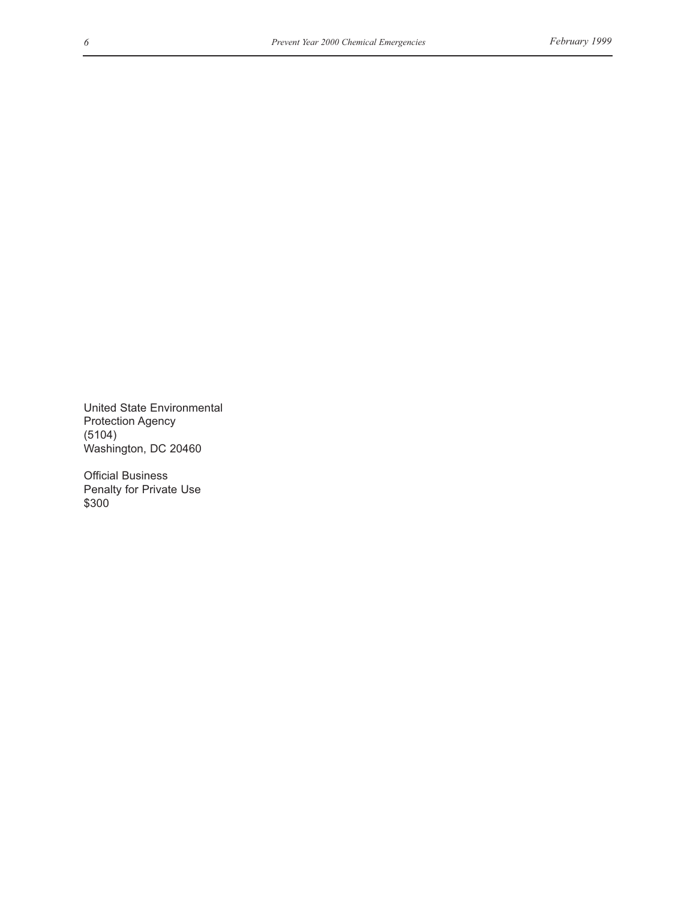United State Environmental **Protection Agency**  $(5104)$ Washington, DC 20460

**Official Business** Penalty for Private Use \$300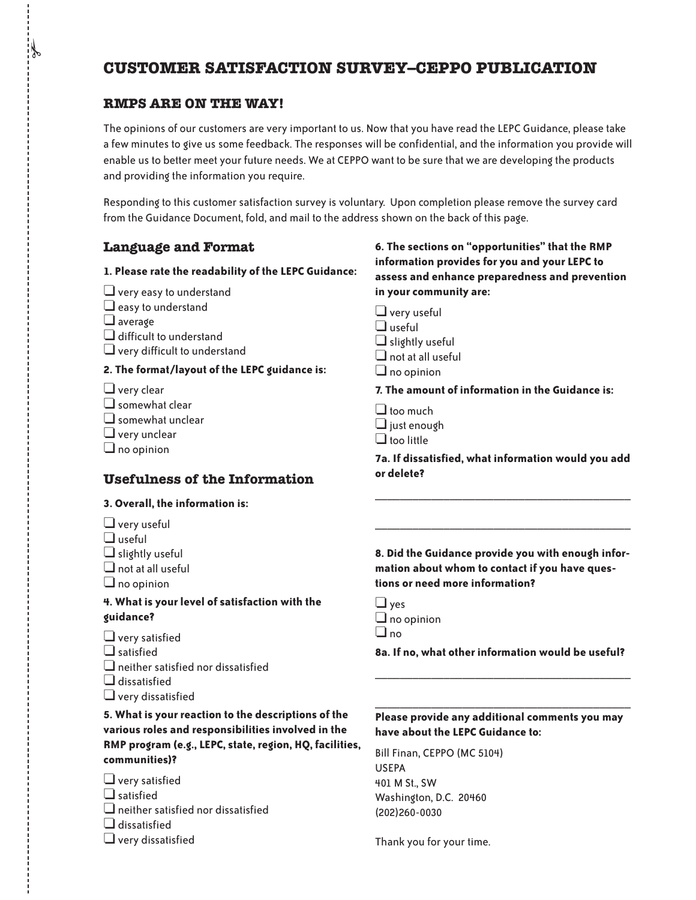## **CUSTOMER SATISFACTION SURVEY–CEPPO PUBLICATION**

#### **RMPS ARE ON THE WAY!**

**No** 

The opinions of our customers are very important to us. Now that you have read the LEPC Guidance, please take a few minutes to give us some feedback. The responses will be confidential, and the information you provide will enable us to better meet your future needs. We at CEPPO want to be sure that we are developing the products and providing the information you require.

Responding to this customer satisfaction survey is voluntary. Upon completion please remove the survey card from the Guidance Document, fold, and mail to the address shown on the back of this page.

**6. The sections on "opportunities" that the RMP** 

| <b>Language and Format</b> |  |  |
|----------------------------|--|--|
|----------------------------|--|--|

|                                                                                                                                           | information provides for you and your LEPC to                                                                                           |  |  |
|-------------------------------------------------------------------------------------------------------------------------------------------|-----------------------------------------------------------------------------------------------------------------------------------------|--|--|
| 1. Please rate the readability of the LEPC Guidance:                                                                                      | assess and enhance preparedness and prevention                                                                                          |  |  |
| $\Box$ very easy to understand                                                                                                            | in your community are:                                                                                                                  |  |  |
| $\Box$ easy to understand                                                                                                                 | $\Box$ very useful                                                                                                                      |  |  |
| average                                                                                                                                   | $\Box$ useful                                                                                                                           |  |  |
| $\Box$ difficult to understand                                                                                                            | $\Box$ slightly useful                                                                                                                  |  |  |
| $\Box$ very difficult to understand                                                                                                       | $\square$ not at all useful                                                                                                             |  |  |
| 2. The format/layout of the LEPC guidance is:                                                                                             | $\Box$ no opinion                                                                                                                       |  |  |
| $\Box$ very clear                                                                                                                         | 7. The amount of information in the Guidance is:                                                                                        |  |  |
| $\Box$ somewhat clear                                                                                                                     | $\Box$ too much                                                                                                                         |  |  |
| $\Box$ somewhat unclear                                                                                                                   | $\Box$ just enough                                                                                                                      |  |  |
| $\Box$ very unclear                                                                                                                       | $\Box$ too little                                                                                                                       |  |  |
| $\Box$ no opinion                                                                                                                         | 7a. If dissatisfied, what information would you add                                                                                     |  |  |
| <b>Usefulness of the Information</b>                                                                                                      | or delete?                                                                                                                              |  |  |
| 3. Overall, the information is:                                                                                                           |                                                                                                                                         |  |  |
| $\Box$ very useful<br>$\Box$ useful<br>$\Box$ slightly useful<br>$\Box$ not at all useful<br>$\Box$ no opinion                            | 8. Did the Guidance provide you with enough infor-<br>mation about whom to contact if you have ques-<br>tions or need more information? |  |  |
| 4. What is your level of satisfaction with the                                                                                            | $\Box$ yes                                                                                                                              |  |  |
| guidance?                                                                                                                                 | $\Box$ no opinion                                                                                                                       |  |  |
| $\Box$ very satisfied<br>$\Box$ satisfied<br>$\Box$ neither satisfied nor dissatisfied<br>$\Box$ dissatisfied<br>$\Box$ very dissatisfied | $\Box$ no<br>8a. If no, what other information would be useful?                                                                         |  |  |
| 5. What is your reaction to the descriptions of the                                                                                       | Please provide any additional comments you may                                                                                          |  |  |
| various roles and responsibilities involved in the                                                                                        | have about the LEPC Guidance to:                                                                                                        |  |  |
| RMP program (e.g., LEPC, state, region, HQ, facilities,                                                                                   | Bill Finan, CEPPO (MC 5104)                                                                                                             |  |  |
| communities)?                                                                                                                             | <b>USEPA</b>                                                                                                                            |  |  |
| $\Box$ very satisfied                                                                                                                     | 401 M St., SW                                                                                                                           |  |  |
| $\Box$ satisfied                                                                                                                          | Washington D.C. 20460                                                                                                                   |  |  |

- ❏ neither satisfied nor dissatisfied
- ❏ dissatisfied
- ❏ very dissatisfied

Washington, D.C. 20460 (202)260-0030

Thank you for your time.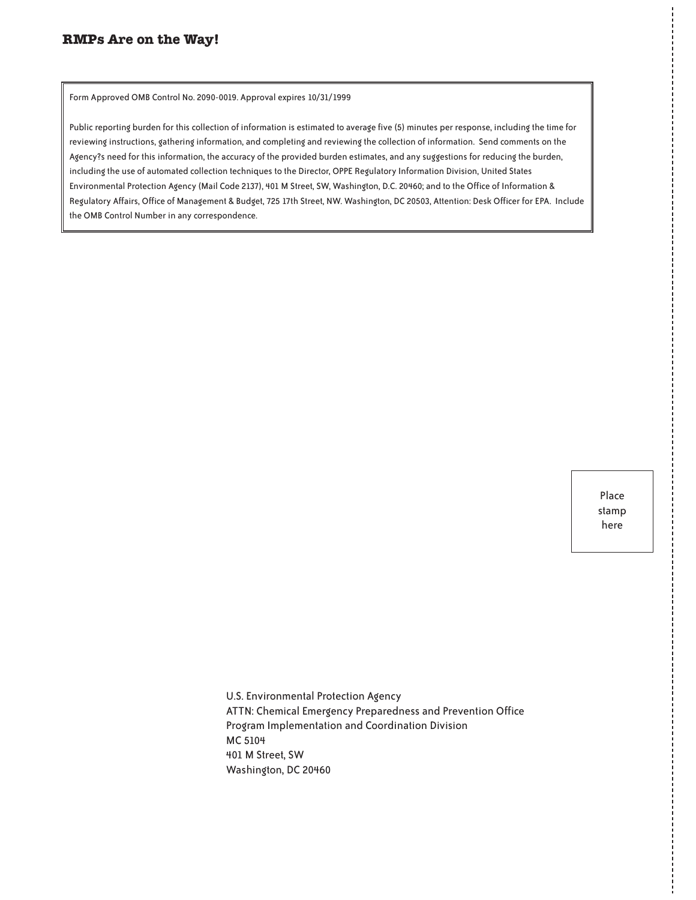Form Approved OMB Control No. 2090-0019. Approval expires 10/31/1999

Public reporting burden for this collection of information is estimated to average five (5) minutes per response, including the time for reviewing instructions, gathering information, and completing and reviewing the collection of information. Send comments on the Agency?s need for this information, the accuracy of the provided burden estimates, and any suggestions for reducing the burden, including the use of automated collection techniques to the Director, OPPE Regulatory Information Division, United States Environmental Protection Agency (Mail Code 2137), 401 M Street, SW, Washington, D.C. 20460; and to the Office of Information & Regulatory Affairs, Office of Management & Budget, 725 17th Street, NW. Washington, DC 20503, Attention: Desk Officer for EPA. Include the OMB Control Number in any correspondence.

> Place stamp here

U.S. Environmental Protection Agency ATTN: Chemical Emergency Preparedness and Prevention Office Program Implementation and Coordination Division MC 5104 401 M Street, SW Washington, DC 20460